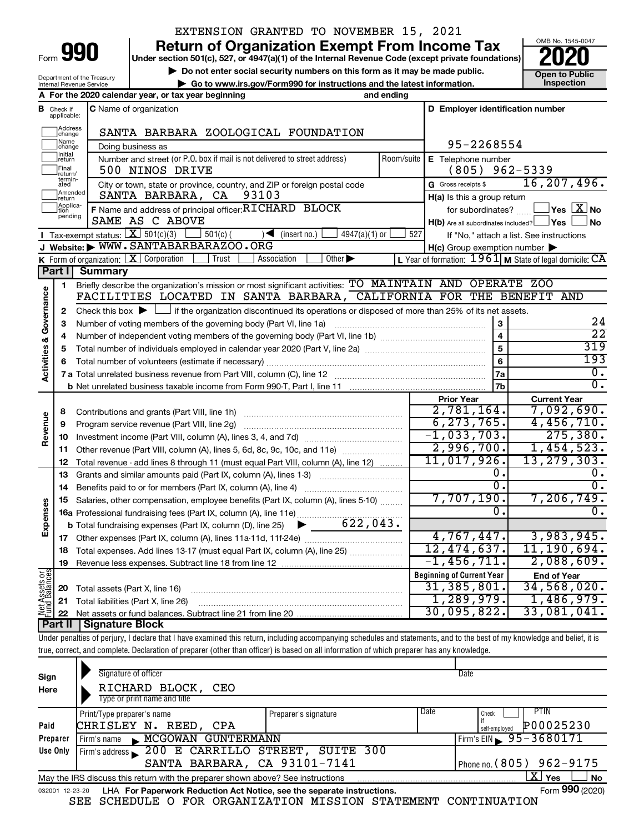| Form | $\Box$ | ſ |
|------|--------|---|
|      |        |   |

Department of the Treasury Internal Revenue Service

### EXTENSION GRANTED TO NOVEMBER 15, 2021

**990** Return of Organization Exempt From Income Tax <br>
Under section 501(c), 527, or 4947(a)(1) of the Internal Revenue Code (except private foundations)<br> **PO20** 

**but the Social security numbers on this form as it may be made public.** The only one to Public **Depending to Public and the latest information.** This pection **| Go to www.irs.gov/Form990 for instructions and the latest information. Inspection**

OMB No. 1545-0047

|                                    |                              | A For the 2020 calendar year, or tax year beginning                                                                                                                                                              | and ending         |                                                     |                                                           |
|------------------------------------|------------------------------|------------------------------------------------------------------------------------------------------------------------------------------------------------------------------------------------------------------|--------------------|-----------------------------------------------------|-----------------------------------------------------------|
| В                                  | Check if<br>applicable:      | <b>C</b> Name of organization                                                                                                                                                                                    |                    | D Employer identification number                    |                                                           |
|                                    | Address<br>change            | SANTA BARBARA ZOOLOGICAL FOUNDATION                                                                                                                                                                              |                    |                                                     |                                                           |
|                                    | Name<br>change               | Doing business as                                                                                                                                                                                                |                    | 95-2268554                                          |                                                           |
|                                    | Initial<br> return           | Number and street (or P.O. box if mail is not delivered to street address)<br>Room/suite                                                                                                                         | E Telephone number |                                                     |                                                           |
|                                    | Final<br>return/             | 500 NINOS DRIVE                                                                                                                                                                                                  |                    | $(805)$ 962-5339                                    |                                                           |
|                                    | termin-<br>ated              | City or town, state or province, country, and ZIP or foreign postal code                                                                                                                                         |                    | G Gross receipts \$                                 | 16, 207, 496.                                             |
|                                    | Amended<br>return            | SANTA BARBARA, CA<br>93103                                                                                                                                                                                       |                    | H(a) Is this a group return                         |                                                           |
|                                    | Applica-<br>Ition<br>pending | F Name and address of principal officer: RICHARD BLOCK                                                                                                                                                           |                    | for subordinates?                                   | $Yes$ $\boxed{\text{X}}$ No                               |
|                                    |                              | SAME AS C ABOVE                                                                                                                                                                                                  |                    | H(b) Are all subordinates included? Ves             | ∫No                                                       |
|                                    |                              | Tax-exempt status: $X \overline{3} 501(c)(3)$<br>$501(c)$ (<br>4947(a)(1) or<br>$\sqrt{\frac{1}{1}}$ (insert no.)                                                                                                | 527                |                                                     | If "No," attach a list. See instructions                  |
|                                    |                              | J Website: WWW.SANTABARBARAZOO.ORG                                                                                                                                                                               |                    | $H(c)$ Group exemption number $\blacktriangleright$ |                                                           |
|                                    |                              | K Form of organization: $X$ Corporation<br>Trust<br>Other $\blacktriangleright$<br>Association                                                                                                                   |                    |                                                     | L Year of formation: 1961   M State of legal domicile: CA |
|                                    | Part I                       | <b>Summary</b>                                                                                                                                                                                                   |                    |                                                     |                                                           |
|                                    | 1                            | Briefly describe the organization's mission or most significant activities: TO MAINTAIN AND OPERATE ZOO<br>FACILITIES LOCATED IN SANTA BARBARA,                                                                  |                    | CALIFORNIA FOR THE BENEFIT AND                      |                                                           |
|                                    |                              |                                                                                                                                                                                                                  |                    |                                                     |                                                           |
|                                    | $\mathbf{2}$<br>3            | Check this box $\blacktriangleright$ $\Box$ if the organization discontinued its operations or disposed of more than 25% of its net assets.<br>Number of voting members of the governing body (Part VI, line 1a) |                    | 3                                                   | 24                                                        |
|                                    | 4                            |                                                                                                                                                                                                                  |                    | 4                                                   | $\overline{22}$                                           |
|                                    | 5                            |                                                                                                                                                                                                                  |                    | 5                                                   | 319                                                       |
|                                    | 6                            |                                                                                                                                                                                                                  |                    | 6                                                   | 193                                                       |
| <b>Activities &amp; Governance</b> |                              |                                                                                                                                                                                                                  |                    | 7a                                                  | 0.                                                        |
|                                    |                              |                                                                                                                                                                                                                  |                    | 7b                                                  | 0.                                                        |
|                                    |                              |                                                                                                                                                                                                                  |                    | <b>Prior Year</b>                                   | <b>Current Year</b>                                       |
|                                    | 8                            |                                                                                                                                                                                                                  |                    | 2,781,164.                                          | 7,092,690.                                                |
|                                    | 9                            | Program service revenue (Part VIII, line 2g)                                                                                                                                                                     |                    | 6, 273, 765.                                        | 4,456,710.                                                |
| Revenue                            | 10                           |                                                                                                                                                                                                                  |                    | $-1,033,703.$                                       | 275,380.                                                  |
|                                    | 11                           | Other revenue (Part VIII, column (A), lines 5, 6d, 8c, 9c, 10c, and 11e)                                                                                                                                         |                    | 2,996,700.                                          | 1,454,523.                                                |
|                                    | 12                           | Total revenue - add lines 8 through 11 (must equal Part VIII, column (A), line 12)                                                                                                                               |                    | 11,017,926.                                         | 13, 279, 303.                                             |
|                                    | 13                           | Grants and similar amounts paid (Part IX, column (A), lines 1-3)                                                                                                                                                 |                    | Ο.<br>0.                                            | 0.<br>0.                                                  |
|                                    | 14                           |                                                                                                                                                                                                                  |                    | 7,707,190.                                          | 7,206,749.                                                |
| Expenses                           | 15                           | Salaries, other compensation, employee benefits (Part IX, column (A), lines 5-10)                                                                                                                                |                    | 0.                                                  | 0.                                                        |
|                                    |                              | 622,043.<br>▶                                                                                                                                                                                                    |                    |                                                     |                                                           |
|                                    |                              | <b>b</b> Total fundraising expenses (Part IX, column (D), line 25)                                                                                                                                               |                    | 4,767,447.                                          | 3,983,945.                                                |
|                                    | 18                           | Total expenses. Add lines 13-17 (must equal Part IX, column (A), line 25)                                                                                                                                        |                    | 12, 474, 637.                                       | 11, 190, 694.                                             |
|                                    | 19                           |                                                                                                                                                                                                                  |                    | $-1, 456, 711.$                                     | 2,088,609.                                                |
|                                    |                              |                                                                                                                                                                                                                  |                    | <b>Beginning of Current Year</b>                    | <b>End of Year</b>                                        |
| Net Assets or<br>Fund Balances     | 20                           | Total assets (Part X, line 16)                                                                                                                                                                                   |                    | 31, 385, 801.                                       | 34,568,020.                                               |
|                                    | 21                           | Total liabilities (Part X, line 26)                                                                                                                                                                              |                    | 1, 289, 979.                                        | 1,486,979.                                                |
|                                    | 22                           |                                                                                                                                                                                                                  |                    | 30,095,822.                                         | 33,081,041.                                               |
|                                    |                              | <b>Part II   Signature Block</b>                                                                                                                                                                                 |                    |                                                     |                                                           |
|                                    |                              | and the production of the absolute<br>والأفراد والمتحاول المستحققات المراقبة فالمراقب متلاحظ والمنافذ                                                                                                            |                    |                                                     |                                                           |

Under penalties of perjury, I declare that I have examined this return, including accompanying schedules and statements, and to the best of my knowledge and belief, it is true, correct, and complete. Declaration of preparer (other than officer) is based on all information of which preparer has any knowledge.

| Sign<br>Here    | Signature of officer<br>RICHARD BLOCK, CEO<br>Type or print name and title      |                      |      | Date                          |
|-----------------|---------------------------------------------------------------------------------|----------------------|------|-------------------------------|
|                 | Print/Type preparer's name                                                      | Preparer's signature | Date | PTIN<br>Check                 |
| Paid            | CHRISLEY N. REED, CPA                                                           |                      |      | P00025230<br>self-employed    |
| Preparer        | MCGOWAN GUNTERMANN<br>Firm's name                                               |                      |      | Firm's EIN $\, 95 - 3680171$  |
| Use Only        | Firm's address 200 E CARRILLO STREET, SUITE 300                                 |                      |      |                               |
|                 | SANTA BARBARA, CA 93101-7141                                                    |                      |      | Phone no. (805) 962-9175      |
|                 | May the IRS discuss this return with the preparer shown above? See instructions |                      |      | $\mathbf{X}$ Yes<br><b>No</b> |
| 032001 12-23-20 | LHA For Paperwork Reduction Act Notice, see the separate instructions.          |                      |      | Form 990 (2020)               |

SEE SCHEDULE O FOR ORGANIZATION MISSION STATEMENT CONTINUATION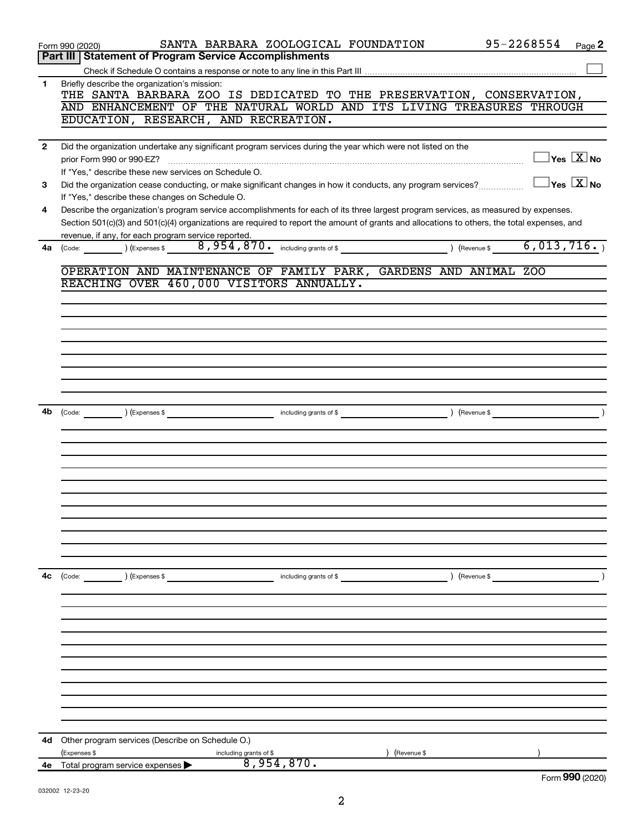|                | SANTA BARBARA ZOOLOGICAL FOUNDATION<br>Form 990 (2020)                                                                                                                                                                                                                               | 95-2268554<br>Page 2                      |
|----------------|--------------------------------------------------------------------------------------------------------------------------------------------------------------------------------------------------------------------------------------------------------------------------------------|-------------------------------------------|
|                | Part III   Statement of Program Service Accomplishments                                                                                                                                                                                                                              |                                           |
|                |                                                                                                                                                                                                                                                                                      |                                           |
| 1              | Briefly describe the organization's mission:<br>THE SANTA BARBARA ZOO IS DEDICATED TO THE PRESERVATION, CONSERVATION,                                                                                                                                                                |                                           |
|                | AND ENHANCEMENT OF THE NATURAL WORLD AND ITS LIVING TREASURES THROUGH                                                                                                                                                                                                                |                                           |
|                | EDUCATION, RESEARCH, AND RECREATION.                                                                                                                                                                                                                                                 |                                           |
| $\overline{2}$ | Did the organization undertake any significant program services during the year which were not listed on the                                                                                                                                                                         |                                           |
|                | prior Form 990 or 990-EZ?                                                                                                                                                                                                                                                            | $\Box$ Yes $[\overline{\mathrm{X}}]$ No   |
|                | If "Yes," describe these new services on Schedule O.                                                                                                                                                                                                                                 |                                           |
| 3              | Did the organization cease conducting, or make significant changes in how it conducts, any program services?                                                                                                                                                                         | $\overline{\ }$ Yes $\overline{\rm X}$ No |
|                | If "Yes," describe these changes on Schedule O.                                                                                                                                                                                                                                      |                                           |
| 4              | Describe the organization's program service accomplishments for each of its three largest program services, as measured by expenses.<br>Section 501(c)(3) and 501(c)(4) organizations are required to report the amount of grants and allocations to others, the total expenses, and |                                           |
|                | revenue, if any, for each program service reported.                                                                                                                                                                                                                                  |                                           |
| 4a             | 8,954,870. including grants of \$<br>) (Revenue \$<br>) (Expenses \$<br>(Code:                                                                                                                                                                                                       | 6,013,716.                                |
|                |                                                                                                                                                                                                                                                                                      |                                           |
|                | OPERATION AND MAINTENANCE OF FAMILY PARK, GARDENS AND ANIMAL ZOO                                                                                                                                                                                                                     |                                           |
|                | REACHING OVER 460,000 VISITORS ANNUALLY.                                                                                                                                                                                                                                             |                                           |
|                |                                                                                                                                                                                                                                                                                      |                                           |
|                |                                                                                                                                                                                                                                                                                      |                                           |
|                |                                                                                                                                                                                                                                                                                      |                                           |
|                |                                                                                                                                                                                                                                                                                      |                                           |
|                |                                                                                                                                                                                                                                                                                      |                                           |
|                |                                                                                                                                                                                                                                                                                      |                                           |
|                |                                                                                                                                                                                                                                                                                      |                                           |
| 4b             | ) (Expenses \$<br>) (Revenue \$                                                                                                                                                                                                                                                      |                                           |
|                | including grants of \$<br>(Code:                                                                                                                                                                                                                                                     |                                           |
|                |                                                                                                                                                                                                                                                                                      |                                           |
|                |                                                                                                                                                                                                                                                                                      |                                           |
|                |                                                                                                                                                                                                                                                                                      |                                           |
|                |                                                                                                                                                                                                                                                                                      |                                           |
|                |                                                                                                                                                                                                                                                                                      |                                           |
|                |                                                                                                                                                                                                                                                                                      |                                           |
|                |                                                                                                                                                                                                                                                                                      |                                           |
|                |                                                                                                                                                                                                                                                                                      |                                           |
|                |                                                                                                                                                                                                                                                                                      |                                           |
|                |                                                                                                                                                                                                                                                                                      |                                           |
| 4c             | ) (Expenses \$<br>) (Revenue \$<br>(Code:<br>including grants of \$                                                                                                                                                                                                                  |                                           |
|                |                                                                                                                                                                                                                                                                                      |                                           |
|                |                                                                                                                                                                                                                                                                                      |                                           |
|                |                                                                                                                                                                                                                                                                                      |                                           |
|                |                                                                                                                                                                                                                                                                                      |                                           |
|                |                                                                                                                                                                                                                                                                                      |                                           |
|                |                                                                                                                                                                                                                                                                                      |                                           |
|                |                                                                                                                                                                                                                                                                                      |                                           |
|                |                                                                                                                                                                                                                                                                                      |                                           |
|                |                                                                                                                                                                                                                                                                                      |                                           |
|                |                                                                                                                                                                                                                                                                                      |                                           |
| 4d             | Other program services (Describe on Schedule O.)                                                                                                                                                                                                                                     |                                           |
|                | (Expenses \$<br>including grants of \$<br>(Revenue \$                                                                                                                                                                                                                                |                                           |
| 4e             | 8,954,870.<br>Total program service expenses                                                                                                                                                                                                                                         | Form 990 (2020)                           |
|                |                                                                                                                                                                                                                                                                                      |                                           |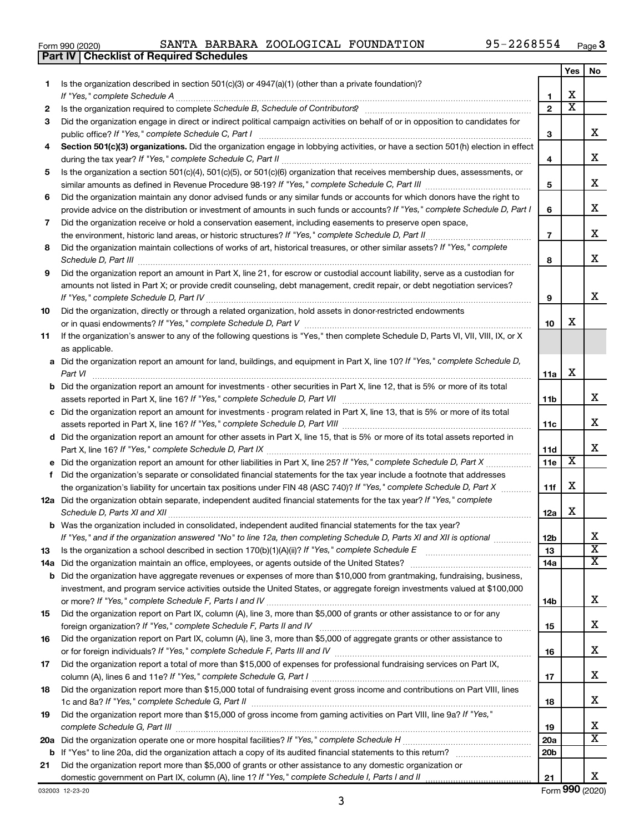| Form 990 (2020 |  |  |
|----------------|--|--|
|----------------|--|--|

**Part IV Checklist of Required Schedules**

|    |                                                                                                                                       |                 | Yes                        | No                      |
|----|---------------------------------------------------------------------------------------------------------------------------------------|-----------------|----------------------------|-------------------------|
| 1. | Is the organization described in section 501(c)(3) or 4947(a)(1) (other than a private foundation)?                                   |                 |                            |                         |
|    |                                                                                                                                       | 1               | х<br>$\overline{\text{x}}$ |                         |
| 2  |                                                                                                                                       | $\mathbf{2}$    |                            |                         |
| 3  | Did the organization engage in direct or indirect political campaign activities on behalf of or in opposition to candidates for       |                 |                            | х                       |
|    | Section 501(c)(3) organizations. Did the organization engage in lobbying activities, or have a section 501(h) election in effect      | 3               |                            |                         |
| 4  |                                                                                                                                       | 4               |                            | х                       |
| 5  | Is the organization a section 501(c)(4), 501(c)(5), or 501(c)(6) organization that receives membership dues, assessments, or          |                 |                            |                         |
|    |                                                                                                                                       | 5               |                            | х                       |
| 6  | Did the organization maintain any donor advised funds or any similar funds or accounts for which donors have the right to             |                 |                            |                         |
|    | provide advice on the distribution or investment of amounts in such funds or accounts? If "Yes," complete Schedule D, Part I          | 6               |                            | х                       |
| 7  | Did the organization receive or hold a conservation easement, including easements to preserve open space,                             |                 |                            |                         |
|    |                                                                                                                                       | $\overline{7}$  |                            | х                       |
| 8  | Did the organization maintain collections of works of art, historical treasures, or other similar assets? If "Yes," complete          |                 |                            |                         |
|    |                                                                                                                                       | 8               |                            | х                       |
| 9  | Did the organization report an amount in Part X, line 21, for escrow or custodial account liability, serve as a custodian for         |                 |                            |                         |
|    | amounts not listed in Part X; or provide credit counseling, debt management, credit repair, or debt negotiation services?             |                 |                            |                         |
|    |                                                                                                                                       | 9               |                            | х                       |
| 10 | Did the organization, directly or through a related organization, hold assets in donor-restricted endowments                          |                 |                            |                         |
|    |                                                                                                                                       | 10              | х                          |                         |
| 11 | If the organization's answer to any of the following questions is "Yes," then complete Schedule D, Parts VI, VII, VIII, IX, or X      |                 |                            |                         |
|    | as applicable.                                                                                                                        |                 |                            |                         |
|    | a Did the organization report an amount for land, buildings, and equipment in Part X, line 10? If "Yes," complete Schedule D,         |                 | х                          |                         |
|    | Part VI                                                                                                                               | 11a             |                            |                         |
|    | <b>b</b> Did the organization report an amount for investments - other securities in Part X, line 12, that is 5% or more of its total | 11b             |                            | х                       |
|    | c Did the organization report an amount for investments - program related in Part X, line 13, that is 5% or more of its total         |                 |                            |                         |
|    |                                                                                                                                       | 11c             |                            | x                       |
|    | d Did the organization report an amount for other assets in Part X, line 15, that is 5% or more of its total assets reported in       |                 |                            |                         |
|    |                                                                                                                                       | 11d             |                            | х                       |
|    |                                                                                                                                       | 11e             | X                          |                         |
| f  | Did the organization's separate or consolidated financial statements for the tax year include a footnote that addresses               |                 |                            |                         |
|    | the organization's liability for uncertain tax positions under FIN 48 (ASC 740)? If "Yes," complete Schedule D, Part X                | 11f             | х                          |                         |
|    | 12a Did the organization obtain separate, independent audited financial statements for the tax year? If "Yes," complete               |                 |                            |                         |
|    |                                                                                                                                       | 12a             | х                          |                         |
|    | <b>b</b> Was the organization included in consolidated, independent audited financial statements for the tax year?                    |                 |                            |                         |
|    | If "Yes," and if the organization answered "No" to line 12a, then completing Schedule D, Parts XI and XII is optional                 | 12 <sub>b</sub> |                            |                         |
| 13 | Is the organization a school described in section 170(b)(1)(A)(ii)? If "Yes," complete Schedule E [[[[[[[[[[[[                        | 13              |                            | $\overline{\textbf{x}}$ |
|    |                                                                                                                                       | 14a             |                            | $\overline{\mathbf{X}}$ |
|    | <b>b</b> Did the organization have aggregate revenues or expenses of more than \$10,000 from grantmaking, fundraising, business,      |                 |                            |                         |
|    | investment, and program service activities outside the United States, or aggregate foreign investments valued at \$100,000            | 14b             |                            | х                       |
| 15 | Did the organization report on Part IX, column (A), line 3, more than \$5,000 of grants or other assistance to or for any             |                 |                            |                         |
|    |                                                                                                                                       | 15              |                            | х                       |
| 16 | Did the organization report on Part IX, column (A), line 3, more than \$5,000 of aggregate grants or other assistance to              |                 |                            |                         |
|    |                                                                                                                                       | 16              |                            | x                       |
| 17 | Did the organization report a total of more than \$15,000 of expenses for professional fundraising services on Part IX,               |                 |                            |                         |
|    |                                                                                                                                       | 17              |                            | x                       |
| 18 | Did the organization report more than \$15,000 total of fundraising event gross income and contributions on Part VIII, lines          |                 |                            |                         |
|    |                                                                                                                                       | 18              |                            | X.                      |
| 19 | Did the organization report more than \$15,000 of gross income from gaming activities on Part VIII, line 9a? If "Yes,"                |                 |                            |                         |
|    |                                                                                                                                       | 19              |                            | x                       |
|    |                                                                                                                                       | 20a             |                            | X                       |
|    |                                                                                                                                       | 20 <sub>b</sub> |                            |                         |
| 21 | Did the organization report more than \$5,000 of grants or other assistance to any domestic organization or                           |                 |                            |                         |
|    |                                                                                                                                       | 21              |                            | x                       |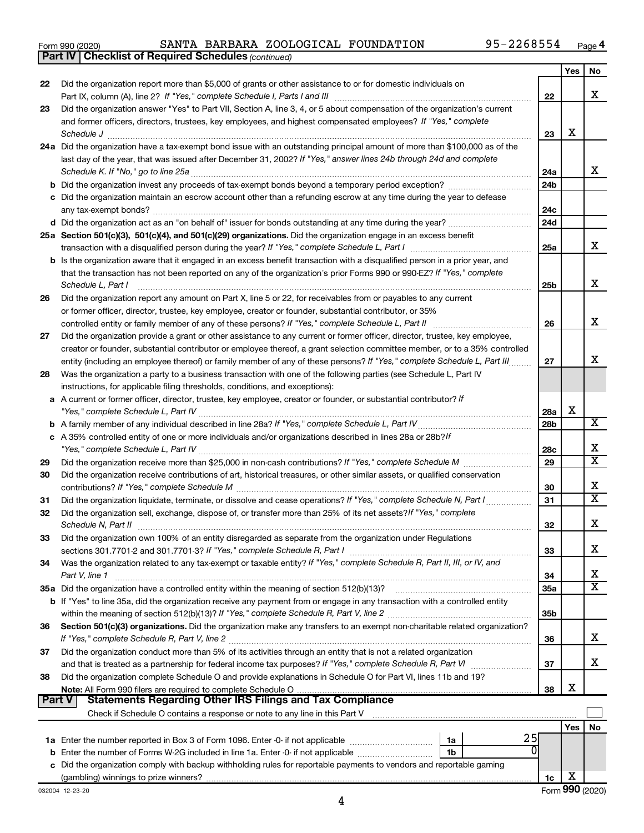|  | Form 990 (2020) |
|--|-----------------|
|  |                 |

*(continued)* **Part IV Checklist of Required Schedules**

|        |                                                                                                                                             |                 | Yes | No                      |
|--------|---------------------------------------------------------------------------------------------------------------------------------------------|-----------------|-----|-------------------------|
| 22     | Did the organization report more than \$5,000 of grants or other assistance to or for domestic individuals on                               |                 |     |                         |
|        |                                                                                                                                             | 22              |     | x                       |
| 23     | Did the organization answer "Yes" to Part VII, Section A, line 3, 4, or 5 about compensation of the organization's current                  |                 |     |                         |
|        | and former officers, directors, trustees, key employees, and highest compensated employees? If "Yes," complete                              |                 |     |                         |
|        |                                                                                                                                             | 23              | х   |                         |
|        | 24a Did the organization have a tax-exempt bond issue with an outstanding principal amount of more than \$100,000 as of the                 |                 |     |                         |
|        | last day of the year, that was issued after December 31, 2002? If "Yes," answer lines 24b through 24d and complete                          |                 |     | x                       |
|        | Schedule K. If "No," go to line 25a                                                                                                         | 24a             |     |                         |
|        |                                                                                                                                             | 24 <sub>b</sub> |     |                         |
|        | c Did the organization maintain an escrow account other than a refunding escrow at any time during the year to defease                      |                 |     |                         |
|        |                                                                                                                                             | 24c<br>24d      |     |                         |
|        |                                                                                                                                             |                 |     |                         |
|        | 25a Section 501(c)(3), 501(c)(4), and 501(c)(29) organizations. Did the organization engage in an excess benefit                            | 25a             |     | x                       |
|        | b Is the organization aware that it engaged in an excess benefit transaction with a disqualified person in a prior year, and                |                 |     |                         |
|        | that the transaction has not been reported on any of the organization's prior Forms 990 or 990-EZ? If "Yes," complete                       |                 |     |                         |
|        | Schedule L, Part I                                                                                                                          | 25b             |     | х                       |
| 26     | Did the organization report any amount on Part X, line 5 or 22, for receivables from or payables to any current                             |                 |     |                         |
|        | or former officer, director, trustee, key employee, creator or founder, substantial contributor, or 35%                                     |                 |     |                         |
|        |                                                                                                                                             | 26              |     | х                       |
| 27     | Did the organization provide a grant or other assistance to any current or former officer, director, trustee, key employee,                 |                 |     |                         |
|        | creator or founder, substantial contributor or employee thereof, a grant selection committee member, or to a 35% controlled                 |                 |     |                         |
|        | entity (including an employee thereof) or family member of any of these persons? If "Yes," complete Schedule L, Part III                    | 27              |     | х                       |
| 28     | Was the organization a party to a business transaction with one of the following parties (see Schedule L, Part IV                           |                 |     |                         |
|        | instructions, for applicable filing thresholds, conditions, and exceptions):                                                                |                 |     |                         |
|        | a A current or former officer, director, trustee, key employee, creator or founder, or substantial contributor? If                          |                 |     |                         |
|        |                                                                                                                                             | 28a             | х   |                         |
|        |                                                                                                                                             | 28 <sub>b</sub> |     | х                       |
|        | c A 35% controlled entity of one or more individuals and/or organizations described in lines 28a or 28b?If                                  |                 |     |                         |
|        |                                                                                                                                             | 28c             |     | х                       |
| 29     |                                                                                                                                             | 29              |     | $\overline{\text{x}}$   |
| 30     | Did the organization receive contributions of art, historical treasures, or other similar assets, or qualified conservation                 |                 |     |                         |
|        |                                                                                                                                             | 30              |     | х                       |
| 31     | Did the organization liquidate, terminate, or dissolve and cease operations? If "Yes," complete Schedule N, Part I                          | 31              |     | $\overline{\textbf{X}}$ |
| 32     | Did the organization sell, exchange, dispose of, or transfer more than 25% of its net assets? If "Yes," complete                            |                 |     |                         |
|        | Schedule N, Part II                                                                                                                         | 32              |     | х                       |
| 33     | Did the organization own 100% of an entity disregarded as separate from the organization under Regulations                                  |                 |     | х                       |
|        |                                                                                                                                             | 33              |     |                         |
| 34     | Was the organization related to any tax-exempt or taxable entity? If "Yes," complete Schedule R, Part II, III, or IV, and<br>Part V, line 1 | 34              |     | х                       |
|        |                                                                                                                                             | 35a             |     | $\overline{\text{X}}$   |
|        | b If "Yes" to line 35a, did the organization receive any payment from or engage in any transaction with a controlled entity                 |                 |     |                         |
|        |                                                                                                                                             | 35 <sub>b</sub> |     |                         |
| 36     | Section 501(c)(3) organizations. Did the organization make any transfers to an exempt non-charitable related organization?                  |                 |     |                         |
|        |                                                                                                                                             | 36              |     | х                       |
| 37     | Did the organization conduct more than 5% of its activities through an entity that is not a related organization                            |                 |     |                         |
|        | and that is treated as a partnership for federal income tax purposes? If "Yes," complete Schedule R, Part VI                                | 37              |     | x                       |
| 38     | Did the organization complete Schedule O and provide explanations in Schedule O for Part VI, lines 11b and 19?                              |                 |     |                         |
|        |                                                                                                                                             | 38              | х   |                         |
| Part V | Statements Regarding Other IRS Filings and Tax Compliance                                                                                   |                 |     |                         |
|        |                                                                                                                                             |                 |     |                         |
|        |                                                                                                                                             |                 | Yes | No                      |
|        | 25<br>1a                                                                                                                                    |                 |     |                         |
|        | 0<br>1b                                                                                                                                     |                 |     |                         |
|        | c Did the organization comply with backup withholding rules for reportable payments to vendors and reportable gaming                        |                 |     |                         |
|        |                                                                                                                                             | 1c              | х   |                         |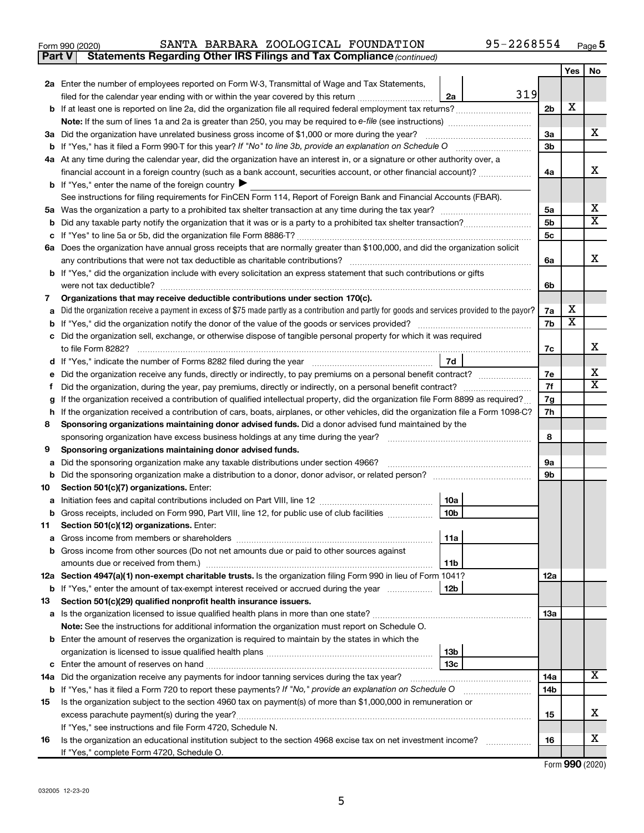| -<br>$\cap$<br>(2020)<br>Form<br>ອອບ | <b>BARBARA</b><br>AN"<br>.J'I'A | ZOOLOGICAL | FOUNDATION | יכ ace |
|--------------------------------------|---------------------------------|------------|------------|--------|
|                                      |                                 |            |            |        |

|     |                                                                                                                                                 |     |                      | Yes                     | No                      |  |  |  |
|-----|-------------------------------------------------------------------------------------------------------------------------------------------------|-----|----------------------|-------------------------|-------------------------|--|--|--|
|     | 2a Enter the number of employees reported on Form W-3, Transmittal of Wage and Tax Statements,                                                  |     |                      |                         |                         |  |  |  |
|     | filed for the calendar year ending with or within the year covered by this return<br>2a                                                         | 319 |                      |                         |                         |  |  |  |
|     |                                                                                                                                                 |     | 2 <sub>b</sub>       | x                       |                         |  |  |  |
|     | <b>Note:</b> If the sum of lines 1a and 2a is greater than 250, you may be required to e-file (see instructions) <i>manumanous</i>              |     |                      |                         |                         |  |  |  |
|     | 3a Did the organization have unrelated business gross income of \$1,000 or more during the year?                                                |     | За                   |                         | x                       |  |  |  |
|     |                                                                                                                                                 |     | 3b                   |                         |                         |  |  |  |
|     | 4a At any time during the calendar year, did the organization have an interest in, or a signature or other authority over, a                    |     |                      |                         |                         |  |  |  |
|     | financial account in a foreign country (such as a bank account, securities account, or other financial account)?                                |     | 4a                   |                         | x                       |  |  |  |
|     | <b>b</b> If "Yes," enter the name of the foreign country $\blacktriangleright$                                                                  |     |                      |                         |                         |  |  |  |
|     | See instructions for filing requirements for FinCEN Form 114, Report of Foreign Bank and Financial Accounts (FBAR).                             |     |                      |                         |                         |  |  |  |
|     |                                                                                                                                                 |     | 5a                   |                         | x                       |  |  |  |
|     |                                                                                                                                                 |     | 5 <sub>b</sub><br>5c |                         | $\overline{\text{X}}$   |  |  |  |
|     | 6a Does the organization have annual gross receipts that are normally greater than \$100,000, and did the organization solicit                  |     |                      |                         |                         |  |  |  |
|     |                                                                                                                                                 |     |                      |                         |                         |  |  |  |
|     | any contributions that were not tax deductible as charitable contributions?                                                                     |     | 6a                   |                         | x                       |  |  |  |
|     | b If "Yes," did the organization include with every solicitation an express statement that such contributions or gifts                          |     |                      |                         |                         |  |  |  |
|     | were not tax deductible?                                                                                                                        |     | 6b                   |                         |                         |  |  |  |
| 7   | Organizations that may receive deductible contributions under section 170(c).                                                                   |     |                      | х                       |                         |  |  |  |
| а   | Did the organization receive a payment in excess of \$75 made partly as a contribution and partly for goods and services provided to the payor? |     | 7a                   | $\overline{\textbf{x}}$ |                         |  |  |  |
|     |                                                                                                                                                 |     | 7b                   |                         |                         |  |  |  |
|     | c Did the organization sell, exchange, or otherwise dispose of tangible personal property for which it was required<br>to file Form 8282?       |     | 7c                   |                         | х                       |  |  |  |
|     | 7d                                                                                                                                              |     |                      |                         |                         |  |  |  |
|     | e Did the organization receive any funds, directly or indirectly, to pay premiums on a personal benefit contract?                               |     | 7е                   |                         | X                       |  |  |  |
| Ť.  |                                                                                                                                                 |     | 7f                   |                         | $\overline{\texttt{x}}$ |  |  |  |
| g   | If the organization received a contribution of qualified intellectual property, did the organization file Form 8899 as required?                |     |                      |                         |                         |  |  |  |
|     | h If the organization received a contribution of cars, boats, airplanes, or other vehicles, did the organization file a Form 1098-C?            |     |                      |                         |                         |  |  |  |
| 8   | Sponsoring organizations maintaining donor advised funds. Did a donor advised fund maintained by the                                            |     |                      |                         |                         |  |  |  |
|     | sponsoring organization have excess business holdings at any time during the year?                                                              |     | 8                    |                         |                         |  |  |  |
| 9   | Sponsoring organizations maintaining donor advised funds.                                                                                       |     |                      |                         |                         |  |  |  |
|     | a Did the sponsoring organization make any taxable distributions under section 4966?                                                            |     | 9а                   |                         |                         |  |  |  |
|     | <b>b</b> Did the sponsoring organization make a distribution to a donor, donor advisor, or related person?                                      |     | 9b                   |                         |                         |  |  |  |
| 10  | Section 501(c)(7) organizations. Enter:                                                                                                         |     |                      |                         |                         |  |  |  |
|     | 10a                                                                                                                                             |     |                      |                         |                         |  |  |  |
|     | 10 <sub>b</sub><br>Gross receipts, included on Form 990, Part VIII, line 12, for public use of club facilities                                  |     |                      |                         |                         |  |  |  |
| 11. | Section 501(c)(12) organizations. Enter:                                                                                                        |     |                      |                         |                         |  |  |  |
|     | 11a                                                                                                                                             |     |                      |                         |                         |  |  |  |
|     | <b>b</b> Gross income from other sources (Do not net amounts due or paid to other sources against                                               |     |                      |                         |                         |  |  |  |
|     | 11b                                                                                                                                             |     |                      |                         |                         |  |  |  |
|     | 12a Section 4947(a)(1) non-exempt charitable trusts. Is the organization filing Form 990 in lieu of Form 1041?                                  |     | 12a                  |                         |                         |  |  |  |
|     | <b>b</b> If "Yes," enter the amount of tax-exempt interest received or accrued during the year<br>12b                                           |     |                      |                         |                         |  |  |  |
| 13  | Section 501(c)(29) qualified nonprofit health insurance issuers.                                                                                |     | 13a                  |                         |                         |  |  |  |
|     | Note: See the instructions for additional information the organization must report on Schedule O.                                               |     |                      |                         |                         |  |  |  |
|     | <b>b</b> Enter the amount of reserves the organization is required to maintain by the states in which the                                       |     |                      |                         |                         |  |  |  |
|     | 13 <sub>b</sub>                                                                                                                                 |     |                      |                         |                         |  |  |  |
|     | 13c                                                                                                                                             |     |                      |                         |                         |  |  |  |
|     | 14a Did the organization receive any payments for indoor tanning services during the tax year?                                                  |     | 14a                  |                         | $\overline{\mathbf{X}}$ |  |  |  |
|     | <b>b</b> If "Yes," has it filed a Form 720 to report these payments? If "No," provide an explanation on Schedule O                              |     | 14b                  |                         |                         |  |  |  |
| 15  | Is the organization subject to the section 4960 tax on payment(s) of more than \$1,000,000 in remuneration or                                   |     |                      |                         |                         |  |  |  |
|     |                                                                                                                                                 |     | 15                   |                         | x                       |  |  |  |
|     | If "Yes," see instructions and file Form 4720, Schedule N.                                                                                      |     |                      |                         |                         |  |  |  |
| 16  | Is the organization an educational institution subject to the section 4968 excise tax on net investment income?                                 |     | 16                   |                         | x                       |  |  |  |
|     | If "Yes," complete Form 4720, Schedule O.                                                                                                       |     |                      |                         |                         |  |  |  |

**Part V** Statements Regarding Other IRS Filings and Tax Compliance (continued)

Form (2020) **990**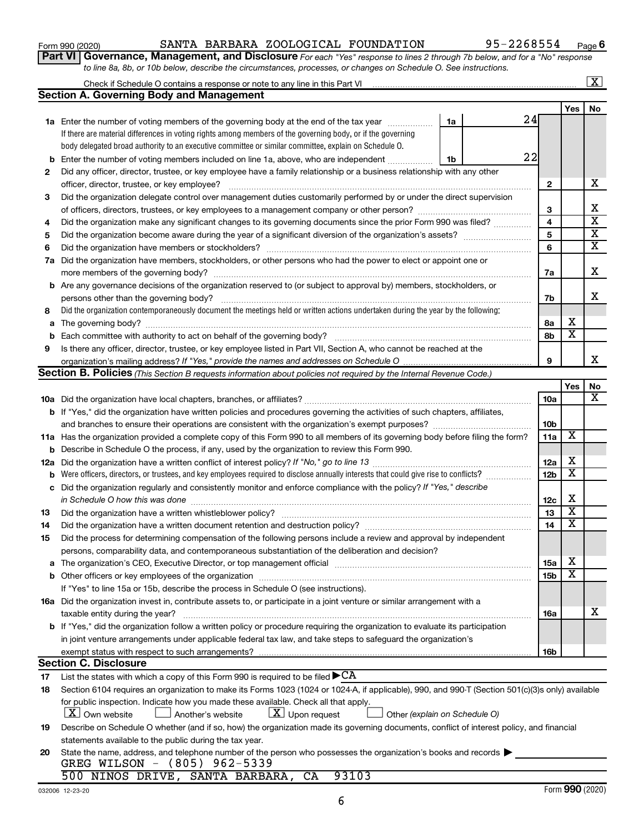| Form 990 (2020)<br>$\overline{\phantom{a}}$ | SANTA<br>- - | <b>BARBARA</b> | ZOOLOGICAL | FOUNDATION | 2200004 | Page |
|---------------------------------------------|--------------|----------------|------------|------------|---------|------|
|                                             |              |                |            |            |         |      |

*For each "Yes" response to lines 2 through 7b below, and for a "No" response to line 8a, 8b, or 10b below, describe the circumstances, processes, or changes on Schedule O. See instructions.* **Part VI Governance, Management, and Disclosure** 

|     | Check if Schedule O contains a response or note to any line in this Part VI [11] [11] [11] Check if Schedule O contains a response or note to any line in this Part VI |                 |                         | $\boxed{\text{X}}$      |
|-----|------------------------------------------------------------------------------------------------------------------------------------------------------------------------|-----------------|-------------------------|-------------------------|
|     | <b>Section A. Governing Body and Management</b>                                                                                                                        |                 |                         |                         |
|     |                                                                                                                                                                        |                 | Yes                     | No                      |
|     | 24<br>1a Enter the number of voting members of the governing body at the end of the tax year<br>1a                                                                     |                 |                         |                         |
|     | If there are material differences in voting rights among members of the governing body, or if the governing                                                            |                 |                         |                         |
|     | body delegated broad authority to an executive committee or similar committee, explain on Schedule O.                                                                  |                 |                         |                         |
| b   | 22<br>Enter the number of voting members included on line 1a, above, who are independent<br>1b                                                                         |                 |                         |                         |
| 2   | Did any officer, director, trustee, or key employee have a family relationship or a business relationship with any other                                               |                 |                         |                         |
|     | officer, director, trustee, or key employee?                                                                                                                           | $\mathbf{2}$    |                         | х                       |
| 3   | Did the organization delegate control over management duties customarily performed by or under the direct supervision                                                  |                 |                         |                         |
|     |                                                                                                                                                                        | 3               |                         | х                       |
| 4   | Did the organization make any significant changes to its governing documents since the prior Form 990 was filed?                                                       | 4               |                         | $\overline{\textbf{x}}$ |
| 5   |                                                                                                                                                                        | 5               |                         | $\overline{\textbf{X}}$ |
| 6   |                                                                                                                                                                        | 6               |                         | $\overline{\textbf{x}}$ |
| 7a  | Did the organization have members, stockholders, or other persons who had the power to elect or appoint one or                                                         |                 |                         |                         |
|     |                                                                                                                                                                        | 7a              |                         | X                       |
| b   | Are any governance decisions of the organization reserved to (or subject to approval by) members, stockholders, or                                                     |                 |                         |                         |
|     | persons other than the governing body?                                                                                                                                 | 7b              |                         | х                       |
| 8   | Did the organization contemporaneously document the meetings held or written actions undertaken during the year by the following:                                      |                 |                         |                         |
| а   |                                                                                                                                                                        | 8а              | х                       |                         |
| b   |                                                                                                                                                                        | 8b              | $\overline{\textbf{x}}$ |                         |
| 9   | Is there any officer, director, trustee, or key employee listed in Part VII, Section A, who cannot be reached at the                                                   |                 |                         |                         |
|     |                                                                                                                                                                        | 9               |                         | X                       |
|     | Section B. Policies (This Section B requests information about policies not required by the Internal Revenue Code.)                                                    |                 |                         |                         |
|     |                                                                                                                                                                        |                 | Yes                     | No                      |
|     |                                                                                                                                                                        | 10a             |                         | х                       |
|     |                                                                                                                                                                        |                 |                         |                         |
|     | <b>b</b> If "Yes," did the organization have written policies and procedures governing the activities of such chapters, affiliates,                                    | 10b             |                         |                         |
|     | and branches to ensure their operations are consistent with the organization's exempt purposes? www.www.www.www.                                                       | 11a             | X                       |                         |
|     | 11a Has the organization provided a complete copy of this Form 990 to all members of its governing body before filing the form?                                        |                 |                         |                         |
| b   | Describe in Schedule O the process, if any, used by the organization to review this Form 990.                                                                          | 12a             | х                       |                         |
| 12a |                                                                                                                                                                        |                 | $\overline{\mathbf{X}}$ |                         |
| b   | Were officers, directors, or trustees, and key employees required to disclose annually interests that could give rise to conflicts?                                    | 12 <sub>b</sub> |                         |                         |
| с   | Did the organization regularly and consistently monitor and enforce compliance with the policy? If "Yes," describe                                                     |                 | х                       |                         |
|     |                                                                                                                                                                        | 12c             | $\overline{\mathbf{X}}$ |                         |
| 13  | Did the organization have a written whistleblower policy?                                                                                                              | 13              | $\overline{\mathbf{X}}$ |                         |
| 14  |                                                                                                                                                                        | 14              |                         |                         |
| 15  | Did the process for determining compensation of the following persons include a review and approval by independent                                                     |                 |                         |                         |
|     | persons, comparability data, and contemporaneous substantiation of the deliberation and decision?                                                                      |                 | х                       |                         |
|     |                                                                                                                                                                        | 15a             | $\overline{\textbf{x}}$ |                         |
|     |                                                                                                                                                                        | 15b             |                         |                         |
|     | If "Yes" to line 15a or 15b, describe the process in Schedule O (see instructions).                                                                                    |                 |                         |                         |
|     | 16a Did the organization invest in, contribute assets to, or participate in a joint venture or similar arrangement with a                                              |                 |                         |                         |
|     | taxable entity during the year?                                                                                                                                        | 16a             |                         | X                       |
|     | b If "Yes," did the organization follow a written policy or procedure requiring the organization to evaluate its participation                                         |                 |                         |                         |
|     | in joint venture arrangements under applicable federal tax law, and take steps to safeguard the organization's                                                         |                 |                         |                         |
|     | exempt status with respect to such arrangements?                                                                                                                       | 16b             |                         |                         |
|     | <b>Section C. Disclosure</b>                                                                                                                                           |                 |                         |                         |
| 17  | List the states with which a copy of this Form 990 is required to be filed $\blacktriangleright$ CA                                                                    |                 |                         |                         |
| 18  | Section 6104 requires an organization to make its Forms 1023 (1024 or 1024-A, if applicable), 990, and 990-T (Section 501(c)(3)s only) available                       |                 |                         |                         |
|     | for public inspection. Indicate how you made these available. Check all that apply.                                                                                    |                 |                         |                         |
|     | X   Own website<br>$\lfloor \underline{X} \rfloor$ Upon request<br>Another's website<br>Other (explain on Schedule O)                                                  |                 |                         |                         |
| 19  | Describe on Schedule O whether (and if so, how) the organization made its governing documents, conflict of interest policy, and financial                              |                 |                         |                         |
|     | statements available to the public during the tax year.                                                                                                                |                 |                         |                         |
| 20  | State the name, address, and telephone number of the person who possesses the organization's books and records                                                         |                 |                         |                         |
|     | GREG WILSON - (805) 962-5339                                                                                                                                           |                 |                         |                         |
|     | 500 NINOS DRIVE, SANTA BARBARA,<br>93103<br>CA                                                                                                                         |                 |                         |                         |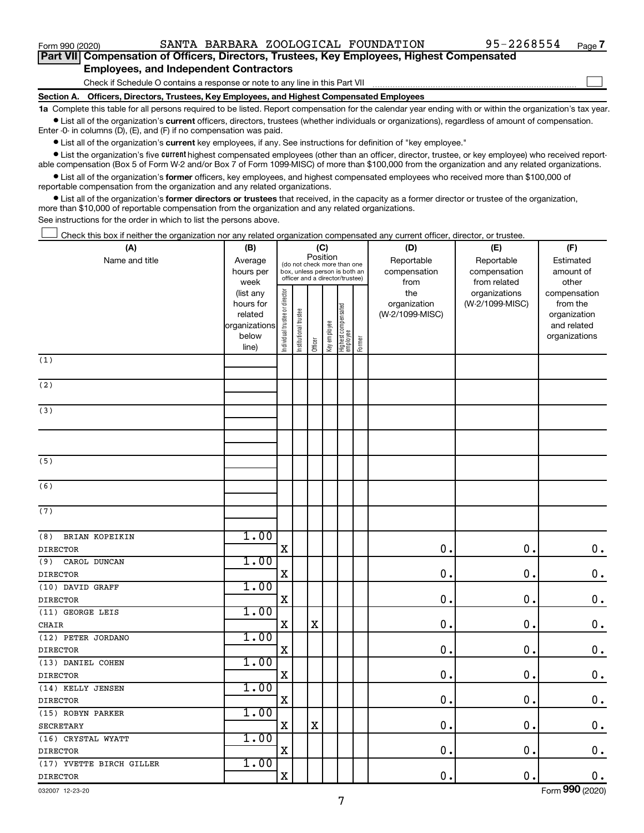$\Box$ 

| Part VII Compensation of Officers, Directors, Trustees, Key Employees, Highest Compensated |
|--------------------------------------------------------------------------------------------|
| <b>Employees, and Independent Contractors</b>                                              |

Check if Schedule O contains a response or note to any line in this Part VII

**Section A. Officers, Directors, Trustees, Key Employees, and Highest Compensated Employees**

**1a**  Complete this table for all persons required to be listed. Report compensation for the calendar year ending with or within the organization's tax year.  $\bullet$  List all of the organization's current officers, directors, trustees (whether individuals or organizations), regardless of amount of compensation.

Enter -0- in columns (D), (E), and (F) if no compensation was paid.

**•** List all of the organization's current key employees, if any. See instructions for definition of "key employee."

• List the organization's five *current* highest compensated employees (other than an officer, director, trustee, or key employee) who received reportable compensation (Box 5 of Form W-2 and/or Box 7 of Form 1099-MISC) of more than \$100,000 from the organization and any related organizations.

 $\bullet$  List all of the organization's former officers, key employees, and highest compensated employees who received more than \$100,000 of reportable compensation from the organization and any related organizations.

**•** List all of the organization's former directors or trustees that received, in the capacity as a former director or trustee of the organization, more than \$10,000 of reportable compensation from the organization and any related organizations.

See instructions for the order in which to list the persons above.

Check this box if neither the organization nor any related organization compensated any current officer, director, or trustee.  $\Box$ 

| (A)                                  | (B)                  |                                         |                                                                  | (C)         |              |                                 |        | (D)                             | (E)             | (F)                         |
|--------------------------------------|----------------------|-----------------------------------------|------------------------------------------------------------------|-------------|--------------|---------------------------------|--------|---------------------------------|-----------------|-----------------------------|
| Name and title                       | Average              | Position<br>(do not check more than one |                                                                  |             |              |                                 |        | Reportable                      | Reportable      | Estimated                   |
|                                      | hours per            |                                         | box, unless person is both an<br>officer and a director/trustee) |             |              |                                 |        | compensation                    | compensation    | amount of                   |
|                                      | week                 |                                         |                                                                  |             |              |                                 |        | from                            | from related    | other                       |
|                                      | (list any            |                                         |                                                                  |             |              |                                 |        | the                             | organizations   | compensation                |
|                                      | hours for<br>related |                                         |                                                                  |             |              |                                 |        | organization<br>(W-2/1099-MISC) | (W-2/1099-MISC) | from the                    |
|                                      | organizations        |                                         |                                                                  |             |              |                                 |        |                                 |                 | organization<br>and related |
|                                      | below                |                                         |                                                                  |             |              |                                 |        |                                 |                 | organizations               |
|                                      | line)                | Individual trustee or director          | Institutional trustee                                            | Officer     | Key employee | Highest compensated<br>employee | Former |                                 |                 |                             |
| $\overline{(1)}$                     |                      |                                         |                                                                  |             |              |                                 |        |                                 |                 |                             |
|                                      |                      |                                         |                                                                  |             |              |                                 |        |                                 |                 |                             |
| (2)                                  |                      |                                         |                                                                  |             |              |                                 |        |                                 |                 |                             |
| (3)                                  |                      |                                         |                                                                  |             |              |                                 |        |                                 |                 |                             |
|                                      |                      |                                         |                                                                  |             |              |                                 |        |                                 |                 |                             |
|                                      |                      |                                         |                                                                  |             |              |                                 |        |                                 |                 |                             |
|                                      |                      |                                         |                                                                  |             |              |                                 |        |                                 |                 |                             |
| (5)                                  |                      |                                         |                                                                  |             |              |                                 |        |                                 |                 |                             |
| (6)                                  |                      |                                         |                                                                  |             |              |                                 |        |                                 |                 |                             |
|                                      |                      |                                         |                                                                  |             |              |                                 |        |                                 |                 |                             |
| (7)                                  |                      |                                         |                                                                  |             |              |                                 |        |                                 |                 |                             |
| (8)<br>BRIAN KOPEIKIN                | 1.00                 |                                         |                                                                  |             |              |                                 |        |                                 |                 |                             |
| <b>DIRECTOR</b>                      |                      | $\mathbf X$                             |                                                                  |             |              |                                 |        | $\mathbf 0$ .                   | $\mathbf 0$     | $\mathbf 0$ .               |
| (9)<br>CAROL DUNCAN                  | 1.00                 |                                         |                                                                  |             |              |                                 |        |                                 |                 |                             |
| <b>DIRECTOR</b>                      |                      | $\mathbf x$                             |                                                                  |             |              |                                 |        | $\mathbf 0$ .                   | $\mathbf 0$ .   | $\mathbf 0$ .               |
| (10) DAVID GRAFF                     | 1.00                 |                                         |                                                                  |             |              |                                 |        |                                 |                 |                             |
| <b>DIRECTOR</b>                      |                      | $\mathbf X$                             |                                                                  |             |              |                                 |        | $\mathbf 0$ .                   | $\mathbf 0$     | $\boldsymbol{0}$ .          |
| (11) GEORGE LEIS                     | 1.00                 |                                         |                                                                  |             |              |                                 |        |                                 |                 |                             |
| CHAIR                                |                      | X                                       |                                                                  | $\mathbf X$ |              |                                 |        | $\mathbf 0$ .                   | $\mathbf 0$ .   | $\mathbf 0$ .               |
| (12) PETER JORDANO                   | 1.00                 |                                         |                                                                  |             |              |                                 |        |                                 |                 |                             |
| <b>DIRECTOR</b>                      |                      | $\mathbf x$                             |                                                                  |             |              |                                 |        | $\mathbf 0$ .                   | $\mathbf 0$ .   | $\mathbf 0$ .               |
| (13) DANIEL COHEN                    | 1.00                 |                                         |                                                                  |             |              |                                 |        |                                 |                 |                             |
|                                      |                      | $\mathbf x$                             |                                                                  |             |              |                                 |        | $\mathbf 0$ .                   | $\mathbf 0$ .   | $\mathbf 0$ .               |
| <b>DIRECTOR</b><br>(14) KELLY JENSEN | 1.00                 |                                         |                                                                  |             |              |                                 |        |                                 |                 |                             |
| <b>DIRECTOR</b>                      |                      | $\mathbf x$                             |                                                                  |             |              |                                 |        | $\mathbf 0$ .                   | 0.              | $0$ .                       |
| (15) ROBYN PARKER                    | 1.00                 |                                         |                                                                  |             |              |                                 |        |                                 |                 |                             |
| <b>SECRETARY</b>                     |                      | $\mathbf X$                             |                                                                  | $\mathbf X$ |              |                                 |        | 0.                              | 0.              | $\mathbf 0$ .               |
| (16) CRYSTAL WYATT                   | 1.00                 |                                         |                                                                  |             |              |                                 |        |                                 |                 |                             |
| <b>DIRECTOR</b>                      |                      | $\mathbf x$                             |                                                                  |             |              |                                 |        | 0.                              | 0.              | $\mathbf 0$ .               |
| (17) YVETTE BIRCH GILLER             | 1.00                 |                                         |                                                                  |             |              |                                 |        |                                 |                 |                             |
| <b>DIRECTOR</b>                      |                      | $\mathbf X$                             |                                                                  |             |              |                                 |        | 0.                              | 0.              | $\mathbf 0$ .               |
|                                      |                      |                                         |                                                                  |             |              |                                 |        |                                 |                 |                             |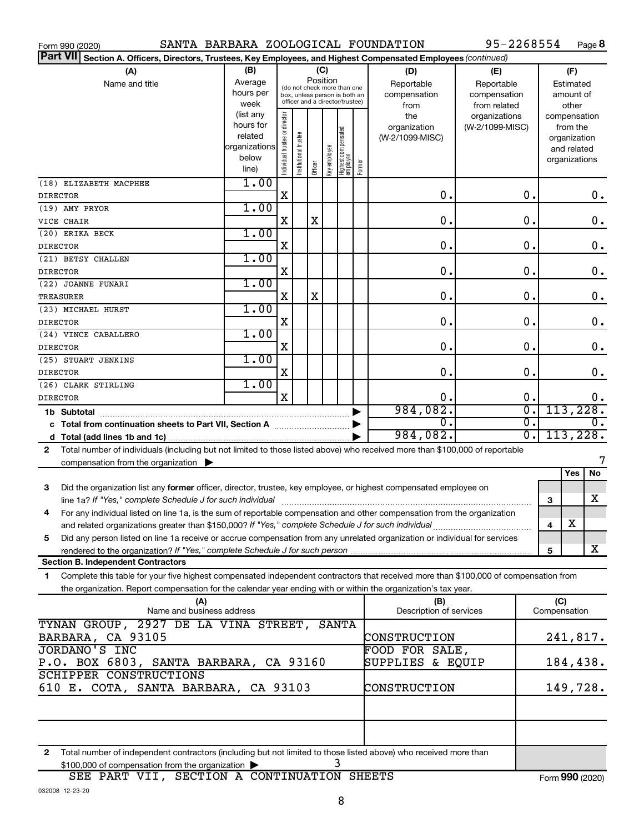| SANTA BARBARA ZOOLOGICAL FOUNDATION<br>Form 990 (2020)                                                                                       |                   |                                |                       |         |              |                                                                  |        |                         | 95-2268554                    |              |                       | Page 8           |
|----------------------------------------------------------------------------------------------------------------------------------------------|-------------------|--------------------------------|-----------------------|---------|--------------|------------------------------------------------------------------|--------|-------------------------|-------------------------------|--------------|-----------------------|------------------|
| <b>Part VII</b><br>Section A. Officers, Directors, Trustees, Key Employees, and Highest Compensated Employees (continued)                    |                   |                                |                       |         |              |                                                                  |        |                         |                               |              |                       |                  |
| (A)                                                                                                                                          | (B)               |                                |                       | (C)     |              |                                                                  |        | (D)                     | (E)                           |              | (F)                   |                  |
| Name and title                                                                                                                               | Average           |                                |                       |         | Position     | (do not check more than one                                      |        | Reportable              | Reportable                    |              | Estimated             |                  |
|                                                                                                                                              | hours per<br>week |                                |                       |         |              | box, unless person is both an<br>officer and a director/trustee) |        | compensation            | compensation                  |              | amount of             |                  |
|                                                                                                                                              | (list any         |                                |                       |         |              |                                                                  |        | from<br>the             | from related<br>organizations |              | other<br>compensation |                  |
|                                                                                                                                              | hours for         |                                |                       |         |              |                                                                  |        | organization            | (W-2/1099-MISC)               |              | from the              |                  |
|                                                                                                                                              | related           |                                |                       |         |              |                                                                  |        | (W-2/1099-MISC)         |                               |              | organization          |                  |
|                                                                                                                                              | organizations     |                                |                       |         |              |                                                                  |        |                         |                               |              | and related           |                  |
|                                                                                                                                              | below<br>line)    | Individual trustee or director | Institutional trustee | Officer | Key employee | Highest compensated<br>employee                                  | Former |                         |                               |              | organizations         |                  |
|                                                                                                                                              | 1.00              |                                |                       |         |              |                                                                  |        |                         |                               |              |                       |                  |
| (18) ELIZABETH MACPHEE                                                                                                                       |                   | X                              |                       |         |              |                                                                  |        | $\mathbf 0$ .           | 0.                            |              |                       | 0.               |
| <b>DIRECTOR</b><br>(19) AMY PRYOR                                                                                                            | 1.00              |                                |                       |         |              |                                                                  |        |                         |                               |              |                       |                  |
| VICE CHAIR                                                                                                                                   |                   | х                              |                       | X       |              |                                                                  |        | 0.                      | 0.                            |              |                       | $\mathbf 0$ .    |
| (20) ERIKA BECK                                                                                                                              | 1.00              |                                |                       |         |              |                                                                  |        |                         |                               |              |                       |                  |
| <b>DIRECTOR</b>                                                                                                                              |                   | х                              |                       |         |              |                                                                  |        | 0.                      | 0.                            |              |                       | $0$ .            |
| (21) BETSY CHALLEN                                                                                                                           | 1.00              |                                |                       |         |              |                                                                  |        |                         |                               |              |                       |                  |
| <b>DIRECTOR</b>                                                                                                                              |                   | X                              |                       |         |              |                                                                  |        | $\mathbf 0$ .           | 0.                            |              |                       | $0$ .            |
| (22) JOANNE FUNARI                                                                                                                           | 1.00              |                                |                       |         |              |                                                                  |        |                         |                               |              |                       |                  |
| TREASURER                                                                                                                                    |                   | X                              |                       | X       |              |                                                                  |        | $\mathbf 0$ .           | 0.                            |              |                       | $\mathbf 0$ .    |
| (23) MICHAEL HURST                                                                                                                           | 1.00              |                                |                       |         |              |                                                                  |        |                         |                               |              |                       |                  |
| <b>DIRECTOR</b>                                                                                                                              |                   | х                              |                       |         |              |                                                                  |        | $\mathbf 0$ .           | 0.                            |              |                       | $\mathbf 0$ .    |
| (24) VINCE CABALLERO                                                                                                                         | 1.00              |                                |                       |         |              |                                                                  |        |                         |                               |              |                       |                  |
| DIRECTOR                                                                                                                                     |                   | х                              |                       |         |              |                                                                  |        | $\mathbf 0$ .           | 0.                            |              |                       | $\mathbf 0$ .    |
| (25) STUART JENKINS                                                                                                                          | 1.00              |                                |                       |         |              |                                                                  |        |                         |                               |              |                       |                  |
| <b>DIRECTOR</b>                                                                                                                              |                   | X                              |                       |         |              |                                                                  |        | $\mathbf 0$ .           | 0.                            |              |                       | $0$ .            |
| (26) CLARK STIRLING                                                                                                                          | 1.00              |                                |                       |         |              |                                                                  |        |                         |                               |              |                       |                  |
| <b>DIRECTOR</b>                                                                                                                              |                   | X                              |                       |         |              |                                                                  |        | $\mathbf 0$ .           | 0.                            |              |                       | 0.               |
| 1b Subtotal                                                                                                                                  |                   |                                |                       |         |              |                                                                  |        | 984,082.                | $\overline{0}$ .              |              | 113,228.              |                  |
| c Total from continuation sheets to Part VII, Section A <b>Marting</b> Contains a material of the Total A                                    |                   |                                |                       |         |              |                                                                  |        | 0.                      | σ.                            |              |                       | $\overline{0}$ . |
|                                                                                                                                              |                   |                                |                       |         |              |                                                                  |        | 984,082.                | $\overline{0}$ .              |              | 113,228.              |                  |
| Total number of individuals (including but not limited to those listed above) who received more than \$100,000 of reportable<br>$\mathbf{2}$ |                   |                                |                       |         |              |                                                                  |        |                         |                               |              |                       | 7                |
| compensation from the organization $\blacktriangleright$                                                                                     |                   |                                |                       |         |              |                                                                  |        |                         |                               |              | Yes                   | No               |
| 3                                                                                                                                            |                   |                                |                       |         |              |                                                                  |        |                         |                               |              |                       |                  |
| Did the organization list any former officer, director, trustee, key employee, or highest compensated employee on                            |                   |                                |                       |         |              |                                                                  |        |                         |                               | 3            |                       | x                |
| For any individual listed on line 1a, is the sum of reportable compensation and other compensation from the organization<br>4                |                   |                                |                       |         |              |                                                                  |        |                         |                               |              |                       |                  |
| and related organizations greater than \$150,000? If "Yes," complete Schedule J for such individual                                          |                   |                                |                       |         |              |                                                                  |        |                         |                               | 4            | х                     |                  |
| Did any person listed on line 1a receive or accrue compensation from any unrelated organization or individual for services<br>5              |                   |                                |                       |         |              |                                                                  |        |                         |                               |              |                       |                  |
|                                                                                                                                              |                   |                                |                       |         |              |                                                                  |        |                         |                               | 5            |                       | x                |
| <b>Section B. Independent Contractors</b>                                                                                                    |                   |                                |                       |         |              |                                                                  |        |                         |                               |              |                       |                  |
| Complete this table for your five highest compensated independent contractors that received more than \$100,000 of compensation from<br>1.   |                   |                                |                       |         |              |                                                                  |        |                         |                               |              |                       |                  |
| the organization. Report compensation for the calendar year ending with or within the organization's tax year.                               |                   |                                |                       |         |              |                                                                  |        |                         |                               |              |                       |                  |
| (A)                                                                                                                                          |                   |                                |                       |         |              |                                                                  |        | (B)                     |                               |              | (C)                   |                  |
| Name and business address                                                                                                                    |                   |                                |                       |         |              |                                                                  |        | Description of services |                               | Compensation |                       |                  |
| TYNAN GROUP, 2927 DE LA VINA STREET,                                                                                                         |                   |                                |                       |         |              | SANTA                                                            |        |                         |                               |              |                       |                  |
| BARBARA, CA 93105                                                                                                                            |                   |                                |                       |         |              |                                                                  |        | CONSTRUCTION            |                               |              |                       | 241,817.         |
| <b>JORDANO'S INC</b>                                                                                                                         |                   |                                |                       |         |              |                                                                  |        | FOOD FOR SALE,          |                               |              |                       |                  |
| P.O. BOX 6803, SANTA BARBARA, CA 93160                                                                                                       |                   |                                |                       |         |              |                                                                  |        | SUPPLIES & EQUIP        |                               |              |                       | 184,438.         |
| <b>SCHIPPER CONSTRUCTIONS</b>                                                                                                                |                   |                                |                       |         |              |                                                                  |        | CONSTRUCTION            |                               |              |                       |                  |
| 610 E. COTA, SANTA BARBARA, CA 93103                                                                                                         |                   |                                |                       |         |              |                                                                  |        |                         |                               |              | 149,728.              |                  |
|                                                                                                                                              |                   |                                |                       |         |              |                                                                  |        |                         |                               |              |                       |                  |

**2** Total number of independent contractors (including but not limited to those listed above) who received more than \$100,000 of compensation from the organization | 3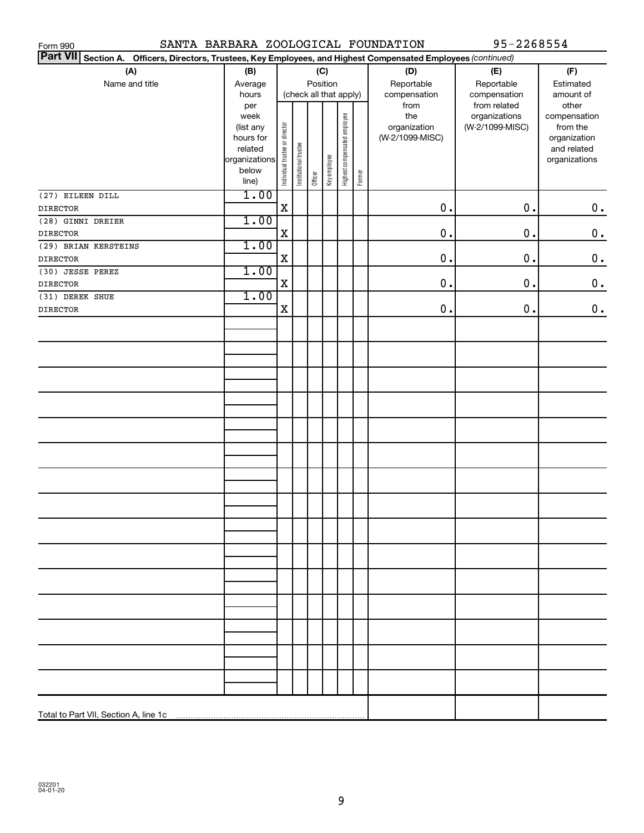| SANTA BARBARA ZOOLOGICAL FOUNDATION<br>Form 990                                                                 |                   |                                |                       |                        |              |                              |        |                     | 95-2268554                       |                          |
|-----------------------------------------------------------------------------------------------------------------|-------------------|--------------------------------|-----------------------|------------------------|--------------|------------------------------|--------|---------------------|----------------------------------|--------------------------|
| Part VII Section A. Officers, Directors, Trustees, Key Employees, and Highest Compensated Employees (continued) |                   |                                |                       |                        |              |                              |        |                     |                                  |                          |
| (A)                                                                                                             | (B)               |                                |                       |                        | (C)          |                              |        | (D)                 | (E)                              | (F)                      |
| Name and title                                                                                                  | Average           |                                | Position              |                        |              |                              |        | Reportable          | Reportable                       | Estimated                |
|                                                                                                                 | hours             |                                |                       | (check all that apply) |              |                              |        | compensation        | compensation                     | amount of                |
|                                                                                                                 | per               |                                |                       |                        |              |                              |        | from                | from related                     | other                    |
|                                                                                                                 | week<br>(list any |                                |                       |                        |              |                              |        | the<br>organization | organizations<br>(W-2/1099-MISC) | compensation<br>from the |
|                                                                                                                 | hours for         |                                |                       |                        |              |                              |        | (W-2/1099-MISC)     |                                  | organization             |
|                                                                                                                 | related           |                                |                       |                        |              |                              |        |                     |                                  | and related              |
|                                                                                                                 | organizations     |                                |                       |                        |              |                              |        |                     |                                  | organizations            |
|                                                                                                                 | below<br>line)    | Individual trustee or director | Institutional trustee | Officer                | Key employee | Highest compensated employee | Former |                     |                                  |                          |
|                                                                                                                 | 1.00              |                                |                       |                        |              |                              |        |                     |                                  |                          |
| (27) EILEEN DILL<br><b>DIRECTOR</b>                                                                             |                   | $\mathbf X$                    |                       |                        |              |                              |        | 0.                  | $\mathbf 0$ .                    | $\boldsymbol{0}$ .       |
| (28) GINNI DREIER                                                                                               | 1.00              |                                |                       |                        |              |                              |        |                     |                                  |                          |
| <b>DIRECTOR</b>                                                                                                 |                   | X                              |                       |                        |              |                              |        | 0.                  | $\mathbf 0$ .                    | $\mathbf 0$ .            |
| (29) BRIAN KERSTEINS                                                                                            | 1.00              |                                |                       |                        |              |                              |        |                     |                                  |                          |
| <b>DIRECTOR</b>                                                                                                 |                   | $\mathbf X$                    |                       |                        |              |                              |        | 0.                  | $\mathbf 0$ .                    | $\mathbf 0$ .            |
| (30) JESSE PEREZ                                                                                                | 1.00              |                                |                       |                        |              |                              |        |                     |                                  |                          |
| <b>DIRECTOR</b>                                                                                                 |                   | X                              |                       |                        |              |                              |        | 0.                  | $\mathbf 0$ .                    | $\mathbf 0$ .            |
| (31) DEREK SHUE                                                                                                 | 1.00              |                                |                       |                        |              |                              |        |                     |                                  |                          |
| <b>DIRECTOR</b>                                                                                                 |                   | X                              |                       |                        |              |                              |        | $0$ .               | $\mathbf 0$ .                    | $\boldsymbol{0}$ .       |
|                                                                                                                 |                   |                                |                       |                        |              |                              |        |                     |                                  |                          |
|                                                                                                                 |                   |                                |                       |                        |              |                              |        |                     |                                  |                          |
|                                                                                                                 |                   |                                |                       |                        |              |                              |        |                     |                                  |                          |
|                                                                                                                 |                   |                                |                       |                        |              |                              |        |                     |                                  |                          |
|                                                                                                                 |                   |                                |                       |                        |              |                              |        |                     |                                  |                          |
|                                                                                                                 |                   |                                |                       |                        |              |                              |        |                     |                                  |                          |
|                                                                                                                 |                   |                                |                       |                        |              |                              |        |                     |                                  |                          |
|                                                                                                                 |                   |                                |                       |                        |              |                              |        |                     |                                  |                          |
|                                                                                                                 |                   |                                |                       |                        |              |                              |        |                     |                                  |                          |
|                                                                                                                 |                   |                                |                       |                        |              |                              |        |                     |                                  |                          |
|                                                                                                                 |                   |                                |                       |                        |              |                              |        |                     |                                  |                          |
|                                                                                                                 |                   |                                |                       |                        |              |                              |        |                     |                                  |                          |
|                                                                                                                 |                   |                                |                       |                        |              |                              |        |                     |                                  |                          |
|                                                                                                                 |                   |                                |                       |                        |              |                              |        |                     |                                  |                          |
|                                                                                                                 |                   |                                |                       |                        |              |                              |        |                     |                                  |                          |
|                                                                                                                 |                   |                                |                       |                        |              |                              |        |                     |                                  |                          |
|                                                                                                                 |                   |                                |                       |                        |              |                              |        |                     |                                  |                          |
|                                                                                                                 |                   |                                |                       |                        |              |                              |        |                     |                                  |                          |
|                                                                                                                 |                   |                                |                       |                        |              |                              |        |                     |                                  |                          |
|                                                                                                                 |                   |                                |                       |                        |              |                              |        |                     |                                  |                          |
|                                                                                                                 |                   |                                |                       |                        |              |                              |        |                     |                                  |                          |
|                                                                                                                 |                   |                                |                       |                        |              |                              |        |                     |                                  |                          |
|                                                                                                                 |                   |                                |                       |                        |              |                              |        |                     |                                  |                          |
|                                                                                                                 |                   |                                |                       |                        |              |                              |        |                     |                                  |                          |
|                                                                                                                 |                   |                                |                       |                        |              |                              |        |                     |                                  |                          |
|                                                                                                                 |                   |                                |                       |                        |              |                              |        |                     |                                  |                          |
|                                                                                                                 |                   |                                |                       |                        |              |                              |        |                     |                                  |                          |
|                                                                                                                 |                   |                                |                       |                        |              |                              |        |                     |                                  |                          |
|                                                                                                                 |                   |                                |                       |                        |              |                              |        |                     |                                  |                          |
|                                                                                                                 |                   |                                |                       |                        |              |                              |        |                     |                                  |                          |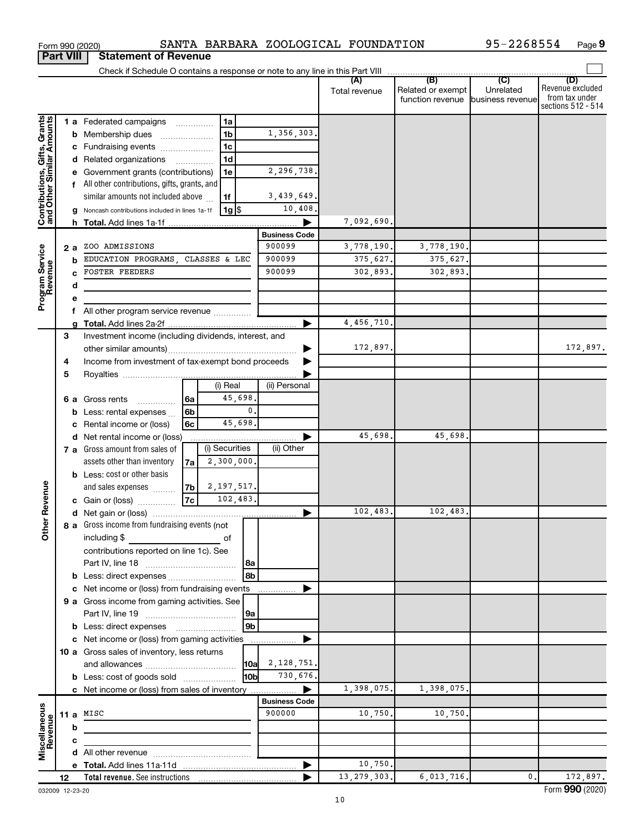| <b>Part VIII</b>                                          |    |    | <b>Statement of Revenue</b>                           |                          |                |                      |                      |               |                                                        |                |                                                                 |
|-----------------------------------------------------------|----|----|-------------------------------------------------------|--------------------------|----------------|----------------------|----------------------|---------------|--------------------------------------------------------|----------------|-----------------------------------------------------------------|
|                                                           |    |    |                                                       |                          |                |                      |                      |               |                                                        |                |                                                                 |
|                                                           |    |    |                                                       |                          |                |                      |                      | Total revenue | Related or exempt<br>function revenue business revenue | Unrelated      | (D)<br>Revenue excluded<br>from tax under<br>sections 512 - 514 |
|                                                           |    |    | <b>1 a</b> Federated campaigns                        | .                        | 1a             |                      |                      |               |                                                        |                |                                                                 |
|                                                           |    |    | <b>b</b> Membership dues                              |                          | 1 <sub>b</sub> |                      | 1,356,303.           |               |                                                        |                |                                                                 |
|                                                           |    |    | c Fundraising events                                  |                          | 1 <sub>c</sub> |                      |                      |               |                                                        |                |                                                                 |
|                                                           |    |    | d Related organizations                               | $\overline{\phantom{a}}$ | 1 <sub>d</sub> |                      |                      |               |                                                        |                |                                                                 |
|                                                           |    |    | e Government grants (contributions)                   |                          | 1e             |                      | 2,296,738.           |               |                                                        |                |                                                                 |
|                                                           |    |    | f All other contributions, gifts, grants, and         |                          |                |                      |                      |               |                                                        |                |                                                                 |
|                                                           |    |    | similar amounts not included above                    |                          | 1f             |                      | 3,439,649.           |               |                                                        |                |                                                                 |
| Contributions, Gifts, Grants<br>and Other Similar Amounts |    |    | g Noncash contributions included in lines 1a-1f       |                          | $1g$ \$        |                      | 10,408.              |               |                                                        |                |                                                                 |
|                                                           |    |    |                                                       |                          |                |                      |                      | 7,092,690.    |                                                        |                |                                                                 |
|                                                           |    |    |                                                       |                          |                |                      | <b>Business Code</b> |               |                                                        |                |                                                                 |
|                                                           |    | 2a | ZOO ADMISSIONS                                        |                          |                |                      | 900099               | 3,778,190.    | 3,778,190.                                             |                |                                                                 |
|                                                           |    | b  | EDUCATION PROGRAMS, CLASSES & LEC                     |                          |                |                      | 900099               | 375,627.      | 375,627.                                               |                |                                                                 |
|                                                           |    |    | <b>FOSTER FEEDERS</b>                                 |                          |                |                      | 900099               | 302,893.      | 302,893.                                               |                |                                                                 |
|                                                           |    | d  |                                                       |                          |                |                      |                      |               |                                                        |                |                                                                 |
| Program Service<br>Revenue                                |    |    |                                                       |                          |                |                      |                      |               |                                                        |                |                                                                 |
|                                                           |    |    | All other program service revenue                     |                          |                |                      |                      | 4,456,710.    |                                                        |                |                                                                 |
|                                                           | 3  |    | Investment income (including dividends, interest, and |                          |                |                      |                      |               |                                                        |                |                                                                 |
|                                                           |    |    |                                                       |                          |                |                      |                      | 172,897.      |                                                        |                | 172,897.                                                        |
|                                                           | 4  |    | Income from investment of tax-exempt bond proceeds    |                          |                |                      |                      |               |                                                        |                |                                                                 |
|                                                           | 5  |    |                                                       |                          |                |                      |                      |               |                                                        |                |                                                                 |
|                                                           |    |    |                                                       |                          | (i) Real       |                      | (ii) Personal        |               |                                                        |                |                                                                 |
|                                                           |    |    | <b>6 a</b> Gross rents<br>.                           | 6a                       | 45,698         |                      |                      |               |                                                        |                |                                                                 |
|                                                           |    |    | <b>b</b> Less: rental expenses                        | 6 <sub>b</sub>           |                | 0.                   |                      |               |                                                        |                |                                                                 |
|                                                           |    |    | c Rental income or (loss)                             | 6с                       | 45,698.        |                      |                      |               |                                                        |                |                                                                 |
|                                                           |    |    | d Net rental income or (loss)                         |                          |                |                      |                      | 45,698.       | 45,698.                                                |                |                                                                 |
|                                                           |    |    | 7 a Gross amount from sales of                        |                          | (i) Securities |                      | (ii) Other           |               |                                                        |                |                                                                 |
|                                                           |    |    | assets other than inventory                           | 7al                      | 2,300,000.     |                      |                      |               |                                                        |                |                                                                 |
|                                                           |    |    | <b>b</b> Less: cost or other basis                    |                          |                |                      |                      |               |                                                        |                |                                                                 |
|                                                           |    |    | and sales expenses                                    | 7b                       | 2, 197, 517.   |                      |                      |               |                                                        |                |                                                                 |
| Revenue                                                   |    |    | c Gain or (loss)                                      | 7c                       | 102,483.       |                      |                      |               |                                                        |                |                                                                 |
|                                                           |    |    |                                                       |                          |                |                      |                      | 102,483.      | 102,483.                                               |                |                                                                 |
| š                                                         |    |    | 8 a Gross income from fundraising events (not         |                          |                |                      |                      |               |                                                        |                |                                                                 |
|                                                           |    |    | including \$<br><u> 1990 - Johann Barbara, martx</u>  |                          | оf             |                      |                      |               |                                                        |                |                                                                 |
|                                                           |    |    | contributions reported on line 1c). See               |                          |                |                      |                      |               |                                                        |                |                                                                 |
|                                                           |    |    |                                                       |                          |                | l 8a                 |                      |               |                                                        |                |                                                                 |
|                                                           |    |    | <b>b</b> Less: direct expenses                        |                          |                | 8 <sub>b</sub>       |                      |               |                                                        |                |                                                                 |
|                                                           |    |    | c Net income or (loss) from fundraising events        |                          |                |                      |                      |               |                                                        |                |                                                                 |
|                                                           |    |    | 9 a Gross income from gaming activities. See          |                          |                |                      |                      |               |                                                        |                |                                                                 |
|                                                           |    |    | <b>b</b> Less: direct expenses <b>manually</b>        |                          |                | 9a<br>9 <sub>b</sub> |                      |               |                                                        |                |                                                                 |
|                                                           |    |    | c Net income or (loss) from gaming activities         |                          |                |                      |                      |               |                                                        |                |                                                                 |
|                                                           |    |    | 10 a Gross sales of inventory, less returns           |                          |                |                      |                      |               |                                                        |                |                                                                 |
|                                                           |    |    |                                                       |                          |                |                      | $10a \ 2, 128, 751.$ |               |                                                        |                |                                                                 |
|                                                           |    |    | <b>b</b> Less: cost of goods sold                     |                          |                | l10bl                | 730,676.             |               |                                                        |                |                                                                 |
|                                                           |    |    |                                                       |                          |                |                      |                      | 1,398,075.    | 1,398,075.                                             |                |                                                                 |
|                                                           |    |    |                                                       |                          |                |                      | <b>Business Code</b> |               |                                                        |                |                                                                 |
|                                                           |    |    | 11 a $MISC$                                           |                          |                |                      | 900000               | 10,750.       | 10,750.                                                |                |                                                                 |
| Miscellaneous<br>Revenue                                  |    | b  |                                                       |                          |                |                      |                      |               |                                                        |                |                                                                 |
|                                                           |    | с  |                                                       |                          |                |                      |                      |               |                                                        |                |                                                                 |
|                                                           |    |    |                                                       |                          |                |                      |                      |               |                                                        |                |                                                                 |
|                                                           |    |    |                                                       |                          |                |                      |                      | 10,750.       |                                                        |                |                                                                 |
|                                                           | 12 |    |                                                       |                          |                |                      |                      | 13, 279, 303. | 6,013,716.                                             | $\mathbf{0}$ . | 172,897.                                                        |

Form 990 (2020) SANTA BARBARA ZOOLOGICAL FOUNDATION 95-2268554 Page

SANTA BARBARA ZOOLOGICAL FOUNDATION 95-2268554

032009 12-23-20

**9**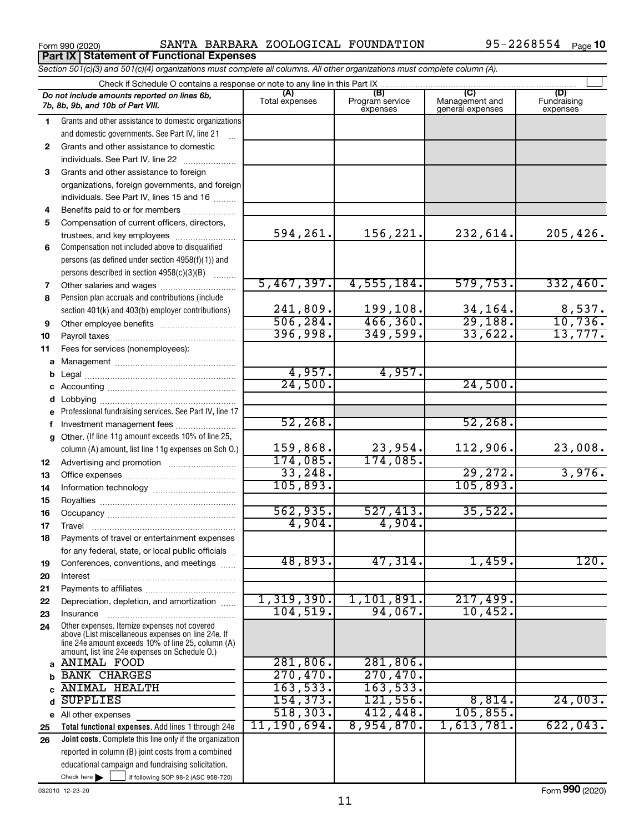**Part IX Statement of Functional Expenses**

Form 990 (2020) SANTA BARBARA ZOOLOGICAL FOUNDATION Y5-ZZ68554 Page SANTA BARBARA ZOOLOGICAL FOUNDATION 95-2268554

|              | Section 501(c)(3) and 501(c)(4) organizations must complete all columns. All other organizations must complete column (A).                                                                                 |                |                             |                                    |                         |
|--------------|------------------------------------------------------------------------------------------------------------------------------------------------------------------------------------------------------------|----------------|-----------------------------|------------------------------------|-------------------------|
|              | Check if Schedule O contains a response or note to any line in this Part IX<br>Do not include amounts reported on lines 6b,                                                                                | (A)            | (B)                         | (C)                                | (D)                     |
|              | 7b, 8b, 9b, and 10b of Part VIII.                                                                                                                                                                          | Total expenses | Program service<br>expenses | Management and<br>general expenses | Fundraising<br>expenses |
| 1.           | Grants and other assistance to domestic organizations                                                                                                                                                      |                |                             |                                    |                         |
|              | and domestic governments. See Part IV, line 21                                                                                                                                                             |                |                             |                                    |                         |
| $\mathbf{2}$ | Grants and other assistance to domestic                                                                                                                                                                    |                |                             |                                    |                         |
|              | individuals. See Part IV, line 22                                                                                                                                                                          |                |                             |                                    |                         |
| 3            | Grants and other assistance to foreign                                                                                                                                                                     |                |                             |                                    |                         |
|              | organizations, foreign governments, and foreign                                                                                                                                                            |                |                             |                                    |                         |
|              | individuals. See Part IV, lines 15 and 16                                                                                                                                                                  |                |                             |                                    |                         |
| 4            | Benefits paid to or for members                                                                                                                                                                            |                |                             |                                    |                         |
| 5            | Compensation of current officers, directors,                                                                                                                                                               |                |                             |                                    |                         |
|              | trustees, and key employees                                                                                                                                                                                | 594,261.       | 156,221.                    | 232,614.                           | 205, 426.               |
| 6            | Compensation not included above to disqualified                                                                                                                                                            |                |                             |                                    |                         |
|              | persons (as defined under section 4958(f)(1)) and                                                                                                                                                          |                |                             |                                    |                         |
|              | persons described in section 4958(c)(3)(B)<br><b>Bassiness</b>                                                                                                                                             |                |                             |                                    |                         |
| 7            | Other salaries and wages                                                                                                                                                                                   | 5,467,397.     | 4,555,184.                  | 579,753.                           | 332,460.                |
| 8            | Pension plan accruals and contributions (include                                                                                                                                                           |                |                             |                                    |                         |
|              | section 401(k) and 403(b) employer contributions)                                                                                                                                                          | 241,809.       | 199,108.                    | 34,164.                            | $\frac{8,537}{10,736}$  |
| 9            |                                                                                                                                                                                                            | 506, 284.      | 466,360.                    | 29,188.                            |                         |
| 10           |                                                                                                                                                                                                            | 396,998.       | 349,599.                    | 33,622.                            | 13,777.                 |
| 11           | Fees for services (nonemployees):                                                                                                                                                                          |                |                             |                                    |                         |
| а            |                                                                                                                                                                                                            |                |                             |                                    |                         |
| b            |                                                                                                                                                                                                            | 4,957.         | 4,957.                      |                                    |                         |
|              |                                                                                                                                                                                                            | 24,500.        |                             | 24,500.                            |                         |
| d            |                                                                                                                                                                                                            |                |                             |                                    |                         |
|              | Professional fundraising services. See Part IV, line 17                                                                                                                                                    |                |                             |                                    |                         |
| f            | Investment management fees                                                                                                                                                                                 | 52,268.        |                             | 52, 268.                           |                         |
| g            | Other. (If line 11g amount exceeds 10% of line 25,                                                                                                                                                         |                |                             |                                    |                         |
|              | column (A) amount, list line 11g expenses on Sch O.)                                                                                                                                                       | 159,868.       | 23,954.                     | 112,906.                           | 23,008.                 |
| 12           |                                                                                                                                                                                                            | 174,085.       | 174,085.                    |                                    |                         |
| 13           |                                                                                                                                                                                                            | 33, 248.       |                             | 29,272.                            | 3,976.                  |
| 14           |                                                                                                                                                                                                            | 105,893.       |                             | 105,893.                           |                         |
| 15           |                                                                                                                                                                                                            |                |                             |                                    |                         |
| 16           |                                                                                                                                                                                                            | 562,935.       | 527,413.                    | 35,522.                            |                         |
| 17           |                                                                                                                                                                                                            | 4,904.         | 4,904.                      |                                    |                         |
|              | Payments of travel or entertainment expenses                                                                                                                                                               |                |                             |                                    |                         |
|              | for any federal, state, or local public officials                                                                                                                                                          |                |                             |                                    |                         |
| 19           | Conferences, conventions, and meetings                                                                                                                                                                     | 48,893.        | 47,314.                     | 1,459.                             | 120.                    |
| 20           | Interest                                                                                                                                                                                                   |                |                             |                                    |                         |
| 21           |                                                                                                                                                                                                            |                |                             |                                    |                         |
| 22           | Depreciation, depletion, and amortization                                                                                                                                                                  | 1,319,390.     | 1,101,891.                  | 217,499.                           |                         |
| 23           | Insurance                                                                                                                                                                                                  | 104, 519.      | 94,067.                     | 10,452.                            |                         |
| 24           | Other expenses. Itemize expenses not covered<br>above (List miscellaneous expenses on line 24e. If<br>line 24e amount exceeds 10% of line 25, column (A)<br>amount, list line 24e expenses on Schedule O.) |                |                             |                                    |                         |
|              | a ANIMAL FOOD                                                                                                                                                                                              | 281, 806.      | 281, 806.                   |                                    |                         |
|              | <b>BANK CHARGES</b>                                                                                                                                                                                        | 270,470.       | 270,470.                    |                                    |                         |
|              | <b>ANIMAL HEALTH</b>                                                                                                                                                                                       | 163,533.       | 163,533.                    |                                    |                         |
| d            | <b>SUPPLIES</b>                                                                                                                                                                                            | 154, 373.      | 121,556.                    | 8,814.                             | 24,003.                 |
|              | e All other expenses                                                                                                                                                                                       | 518, 303.      | 412,448.                    | 105,855.                           |                         |
| 25           | Total functional expenses. Add lines 1 through 24e                                                                                                                                                         | 11, 190, 694.  | 8,954,870.                  | 1,613,781.                         | 622,043.                |
| 26           | <b>Joint costs.</b> Complete this line only if the organization                                                                                                                                            |                |                             |                                    |                         |
|              | reported in column (B) joint costs from a combined                                                                                                                                                         |                |                             |                                    |                         |
|              | educational campaign and fundraising solicitation.                                                                                                                                                         |                |                             |                                    |                         |
|              | Check here $\blacktriangleright$<br>if following SOP 98-2 (ASC 958-720)                                                                                                                                    |                |                             |                                    |                         |

032010 12-23-20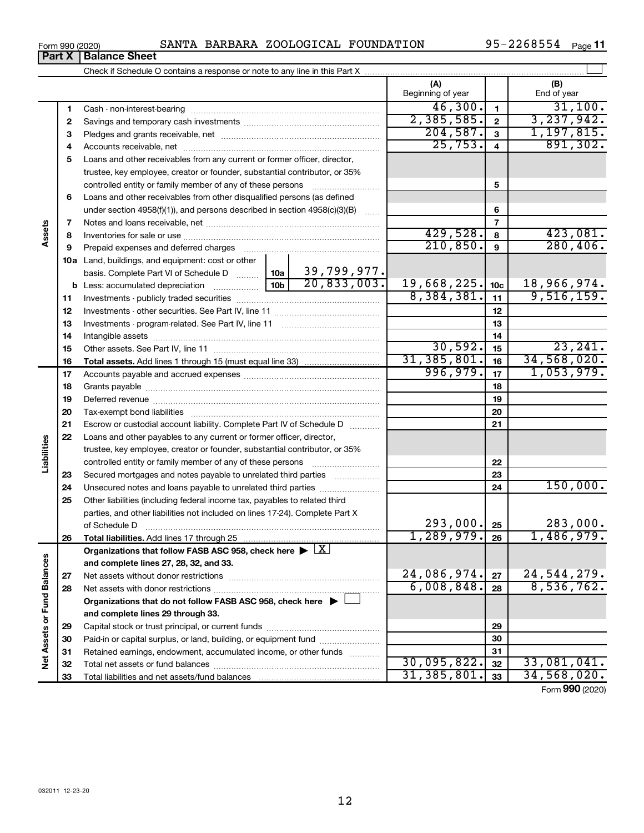| Form 990 (2020) |  |  |  | SANTA BARBARA ZOOLOGICAL FOUNDATION | 95-2268554 | Page |
|-----------------|--|--|--|-------------------------------------|------------|------|
|-----------------|--|--|--|-------------------------------------|------------|------|

|                             |          |                                                                                                                                                      | (A)<br>Beginning of year |                         | (B)<br>End of year |
|-----------------------------|----------|------------------------------------------------------------------------------------------------------------------------------------------------------|--------------------------|-------------------------|--------------------|
|                             | 1        |                                                                                                                                                      | 46,300.                  | $\mathbf{1}$            | 31,100.            |
|                             | 2        |                                                                                                                                                      | 2,385,585.               | $\mathbf{2}$            | 3, 237, 942.       |
|                             | З        |                                                                                                                                                      | 204,587.                 | 3                       | 1, 197, 815.       |
|                             | 4        |                                                                                                                                                      | 25,753.                  | $\overline{\mathbf{4}}$ | 891, 302.          |
|                             | 5        | Loans and other receivables from any current or former officer, director,                                                                            |                          |                         |                    |
|                             |          | trustee, key employee, creator or founder, substantial contributor, or 35%                                                                           |                          |                         |                    |
|                             |          |                                                                                                                                                      |                          | 5                       |                    |
|                             | 6        | Loans and other receivables from other disqualified persons (as defined                                                                              |                          |                         |                    |
|                             |          | under section 4958(f)(1)), and persons described in section 4958(c)(3)(B)                                                                            |                          | 6                       |                    |
|                             | 7        |                                                                                                                                                      |                          | $\overline{7}$          |                    |
| Assets                      | 8        |                                                                                                                                                      | 429,528.                 | 8                       | 423,081.           |
|                             | 9        | Prepaid expenses and deferred charges                                                                                                                | 210,850.                 | 9                       | 280, 406.          |
|                             |          | 10a Land, buildings, and equipment: cost or other                                                                                                    |                          |                         |                    |
|                             |          | 39,799,977.<br>10a<br>basis. Complete Part VI of Schedule D                                                                                          |                          |                         |                    |
|                             |          | 20,833,003.<br>10 <sub>b</sub><br><b>b</b> Less: accumulated depreciation                                                                            | 19,668,225.              | 10 <sub>c</sub>         | 18,966,974.        |
|                             | 11       |                                                                                                                                                      | 8,384,381.               | 11                      | 9,516,159.         |
|                             | 12       |                                                                                                                                                      |                          | 12                      |                    |
|                             | 13       |                                                                                                                                                      |                          | 13                      |                    |
|                             | 14       |                                                                                                                                                      |                          | 14                      |                    |
|                             | 15       |                                                                                                                                                      | 30,592.                  | 15                      | 23, 241.           |
|                             | 16       |                                                                                                                                                      | 31, 385, 801.            | 16                      | 34,568,020.        |
|                             | 17       |                                                                                                                                                      | 996,979.                 | 17                      | 1,053,979.         |
|                             | 18       |                                                                                                                                                      |                          | 18                      |                    |
|                             | 19       |                                                                                                                                                      |                          | 19                      |                    |
|                             | 20       |                                                                                                                                                      |                          | 20                      |                    |
|                             | 21       | Escrow or custodial account liability. Complete Part IV of Schedule D                                                                                |                          | 21                      |                    |
| Liabilities                 | 22       | Loans and other payables to any current or former officer, director,                                                                                 |                          |                         |                    |
|                             |          | trustee, key employee, creator or founder, substantial contributor, or 35%                                                                           |                          |                         |                    |
|                             |          |                                                                                                                                                      |                          | 22                      |                    |
|                             | 23       | Secured mortgages and notes payable to unrelated third parties                                                                                       |                          | 23                      | 150,000.           |
|                             | 24       |                                                                                                                                                      |                          | 24                      |                    |
|                             | 25       | Other liabilities (including federal income tax, payables to related third                                                                           |                          |                         |                    |
|                             |          | parties, and other liabilities not included on lines 17-24). Complete Part X                                                                         | 293,000.                 |                         | 283,000.           |
|                             |          | of Schedule D                                                                                                                                        | 1,289,979.               | 25<br>26                | 1,486,979.         |
|                             | 26       | Total liabilities. Add lines 17 through 25<br>Organizations that follow FASB ASC 958, check here $\blacktriangleright \lfloor \underline{X} \rfloor$ |                          |                         |                    |
|                             |          | and complete lines 27, 28, 32, and 33.                                                                                                               |                          |                         |                    |
|                             |          |                                                                                                                                                      | 24,086,974.              | 27                      | 24, 544, 279.      |
|                             | 27<br>28 |                                                                                                                                                      | 6,008,848.               | 28                      | 8,536,762.         |
|                             |          | Organizations that do not follow FASB ASC 958, check here $\blacktriangleright$                                                                      |                          |                         |                    |
|                             |          | and complete lines 29 through 33.                                                                                                                    |                          |                         |                    |
|                             |          |                                                                                                                                                      |                          | 29                      |                    |
|                             | 29<br>30 | Paid-in or capital surplus, or land, building, or equipment fund                                                                                     |                          | 30                      |                    |
|                             | 31       | Retained earnings, endowment, accumulated income, or other funds                                                                                     |                          | 31                      |                    |
| Net Assets or Fund Balances | 32       |                                                                                                                                                      | 30,095,822.              | 32                      | 33,081,041.        |
|                             | 33       |                                                                                                                                                      | 31, 385, 801.            | 33                      | 34,568,020.        |
|                             |          |                                                                                                                                                      |                          |                         |                    |

Form (2020) **990**

| Form 990 (2020)               |  |  |
|-------------------------------|--|--|
| <b>Part X   Balance Sheet</b> |  |  |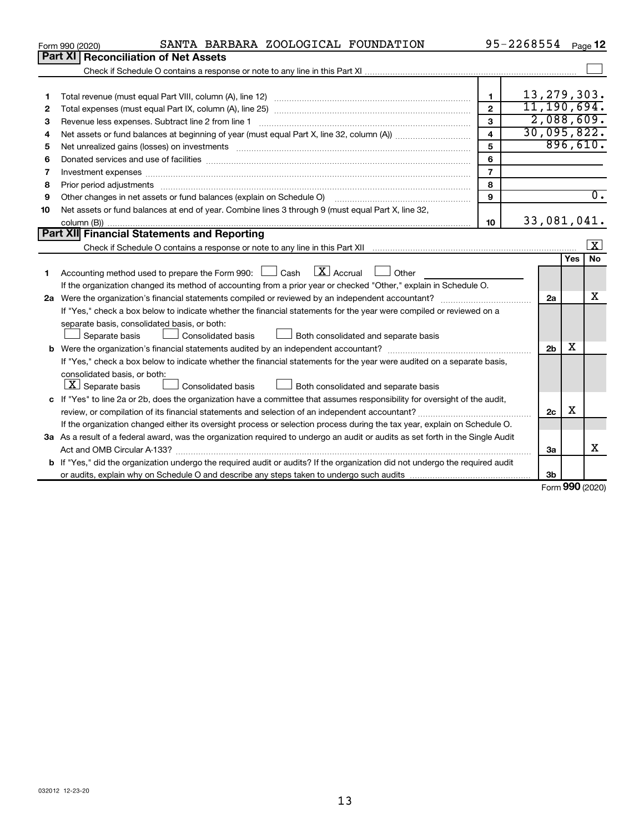|    | SANTA BARBARA ZOOLOGICAL FOUNDATION<br>Form 990 (2020)                                                                                                                                                                         |                         | 95-2268554 |                |     | Page 12                 |
|----|--------------------------------------------------------------------------------------------------------------------------------------------------------------------------------------------------------------------------------|-------------------------|------------|----------------|-----|-------------------------|
|    | Part XI<br><b>Reconciliation of Net Assets</b>                                                                                                                                                                                 |                         |            |                |     |                         |
|    |                                                                                                                                                                                                                                |                         |            |                |     |                         |
|    |                                                                                                                                                                                                                                |                         |            |                |     |                         |
| 1  |                                                                                                                                                                                                                                | 1                       |            | 13, 279, 303.  |     |                         |
| 2  |                                                                                                                                                                                                                                | $\overline{2}$          |            | 11, 190, 694.  |     |                         |
| З  | Revenue less expenses. Subtract line 2 from line 1                                                                                                                                                                             | 3                       |            | 2,088,609.     |     |                         |
| 4  |                                                                                                                                                                                                                                | $\overline{\mathbf{4}}$ |            | 30,095,822.    |     |                         |
| 5  | Net unrealized gains (losses) on investments [11] matter contracts and the state of the state of the state of the state of the state of the state of the state of the state of the state of the state of the state of the stat | 5                       |            |                |     | 896,610.                |
| 6  |                                                                                                                                                                                                                                | 6                       |            |                |     |                         |
| 7  |                                                                                                                                                                                                                                | $\overline{7}$          |            |                |     |                         |
| 8  |                                                                                                                                                                                                                                | 8                       |            |                |     |                         |
| 9  | Other changes in net assets or fund balances (explain on Schedule O)                                                                                                                                                           | 9                       |            |                |     | $\overline{0}$ .        |
| 10 | Net assets or fund balances at end of year. Combine lines 3 through 9 (must equal Part X, line 32,                                                                                                                             |                         |            |                |     |                         |
|    |                                                                                                                                                                                                                                | 10                      |            | 33,081,041.    |     |                         |
|    | Part XII Financial Statements and Reporting                                                                                                                                                                                    |                         |            |                |     |                         |
|    |                                                                                                                                                                                                                                |                         |            |                |     | $\overline{\mathbf{x}}$ |
|    |                                                                                                                                                                                                                                |                         |            |                | Yes | <b>No</b>               |
| 1. | $\mathbf{X}$ Accrual<br>Accounting method used to prepare the Form 990: [130] Cash<br><b>Durier</b> Other                                                                                                                      |                         |            |                |     |                         |
|    | If the organization changed its method of accounting from a prior year or checked "Other," explain in Schedule O.                                                                                                              |                         |            |                |     |                         |
|    |                                                                                                                                                                                                                                |                         |            | 2a             |     | x                       |
|    | If "Yes," check a box below to indicate whether the financial statements for the year were compiled or reviewed on a                                                                                                           |                         |            |                |     |                         |
|    | separate basis, consolidated basis, or both:                                                                                                                                                                                   |                         |            |                |     |                         |
|    | Separate basis<br><b>Consolidated basis</b><br>Both consolidated and separate basis                                                                                                                                            |                         |            |                |     |                         |
|    |                                                                                                                                                                                                                                |                         |            | 2 <sub>b</sub> | х   |                         |
|    | If "Yes," check a box below to indicate whether the financial statements for the year were audited on a separate basis,                                                                                                        |                         |            |                |     |                         |
|    | consolidated basis, or both:                                                                                                                                                                                                   |                         |            |                |     |                         |
|    | $ \mathbf{X} $ Separate basis<br><b>Consolidated basis</b><br>Both consolidated and separate basis                                                                                                                             |                         |            |                |     |                         |
|    | c If "Yes" to line 2a or 2b, does the organization have a committee that assumes responsibility for oversight of the audit,                                                                                                    |                         |            |                |     |                         |
|    | review, or compilation of its financial statements and selection of an independent accountant?                                                                                                                                 |                         |            | 2c             | х   |                         |
|    | If the organization changed either its oversight process or selection process during the tax year, explain on Schedule O.                                                                                                      |                         |            |                |     |                         |
|    | 3a As a result of a federal award, was the organization required to undergo an audit or audits as set forth in the Single Audit                                                                                                |                         |            |                |     |                         |
|    |                                                                                                                                                                                                                                |                         |            | 3a             |     | x                       |
|    | <b>b</b> If "Yes," did the organization undergo the required audit or audits? If the organization did not undergo the required audit                                                                                           |                         |            |                |     |                         |
|    |                                                                                                                                                                                                                                |                         |            | 3b             |     | $000 \text{$            |
|    |                                                                                                                                                                                                                                |                         |            |                |     |                         |

Form (2020) **990**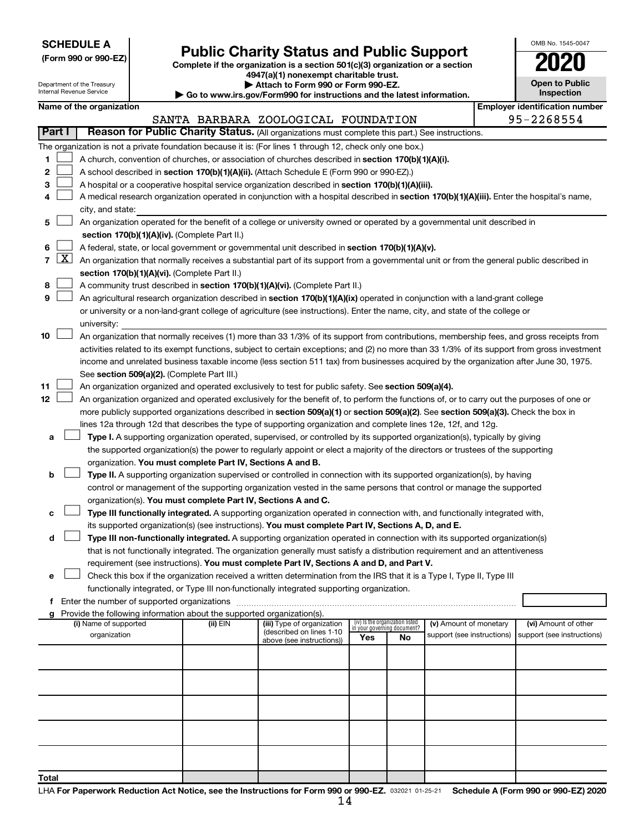**SCHEDULE A**

## Form 990 or 990-EZ) **Public Charity Status and Public Support**<br>
Complete if the organization is a section 501(c)(3) organization or a section<br> **2020**

**4947(a)(1) nonexempt charitable trust.**

| OMB No. 1545-0047                   |
|-------------------------------------|
| U21                                 |
| <b>Open to Public</b><br>Inspection |
|                                     |

| Department of the Treasury<br>Attach to Form 990 or Form 990-EZ.<br>Internal Revenue Service<br>Go to www.irs.gov/Form990 for instructions and the latest information. |        |                          |  |                                                                        | <b>Open to Public</b><br>Inspection                                                                                                                                                                                                                                                      |                             |                                 |                            |  |                                       |
|------------------------------------------------------------------------------------------------------------------------------------------------------------------------|--------|--------------------------|--|------------------------------------------------------------------------|------------------------------------------------------------------------------------------------------------------------------------------------------------------------------------------------------------------------------------------------------------------------------------------|-----------------------------|---------------------------------|----------------------------|--|---------------------------------------|
|                                                                                                                                                                        |        | Name of the organization |  |                                                                        |                                                                                                                                                                                                                                                                                          |                             |                                 |                            |  | <b>Employer identification number</b> |
|                                                                                                                                                                        |        |                          |  |                                                                        | SANTA BARBARA ZOOLOGICAL FOUNDATION                                                                                                                                                                                                                                                      |                             |                                 |                            |  | 95-2268554                            |
|                                                                                                                                                                        | Part I |                          |  |                                                                        | Reason for Public Charity Status. (All organizations must complete this part.) See instructions.                                                                                                                                                                                         |                             |                                 |                            |  |                                       |
|                                                                                                                                                                        |        |                          |  |                                                                        | The organization is not a private foundation because it is: (For lines 1 through 12, check only one box.)                                                                                                                                                                                |                             |                                 |                            |  |                                       |
| 1                                                                                                                                                                      |        |                          |  |                                                                        | A church, convention of churches, or association of churches described in section 170(b)(1)(A)(i).                                                                                                                                                                                       |                             |                                 |                            |  |                                       |
| 2                                                                                                                                                                      |        |                          |  |                                                                        | A school described in section 170(b)(1)(A)(ii). (Attach Schedule E (Form 990 or 990-EZ).)                                                                                                                                                                                                |                             |                                 |                            |  |                                       |
| з                                                                                                                                                                      |        |                          |  |                                                                        | A hospital or a cooperative hospital service organization described in section 170(b)(1)(A)(iii).                                                                                                                                                                                        |                             |                                 |                            |  |                                       |
| 4                                                                                                                                                                      |        |                          |  |                                                                        | A medical research organization operated in conjunction with a hospital described in section 170(b)(1)(A)(iii). Enter the hospital's name,                                                                                                                                               |                             |                                 |                            |  |                                       |
|                                                                                                                                                                        |        | city, and state:         |  |                                                                        |                                                                                                                                                                                                                                                                                          |                             |                                 |                            |  |                                       |
| 5                                                                                                                                                                      |        |                          |  |                                                                        | An organization operated for the benefit of a college or university owned or operated by a governmental unit described in                                                                                                                                                                |                             |                                 |                            |  |                                       |
|                                                                                                                                                                        |        |                          |  | section 170(b)(1)(A)(iv). (Complete Part II.)                          |                                                                                                                                                                                                                                                                                          |                             |                                 |                            |  |                                       |
| 6                                                                                                                                                                      |        |                          |  |                                                                        | A federal, state, or local government or governmental unit described in section 170(b)(1)(A)(v).                                                                                                                                                                                         |                             |                                 |                            |  |                                       |
| $\overline{7}$                                                                                                                                                         | X      |                          |  |                                                                        | An organization that normally receives a substantial part of its support from a governmental unit or from the general public described in                                                                                                                                                |                             |                                 |                            |  |                                       |
|                                                                                                                                                                        |        |                          |  | section 170(b)(1)(A)(vi). (Complete Part II.)                          |                                                                                                                                                                                                                                                                                          |                             |                                 |                            |  |                                       |
| 8                                                                                                                                                                      |        |                          |  |                                                                        | A community trust described in section 170(b)(1)(A)(vi). (Complete Part II.)                                                                                                                                                                                                             |                             |                                 |                            |  |                                       |
| 9                                                                                                                                                                      |        |                          |  |                                                                        | An agricultural research organization described in section 170(b)(1)(A)(ix) operated in conjunction with a land-grant college                                                                                                                                                            |                             |                                 |                            |  |                                       |
|                                                                                                                                                                        |        |                          |  |                                                                        | or university or a non-land-grant college of agriculture (see instructions). Enter the name, city, and state of the college or                                                                                                                                                           |                             |                                 |                            |  |                                       |
| 10                                                                                                                                                                     |        | university:              |  |                                                                        |                                                                                                                                                                                                                                                                                          |                             |                                 |                            |  |                                       |
|                                                                                                                                                                        |        |                          |  |                                                                        | An organization that normally receives (1) more than 33 1/3% of its support from contributions, membership fees, and gross receipts from<br>activities related to its exempt functions, subject to certain exceptions; and (2) no more than 33 1/3% of its support from gross investment |                             |                                 |                            |  |                                       |
|                                                                                                                                                                        |        |                          |  |                                                                        | income and unrelated business taxable income (less section 511 tax) from businesses acquired by the organization after June 30, 1975.                                                                                                                                                    |                             |                                 |                            |  |                                       |
|                                                                                                                                                                        |        |                          |  | See section 509(a)(2). (Complete Part III.)                            |                                                                                                                                                                                                                                                                                          |                             |                                 |                            |  |                                       |
| 11                                                                                                                                                                     |        |                          |  |                                                                        | An organization organized and operated exclusively to test for public safety. See section 509(a)(4).                                                                                                                                                                                     |                             |                                 |                            |  |                                       |
| 12                                                                                                                                                                     |        |                          |  |                                                                        | An organization organized and operated exclusively for the benefit of, to perform the functions of, or to carry out the purposes of one or                                                                                                                                               |                             |                                 |                            |  |                                       |
|                                                                                                                                                                        |        |                          |  |                                                                        | more publicly supported organizations described in section 509(a)(1) or section 509(a)(2). See section 509(a)(3). Check the box in                                                                                                                                                       |                             |                                 |                            |  |                                       |
|                                                                                                                                                                        |        |                          |  |                                                                        | lines 12a through 12d that describes the type of supporting organization and complete lines 12e, 12f, and 12g.                                                                                                                                                                           |                             |                                 |                            |  |                                       |
| а                                                                                                                                                                      |        |                          |  |                                                                        | Type I. A supporting organization operated, supervised, or controlled by its supported organization(s), typically by giving                                                                                                                                                              |                             |                                 |                            |  |                                       |
|                                                                                                                                                                        |        |                          |  |                                                                        | the supported organization(s) the power to regularly appoint or elect a majority of the directors or trustees of the supporting                                                                                                                                                          |                             |                                 |                            |  |                                       |
|                                                                                                                                                                        |        |                          |  | organization. You must complete Part IV, Sections A and B.             |                                                                                                                                                                                                                                                                                          |                             |                                 |                            |  |                                       |
| b                                                                                                                                                                      |        |                          |  |                                                                        | Type II. A supporting organization supervised or controlled in connection with its supported organization(s), by having                                                                                                                                                                  |                             |                                 |                            |  |                                       |
|                                                                                                                                                                        |        |                          |  |                                                                        | control or management of the supporting organization vested in the same persons that control or manage the supported                                                                                                                                                                     |                             |                                 |                            |  |                                       |
|                                                                                                                                                                        |        |                          |  | organization(s). You must complete Part IV, Sections A and C.          |                                                                                                                                                                                                                                                                                          |                             |                                 |                            |  |                                       |
| с                                                                                                                                                                      |        |                          |  |                                                                        | Type III functionally integrated. A supporting organization operated in connection with, and functionally integrated with,                                                                                                                                                               |                             |                                 |                            |  |                                       |
|                                                                                                                                                                        |        |                          |  |                                                                        | its supported organization(s) (see instructions). You must complete Part IV, Sections A, D, and E.                                                                                                                                                                                       |                             |                                 |                            |  |                                       |
| d                                                                                                                                                                      |        |                          |  |                                                                        | Type III non-functionally integrated. A supporting organization operated in connection with its supported organization(s)                                                                                                                                                                |                             |                                 |                            |  |                                       |
|                                                                                                                                                                        |        |                          |  |                                                                        | that is not functionally integrated. The organization generally must satisfy a distribution requirement and an attentiveness<br>requirement (see instructions). You must complete Part IV, Sections A and D, and Part V.                                                                 |                             |                                 |                            |  |                                       |
| е                                                                                                                                                                      |        |                          |  |                                                                        | Check this box if the organization received a written determination from the IRS that it is a Type I, Type II, Type III                                                                                                                                                                  |                             |                                 |                            |  |                                       |
|                                                                                                                                                                        |        |                          |  |                                                                        | functionally integrated, or Type III non-functionally integrated supporting organization.                                                                                                                                                                                                |                             |                                 |                            |  |                                       |
| f                                                                                                                                                                      |        |                          |  |                                                                        | Enter the number of supported organizations [111] [12] matter the number of supported organizations [11] matter                                                                                                                                                                          |                             |                                 |                            |  |                                       |
| g                                                                                                                                                                      |        |                          |  | Provide the following information about the supported organization(s). |                                                                                                                                                                                                                                                                                          |                             |                                 |                            |  |                                       |
|                                                                                                                                                                        |        | (i) Name of supported    |  | (ii) EIN                                                               | (iii) Type of organization                                                                                                                                                                                                                                                               | in your governing document? | (iv) Is the organization listed | (v) Amount of monetary     |  | (vi) Amount of other                  |
|                                                                                                                                                                        |        | organization             |  |                                                                        | (described on lines 1-10<br>above (see instructions))                                                                                                                                                                                                                                    | Yes                         | No                              | support (see instructions) |  | support (see instructions)            |
|                                                                                                                                                                        |        |                          |  |                                                                        |                                                                                                                                                                                                                                                                                          |                             |                                 |                            |  |                                       |
|                                                                                                                                                                        |        |                          |  |                                                                        |                                                                                                                                                                                                                                                                                          |                             |                                 |                            |  |                                       |
|                                                                                                                                                                        |        |                          |  |                                                                        |                                                                                                                                                                                                                                                                                          |                             |                                 |                            |  |                                       |
|                                                                                                                                                                        |        |                          |  |                                                                        |                                                                                                                                                                                                                                                                                          |                             |                                 |                            |  |                                       |
|                                                                                                                                                                        |        |                          |  |                                                                        |                                                                                                                                                                                                                                                                                          |                             |                                 |                            |  |                                       |
|                                                                                                                                                                        |        |                          |  |                                                                        |                                                                                                                                                                                                                                                                                          |                             |                                 |                            |  |                                       |
|                                                                                                                                                                        |        |                          |  |                                                                        |                                                                                                                                                                                                                                                                                          |                             |                                 |                            |  |                                       |
|                                                                                                                                                                        |        |                          |  |                                                                        |                                                                                                                                                                                                                                                                                          |                             |                                 |                            |  |                                       |
|                                                                                                                                                                        |        |                          |  |                                                                        |                                                                                                                                                                                                                                                                                          |                             |                                 |                            |  |                                       |
| Total                                                                                                                                                                  |        |                          |  |                                                                        |                                                                                                                                                                                                                                                                                          |                             |                                 |                            |  |                                       |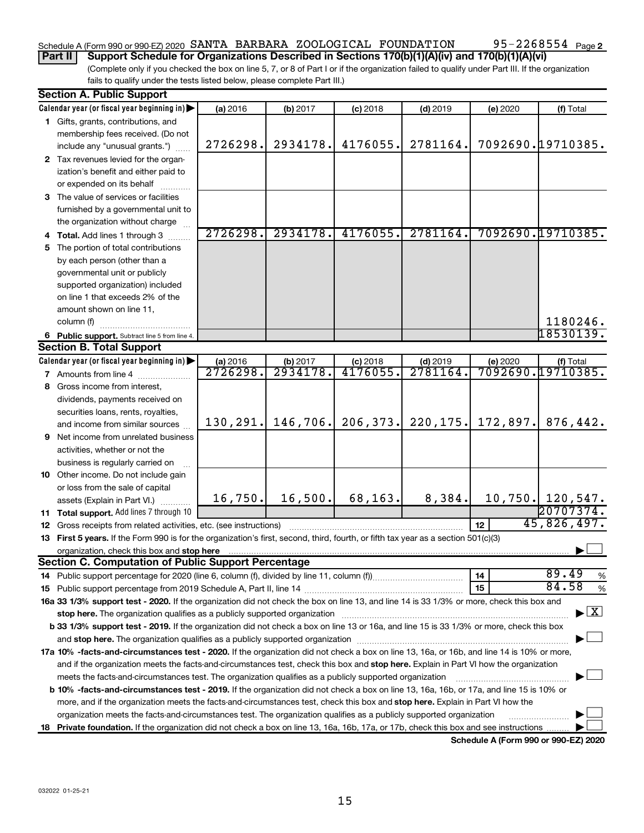### Schedule A (Form 990 or 990-EZ) 2020 SANTA BARBARA ZOOLOGICAL FOUNDATION 95-2268554 Page

95-2268554 <sub>Page 2</sub>

**Part II Support Schedule for Organizations Described in Sections 170(b)(1)(A)(iv) and 170(b)(1)(A)(vi)**

(Complete only if you checked the box on line 5, 7, or 8 of Part I or if the organization failed to qualify under Part III. If the organization fails to qualify under the tests listed below, please complete Part III.)

| <b>Section A. Public Support</b>                                                                                                                                                                                                                                     |                                  |                      |                       |                                    |          |                                       |  |
|----------------------------------------------------------------------------------------------------------------------------------------------------------------------------------------------------------------------------------------------------------------------|----------------------------------|----------------------|-----------------------|------------------------------------|----------|---------------------------------------|--|
| Calendar year (or fiscal year beginning in)                                                                                                                                                                                                                          | (a) 2016                         | (b) 2017             | $(c)$ 2018            | $(d)$ 2019                         | (e) 2020 | (f) Total                             |  |
| 1 Gifts, grants, contributions, and                                                                                                                                                                                                                                  |                                  |                      |                       |                                    |          |                                       |  |
| membership fees received. (Do not                                                                                                                                                                                                                                    |                                  |                      |                       |                                    |          |                                       |  |
| include any "unusual grants.")                                                                                                                                                                                                                                       | 2726298.                         | 2934178.             | 4176055.              | 2781164.                           |          | 7092690.19710385.                     |  |
| 2 Tax revenues levied for the organ-                                                                                                                                                                                                                                 |                                  |                      |                       |                                    |          |                                       |  |
| ization's benefit and either paid to                                                                                                                                                                                                                                 |                                  |                      |                       |                                    |          |                                       |  |
| or expended on its behalf                                                                                                                                                                                                                                            |                                  |                      |                       |                                    |          |                                       |  |
| 3 The value of services or facilities                                                                                                                                                                                                                                |                                  |                      |                       |                                    |          |                                       |  |
| furnished by a governmental unit to                                                                                                                                                                                                                                  |                                  |                      |                       |                                    |          |                                       |  |
| the organization without charge                                                                                                                                                                                                                                      |                                  |                      |                       |                                    |          |                                       |  |
| 4 Total. Add lines 1 through 3                                                                                                                                                                                                                                       | 2726298.                         | 2934178.             | 4176055.              | 2781164.                           |          | 7092690.19710385.                     |  |
| 5 The portion of total contributions                                                                                                                                                                                                                                 |                                  |                      |                       |                                    |          |                                       |  |
| by each person (other than a                                                                                                                                                                                                                                         |                                  |                      |                       |                                    |          |                                       |  |
| governmental unit or publicly                                                                                                                                                                                                                                        |                                  |                      |                       |                                    |          |                                       |  |
| supported organization) included                                                                                                                                                                                                                                     |                                  |                      |                       |                                    |          |                                       |  |
| on line 1 that exceeds 2% of the                                                                                                                                                                                                                                     |                                  |                      |                       |                                    |          |                                       |  |
| amount shown on line 11,                                                                                                                                                                                                                                             |                                  |                      |                       |                                    |          |                                       |  |
| column (f)                                                                                                                                                                                                                                                           |                                  |                      |                       |                                    |          | 1180246.                              |  |
|                                                                                                                                                                                                                                                                      |                                  |                      |                       |                                    |          | 18530139.                             |  |
| 6 Public support. Subtract line 5 from line 4.<br><b>Section B. Total Support</b>                                                                                                                                                                                    |                                  |                      |                       |                                    |          |                                       |  |
|                                                                                                                                                                                                                                                                      |                                  |                      |                       |                                    |          |                                       |  |
| Calendar year (or fiscal year beginning in)                                                                                                                                                                                                                          | (a) 2016<br>$\overline{2726298}$ | (b) 2017<br>2934178. | $(c)$ 2018<br>4176055 | $(d)$ 2019<br>$\overline{2781164}$ | (e) 2020 | (f) Total<br><u>7092690.19710385.</u> |  |
| 7 Amounts from line 4                                                                                                                                                                                                                                                |                                  |                      |                       |                                    |          |                                       |  |
| 8 Gross income from interest,                                                                                                                                                                                                                                        |                                  |                      |                       |                                    |          |                                       |  |
| dividends, payments received on                                                                                                                                                                                                                                      |                                  |                      |                       |                                    |          |                                       |  |
| securities loans, rents, royalties,                                                                                                                                                                                                                                  |                                  |                      |                       |                                    |          |                                       |  |
| and income from similar sources                                                                                                                                                                                                                                      | 130, 291.                        | 146, 706.            | 206, 373.             | 220, 175.                          | 172,897. | 876,442.                              |  |
| <b>9</b> Net income from unrelated business                                                                                                                                                                                                                          |                                  |                      |                       |                                    |          |                                       |  |
| activities, whether or not the                                                                                                                                                                                                                                       |                                  |                      |                       |                                    |          |                                       |  |
| business is regularly carried on                                                                                                                                                                                                                                     |                                  |                      |                       |                                    |          |                                       |  |
| 10 Other income. Do not include gain                                                                                                                                                                                                                                 |                                  |                      |                       |                                    |          |                                       |  |
| or loss from the sale of capital                                                                                                                                                                                                                                     |                                  |                      |                       |                                    |          |                                       |  |
| assets (Explain in Part VI.)                                                                                                                                                                                                                                         | 16,750.                          | 16,500.              | 68, 163.              | 8,384.                             |          | 10,750. 120,547.                      |  |
| 11 Total support. Add lines 7 through 10                                                                                                                                                                                                                             |                                  |                      |                       |                                    |          | 20707374.                             |  |
| <b>12</b> Gross receipts from related activities, etc. (see instructions)                                                                                                                                                                                            |                                  |                      |                       |                                    | 12       | 45,826,497.                           |  |
| 13 First 5 years. If the Form 990 is for the organization's first, second, third, fourth, or fifth tax year as a section 501(c)(3)                                                                                                                                   |                                  |                      |                       |                                    |          |                                       |  |
|                                                                                                                                                                                                                                                                      |                                  |                      |                       |                                    |          |                                       |  |
| <b>Section C. Computation of Public Support Percentage</b>                                                                                                                                                                                                           |                                  |                      |                       |                                    |          |                                       |  |
|                                                                                                                                                                                                                                                                      |                                  |                      |                       |                                    | 14       | 89.49<br>%                            |  |
|                                                                                                                                                                                                                                                                      |                                  |                      |                       |                                    | 15       | 84.58<br>%                            |  |
| 16a 33 1/3% support test - 2020. If the organization did not check the box on line 13, and line 14 is 33 1/3% or more, check this box and                                                                                                                            |                                  |                      |                       |                                    |          |                                       |  |
| $\blacktriangleright$ $\mathbf{X}$<br>stop here. The organization qualifies as a publicly supported organization manufactured content and the support of the state of the state of the state of the state of the state of the state of the state of the state of the |                                  |                      |                       |                                    |          |                                       |  |
| b 33 1/3% support test - 2019. If the organization did not check a box on line 13 or 16a, and line 15 is 33 1/3% or more, check this box                                                                                                                             |                                  |                      |                       |                                    |          |                                       |  |
|                                                                                                                                                                                                                                                                      |                                  |                      |                       |                                    |          |                                       |  |
| 17a 10% -facts-and-circumstances test - 2020. If the organization did not check a box on line 13, 16a, or 16b, and line 14 is 10% or more,                                                                                                                           |                                  |                      |                       |                                    |          |                                       |  |
| and if the organization meets the facts-and-circumstances test, check this box and stop here. Explain in Part VI how the organization                                                                                                                                |                                  |                      |                       |                                    |          |                                       |  |
| meets the facts-and-circumstances test. The organization qualifies as a publicly supported organization                                                                                                                                                              |                                  |                      |                       |                                    |          |                                       |  |
| <b>b 10%</b> -facts-and-circumstances test - 2019. If the organization did not check a box on line 13, 16a, 16b, or 17a, and line 15 is 10% or                                                                                                                       |                                  |                      |                       |                                    |          |                                       |  |
| more, and if the organization meets the facts-and-circumstances test, check this box and stop here. Explain in Part VI how the                                                                                                                                       |                                  |                      |                       |                                    |          |                                       |  |
| organization meets the facts-and-circumstances test. The organization qualifies as a publicly supported organization                                                                                                                                                 |                                  |                      |                       |                                    |          |                                       |  |
| 18 Private foundation. If the organization did not check a box on line 13, 16a, 16b, 17a, or 17b, check this box and see instructions                                                                                                                                |                                  |                      |                       |                                    |          |                                       |  |
|                                                                                                                                                                                                                                                                      |                                  |                      |                       |                                    |          |                                       |  |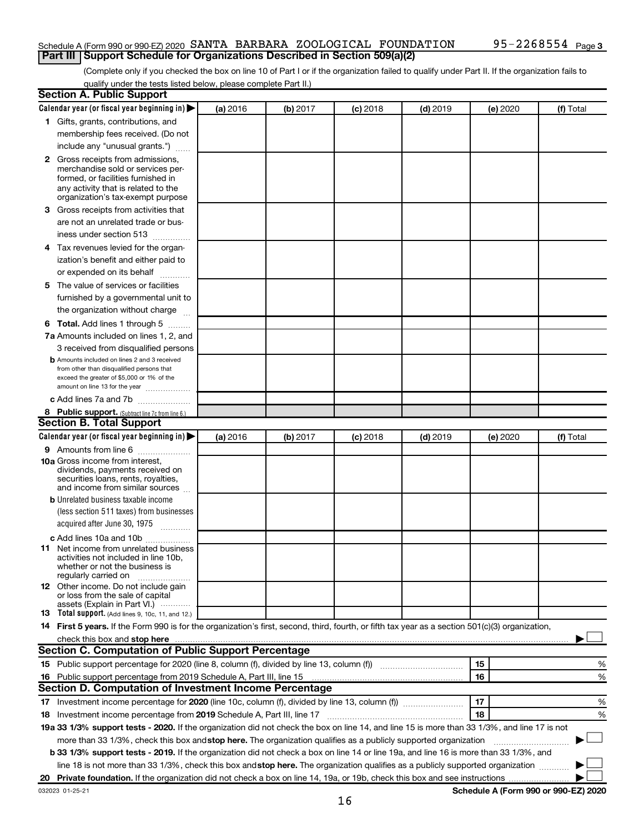#### Schedule A (Form 990 or 990-EZ) 2020 SANTA BARBARA ZOOLOGICAL FOUNDATION 95-2268554 Page **Part III Support Schedule for Organizations Described in Section 509(a)(2)**

(Complete only if you checked the box on line 10 of Part I or if the organization failed to qualify under Part II. If the organization fails to qualify under the tests listed below, please complete Part II.)

| <b>Section A. Public Support</b>                                                                                                                                                                                                         |          |          |            |            |          |           |
|------------------------------------------------------------------------------------------------------------------------------------------------------------------------------------------------------------------------------------------|----------|----------|------------|------------|----------|-----------|
| Calendar year (or fiscal year beginning in)                                                                                                                                                                                              | (a) 2016 | (b) 2017 | $(c)$ 2018 | $(d)$ 2019 | (e) 2020 | (f) Total |
| 1 Gifts, grants, contributions, and                                                                                                                                                                                                      |          |          |            |            |          |           |
| membership fees received. (Do not                                                                                                                                                                                                        |          |          |            |            |          |           |
| include any "unusual grants.")                                                                                                                                                                                                           |          |          |            |            |          |           |
| <b>2</b> Gross receipts from admissions,                                                                                                                                                                                                 |          |          |            |            |          |           |
| merchandise sold or services per-                                                                                                                                                                                                        |          |          |            |            |          |           |
| formed, or facilities furnished in                                                                                                                                                                                                       |          |          |            |            |          |           |
| any activity that is related to the<br>organization's tax-exempt purpose                                                                                                                                                                 |          |          |            |            |          |           |
| 3 Gross receipts from activities that                                                                                                                                                                                                    |          |          |            |            |          |           |
|                                                                                                                                                                                                                                          |          |          |            |            |          |           |
| are not an unrelated trade or bus-                                                                                                                                                                                                       |          |          |            |            |          |           |
| iness under section 513                                                                                                                                                                                                                  |          |          |            |            |          |           |
| 4 Tax revenues levied for the organ-                                                                                                                                                                                                     |          |          |            |            |          |           |
| ization's benefit and either paid to                                                                                                                                                                                                     |          |          |            |            |          |           |
| or expended on its behalf                                                                                                                                                                                                                |          |          |            |            |          |           |
| 5 The value of services or facilities                                                                                                                                                                                                    |          |          |            |            |          |           |
| furnished by a governmental unit to                                                                                                                                                                                                      |          |          |            |            |          |           |
| the organization without charge                                                                                                                                                                                                          |          |          |            |            |          |           |
| 6 Total. Add lines 1 through 5                                                                                                                                                                                                           |          |          |            |            |          |           |
| 7a Amounts included on lines 1, 2, and                                                                                                                                                                                                   |          |          |            |            |          |           |
| 3 received from disqualified persons                                                                                                                                                                                                     |          |          |            |            |          |           |
| <b>b</b> Amounts included on lines 2 and 3 received                                                                                                                                                                                      |          |          |            |            |          |           |
| from other than disqualified persons that<br>exceed the greater of \$5,000 or 1% of the                                                                                                                                                  |          |          |            |            |          |           |
| amount on line 13 for the year                                                                                                                                                                                                           |          |          |            |            |          |           |
| c Add lines 7a and 7b                                                                                                                                                                                                                    |          |          |            |            |          |           |
| 8 Public support. (Subtract line 7c from line 6.)                                                                                                                                                                                        |          |          |            |            |          |           |
| <b>Section B. Total Support</b>                                                                                                                                                                                                          |          |          |            |            |          |           |
| Calendar year (or fiscal year beginning in)                                                                                                                                                                                              | (a) 2016 | (b) 2017 | $(c)$ 2018 | $(d)$ 2019 | (e) 2020 | (f) Total |
| 9 Amounts from line 6                                                                                                                                                                                                                    |          |          |            |            |          |           |
| <b>10a</b> Gross income from interest,                                                                                                                                                                                                   |          |          |            |            |          |           |
| dividends, payments received on                                                                                                                                                                                                          |          |          |            |            |          |           |
| securities loans, rents, royalties,<br>and income from similar sources                                                                                                                                                                   |          |          |            |            |          |           |
| <b>b</b> Unrelated business taxable income                                                                                                                                                                                               |          |          |            |            |          |           |
| (less section 511 taxes) from businesses                                                                                                                                                                                                 |          |          |            |            |          |           |
| acquired after June 30, 1975                                                                                                                                                                                                             |          |          |            |            |          |           |
|                                                                                                                                                                                                                                          |          |          |            |            |          |           |
| c Add lines 10a and 10b<br><b>11</b> Net income from unrelated business                                                                                                                                                                  |          |          |            |            |          |           |
| activities not included in line 10b.                                                                                                                                                                                                     |          |          |            |            |          |           |
| whether or not the business is                                                                                                                                                                                                           |          |          |            |            |          |           |
| regularly carried on                                                                                                                                                                                                                     |          |          |            |            |          |           |
| 12 Other income. Do not include gain<br>or loss from the sale of capital                                                                                                                                                                 |          |          |            |            |          |           |
| assets (Explain in Part VI.)                                                                                                                                                                                                             |          |          |            |            |          |           |
| <b>13</b> Total support. (Add lines 9, 10c, 11, and 12.)                                                                                                                                                                                 |          |          |            |            |          |           |
| 14 First 5 years. If the Form 990 is for the organization's first, second, third, fourth, or fifth tax year as a section 501(c)(3) organization,                                                                                         |          |          |            |            |          |           |
| check this box and stop here <b>construction and construction</b> and check this box and stop here <b>construction</b> and construction and construction and construction and construction and construction and construction and constru |          |          |            |            |          |           |
| Section C. Computation of Public Support Percentage                                                                                                                                                                                      |          |          |            |            |          |           |
|                                                                                                                                                                                                                                          |          |          |            |            | 15       | %         |
| 16 Public support percentage from 2019 Schedule A, Part III, line 15                                                                                                                                                                     |          |          |            |            | 16       | %         |
| Section D. Computation of Investment Income Percentage                                                                                                                                                                                   |          |          |            |            |          |           |
|                                                                                                                                                                                                                                          |          |          |            |            | 17       | %         |
| 18 Investment income percentage from 2019 Schedule A, Part III, line 17                                                                                                                                                                  |          |          |            |            | 18       | %         |
| 19a 33 1/3% support tests - 2020. If the organization did not check the box on line 14, and line 15 is more than 33 1/3%, and line 17 is not                                                                                             |          |          |            |            |          |           |
| more than 33 1/3%, check this box and stop here. The organization qualifies as a publicly supported organization                                                                                                                         |          |          |            |            |          |           |
| b 33 1/3% support tests - 2019. If the organization did not check a box on line 14 or line 19a, and line 16 is more than 33 1/3%, and                                                                                                    |          |          |            |            |          |           |
| line 18 is not more than 33 1/3%, check this box and stop here. The organization qualifies as a publicly supported organization                                                                                                          |          |          |            |            |          |           |
|                                                                                                                                                                                                                                          |          |          |            |            |          |           |
|                                                                                                                                                                                                                                          |          |          |            |            |          |           |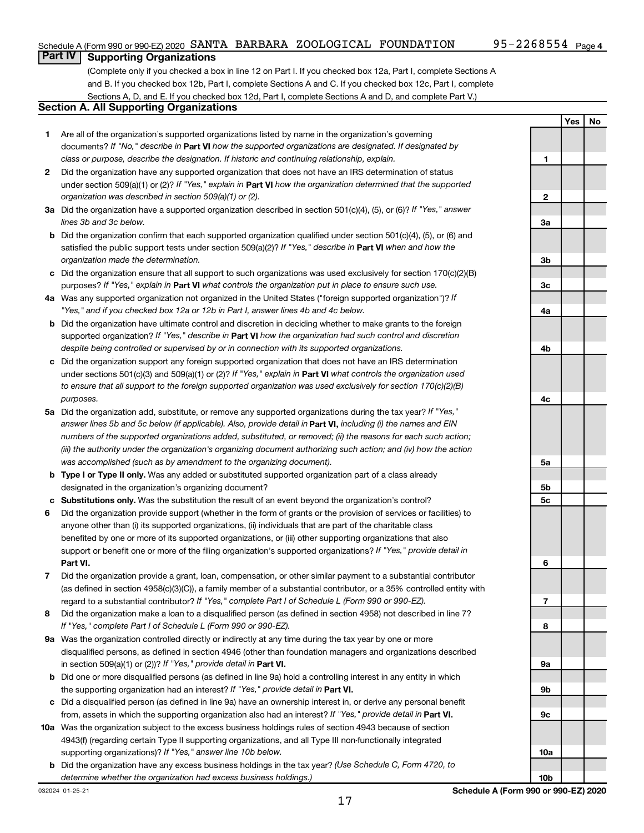**Yes No**

#### **Part IV Supporting Organizations**

(Complete only if you checked a box in line 12 on Part I. If you checked box 12a, Part I, complete Sections A and B. If you checked box 12b, Part I, complete Sections A and C. If you checked box 12c, Part I, complete Sections A, D, and E. If you checked box 12d, Part I, complete Sections A and D, and complete Part V.)

#### **Section A. All Supporting Organizations**

- **1** Are all of the organization's supported organizations listed by name in the organization's governing documents? If "No," describe in Part VI how the supported organizations are designated. If designated by *class or purpose, describe the designation. If historic and continuing relationship, explain.*
- **2** Did the organization have any supported organization that does not have an IRS determination of status under section 509(a)(1) or (2)? If "Yes," explain in Part **VI** how the organization determined that the supported *organization was described in section 509(a)(1) or (2).*
- **3a** Did the organization have a supported organization described in section 501(c)(4), (5), or (6)? If "Yes," answer *lines 3b and 3c below.*
- **b** Did the organization confirm that each supported organization qualified under section 501(c)(4), (5), or (6) and satisfied the public support tests under section 509(a)(2)? If "Yes," describe in Part VI when and how the *organization made the determination.*
- **c** Did the organization ensure that all support to such organizations was used exclusively for section 170(c)(2)(B) purposes? If "Yes," explain in Part VI what controls the organization put in place to ensure such use.
- **4 a** *If* Was any supported organization not organized in the United States ("foreign supported organization")? *"Yes," and if you checked box 12a or 12b in Part I, answer lines 4b and 4c below.*
- **b** Did the organization have ultimate control and discretion in deciding whether to make grants to the foreign supported organization? If "Yes," describe in Part VI how the organization had such control and discretion *despite being controlled or supervised by or in connection with its supported organizations.*
- **c** Did the organization support any foreign supported organization that does not have an IRS determination under sections 501(c)(3) and 509(a)(1) or (2)? If "Yes," explain in Part VI what controls the organization used *to ensure that all support to the foreign supported organization was used exclusively for section 170(c)(2)(B) purposes.*
- **5a** Did the organization add, substitute, or remove any supported organizations during the tax year? If "Yes," answer lines 5b and 5c below (if applicable). Also, provide detail in **Part VI,** including (i) the names and EIN *numbers of the supported organizations added, substituted, or removed; (ii) the reasons for each such action; (iii) the authority under the organization's organizing document authorizing such action; and (iv) how the action was accomplished (such as by amendment to the organizing document).*
- **b** Type I or Type II only. Was any added or substituted supported organization part of a class already designated in the organization's organizing document?
- **c Substitutions only.**  Was the substitution the result of an event beyond the organization's control?
- **6** Did the organization provide support (whether in the form of grants or the provision of services or facilities) to **Part VI.** support or benefit one or more of the filing organization's supported organizations? If "Yes," provide detail in anyone other than (i) its supported organizations, (ii) individuals that are part of the charitable class benefited by one or more of its supported organizations, or (iii) other supporting organizations that also
- **7** Did the organization provide a grant, loan, compensation, or other similar payment to a substantial contributor regard to a substantial contributor? If "Yes," complete Part I of Schedule L (Form 990 or 990-EZ). (as defined in section 4958(c)(3)(C)), a family member of a substantial contributor, or a 35% controlled entity with
- **8** Did the organization make a loan to a disqualified person (as defined in section 4958) not described in line 7? *If "Yes," complete Part I of Schedule L (Form 990 or 990-EZ).*
- **9 a** Was the organization controlled directly or indirectly at any time during the tax year by one or more in section 509(a)(1) or (2))? If "Yes," provide detail in **Part VI.** disqualified persons, as defined in section 4946 (other than foundation managers and organizations described
- **b** Did one or more disqualified persons (as defined in line 9a) hold a controlling interest in any entity in which the supporting organization had an interest? If "Yes," provide detail in Part VI.
- **c** Did a disqualified person (as defined in line 9a) have an ownership interest in, or derive any personal benefit from, assets in which the supporting organization also had an interest? If "Yes," provide detail in Part VI.
- **10 a** Was the organization subject to the excess business holdings rules of section 4943 because of section supporting organizations)? If "Yes," answer line 10b below. 4943(f) (regarding certain Type II supporting organizations, and all Type III non-functionally integrated
- **b** Did the organization have any excess business holdings in the tax year? (Use Schedule C, Form 4720, to *determine whether the organization had excess business holdings.)*

**1 2 3a 3b 3c 4a 4b 4c 5a 5b 5c 6 7 8 9a 9b 9c 10a**

**10b**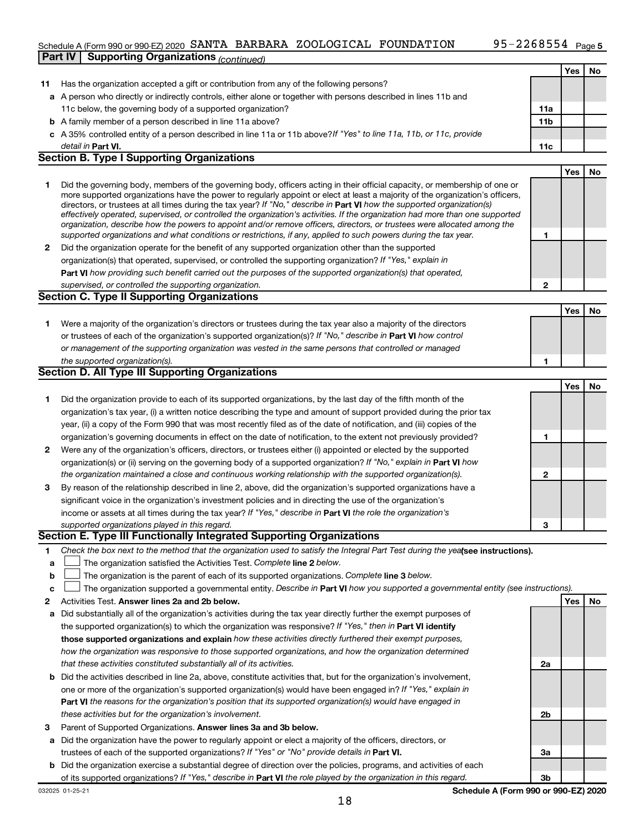### Schedule A (Form 990 or 990-EZ) 2020 SANTA BARBARA ZOOLOGICAL FOUNDATION 95-2268554 Page **Part IV Supporting Organizations** *(continued)*

|    |                                                                                                                                                                                                                                                             |                 | Yes | No |
|----|-------------------------------------------------------------------------------------------------------------------------------------------------------------------------------------------------------------------------------------------------------------|-----------------|-----|----|
| 11 | Has the organization accepted a gift or contribution from any of the following persons?                                                                                                                                                                     |                 |     |    |
|    | a A person who directly or indirectly controls, either alone or together with persons described in lines 11b and                                                                                                                                            |                 |     |    |
|    | 11c below, the governing body of a supported organization?                                                                                                                                                                                                  | 11a             |     |    |
|    | <b>b</b> A family member of a person described in line 11a above?                                                                                                                                                                                           | 11 <sub>b</sub> |     |    |
|    | c A 35% controlled entity of a person described in line 11a or 11b above? If "Yes" to line 11a, 11b, or 11c, provide                                                                                                                                        |                 |     |    |
|    | detail in <b>Part VI.</b><br><b>Section B. Type I Supporting Organizations</b>                                                                                                                                                                              | 11c             |     |    |
|    |                                                                                                                                                                                                                                                             |                 |     |    |
|    |                                                                                                                                                                                                                                                             |                 | Yes | No |
| 1  | Did the governing body, members of the governing body, officers acting in their official capacity, or membership of one or<br>more supported organizations have the power to regularly appoint or elect at least a majority of the organization's officers, |                 |     |    |
|    | directors, or trustees at all times during the tax year? If "No," describe in Part VI how the supported organization(s)                                                                                                                                     |                 |     |    |
|    | effectively operated, supervised, or controlled the organization's activities. If the organization had more than one supported                                                                                                                              |                 |     |    |
|    | organization, describe how the powers to appoint and/or remove officers, directors, or trustees were allocated among the                                                                                                                                    |                 |     |    |
|    | supported organizations and what conditions or restrictions, if any, applied to such powers during the tax year.                                                                                                                                            | 1               |     |    |
| 2  | Did the organization operate for the benefit of any supported organization other than the supported                                                                                                                                                         |                 |     |    |
|    | organization(s) that operated, supervised, or controlled the supporting organization? If "Yes," explain in                                                                                                                                                  |                 |     |    |
|    | Part VI how providing such benefit carried out the purposes of the supported organization(s) that operated,                                                                                                                                                 |                 |     |    |
|    | supervised, or controlled the supporting organization.                                                                                                                                                                                                      | 2               |     |    |
|    | Section C. Type II Supporting Organizations                                                                                                                                                                                                                 |                 |     |    |
|    |                                                                                                                                                                                                                                                             |                 | Yes | No |
| 1. | Were a majority of the organization's directors or trustees during the tax year also a majority of the directors                                                                                                                                            |                 |     |    |
|    | or trustees of each of the organization's supported organization(s)? If "No," describe in Part VI how control                                                                                                                                               |                 |     |    |
|    | or management of the supporting organization was vested in the same persons that controlled or managed                                                                                                                                                      |                 |     |    |
|    | the supported organization(s).                                                                                                                                                                                                                              | 1               |     |    |
|    | Section D. All Type III Supporting Organizations                                                                                                                                                                                                            |                 |     |    |
|    |                                                                                                                                                                                                                                                             |                 | Yes | No |
| 1  | Did the organization provide to each of its supported organizations, by the last day of the fifth month of the                                                                                                                                              |                 |     |    |
|    | organization's tax year, (i) a written notice describing the type and amount of support provided during the prior tax                                                                                                                                       |                 |     |    |
|    | year, (ii) a copy of the Form 990 that was most recently filed as of the date of notification, and (iii) copies of the                                                                                                                                      |                 |     |    |
|    | organization's governing documents in effect on the date of notification, to the extent not previously provided?                                                                                                                                            | 1               |     |    |
| 2  | Were any of the organization's officers, directors, or trustees either (i) appointed or elected by the supported                                                                                                                                            |                 |     |    |
|    | organization(s) or (ii) serving on the governing body of a supported organization? If "No," explain in Part VI how                                                                                                                                          |                 |     |    |
|    | the organization maintained a close and continuous working relationship with the supported organization(s).                                                                                                                                                 | 2               |     |    |
| 3. | By reason of the relationship described in line 2, above, did the organization's supported organizations have a                                                                                                                                             |                 |     |    |
|    | significant voice in the organization's investment policies and in directing the use of the organization's                                                                                                                                                  |                 |     |    |
|    | income or assets at all times during the tax year? If "Yes," describe in Part VI the role the organization's                                                                                                                                                |                 |     |    |
|    | supported organizations played in this regard.<br>Section E. Type III Functionally Integrated Supporting Organizations                                                                                                                                      | З               |     |    |
|    |                                                                                                                                                                                                                                                             |                 |     |    |
| 1  | Check the box next to the method that the organization used to satisfy the Integral Part Test during the yealsee instructions).                                                                                                                             |                 |     |    |
| а  | The organization satisfied the Activities Test. Complete line 2 below.                                                                                                                                                                                      |                 |     |    |
| b  | The organization is the parent of each of its supported organizations. Complete line 3 below.                                                                                                                                                               |                 |     |    |
| с  | The organization supported a governmental entity. Describe in Part VI how you supported a governmental entity (see instructions).                                                                                                                           |                 |     |    |
| 2  | Activities Test. Answer lines 2a and 2b below.                                                                                                                                                                                                              |                 | Yes | No |
| а  | Did substantially all of the organization's activities during the tax year directly further the exempt purposes of                                                                                                                                          |                 |     |    |
|    | the supported organization(s) to which the organization was responsive? If "Yes," then in Part VI identify                                                                                                                                                  |                 |     |    |
|    | those supported organizations and explain how these activities directly furthered their exempt purposes,                                                                                                                                                    |                 |     |    |
|    | how the organization was responsive to those supported organizations, and how the organization determined<br>that these activities constituted substantially all of its activities.                                                                         |                 |     |    |
|    |                                                                                                                                                                                                                                                             | 2a              |     |    |
| b  | Did the activities described in line 2a, above, constitute activities that, but for the organization's involvement,<br>one or more of the organization's supported organization(s) would have been engaged in? If "Yes," explain in                         |                 |     |    |
|    | <b>Part VI</b> the reasons for the organization's position that its supported organization(s) would have engaged in                                                                                                                                         |                 |     |    |
|    |                                                                                                                                                                                                                                                             |                 |     |    |
|    | these activities but for the organization's involvement.                                                                                                                                                                                                    | 2b              |     |    |
| з  | Parent of Supported Organizations. Answer lines 3a and 3b below.                                                                                                                                                                                            |                 |     |    |
| a  | Did the organization have the power to regularly appoint or elect a majority of the officers, directors, or<br>trustees of each of the supported organizations? If "Yes" or "No" provide details in Part VI.                                                | За              |     |    |
| b  | Did the organization exercise a substantial degree of direction over the policies, programs, and activities of each                                                                                                                                         |                 |     |    |
|    | of its supported organizations? If "Yes," describe in Part VI the role played by the organization in this regard.                                                                                                                                           | 3b              |     |    |
|    |                                                                                                                                                                                                                                                             |                 |     |    |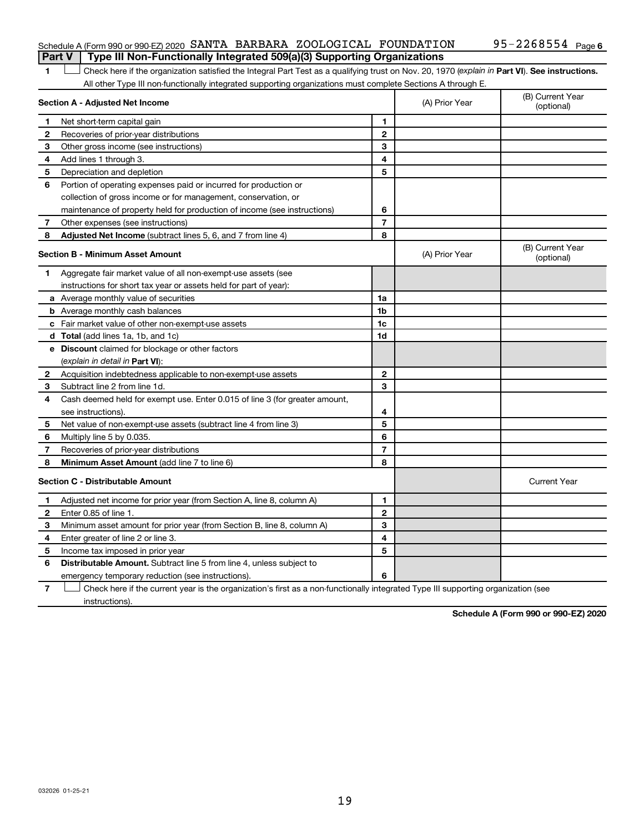#### Schedule A (Form 990 or 990-EZ) 2020 SANTA BARBARA ZOOLOGICAL FOUNDATION 95-2268554 Page **Part V Type III Non-Functionally Integrated 509(a)(3) Supporting Organizations**

1 **Letter See instructions.** Check here if the organization satisfied the Integral Part Test as a qualifying trust on Nov. 20, 1970 (*explain in* Part **VI**). See instructions. All other Type III non-functionally integrated supporting organizations must complete Sections A through E.

|              | Section A - Adjusted Net Income                                             | (A) Prior Year | (B) Current Year<br>(optional) |                                |
|--------------|-----------------------------------------------------------------------------|----------------|--------------------------------|--------------------------------|
| $\mathbf 1$  | Net short-term capital gain                                                 | 1              |                                |                                |
| $\mathbf{2}$ | Recoveries of prior-year distributions                                      | $\mathbf{2}$   |                                |                                |
| З            | Other gross income (see instructions)                                       | 3              |                                |                                |
| 4            | Add lines 1 through 3.                                                      | 4              |                                |                                |
| 5            | Depreciation and depletion                                                  | 5              |                                |                                |
| 6            | Portion of operating expenses paid or incurred for production or            |                |                                |                                |
|              | collection of gross income or for management, conservation, or              |                |                                |                                |
|              | maintenance of property held for production of income (see instructions)    | 6              |                                |                                |
| 7            | Other expenses (see instructions)                                           | $\overline{7}$ |                                |                                |
| 8            | Adjusted Net Income (subtract lines 5, 6, and 7 from line 4)                | 8              |                                |                                |
|              | <b>Section B - Minimum Asset Amount</b>                                     |                | (A) Prior Year                 | (B) Current Year<br>(optional) |
| 1.           | Aggregate fair market value of all non-exempt-use assets (see               |                |                                |                                |
|              | instructions for short tax year or assets held for part of year):           |                |                                |                                |
|              | a Average monthly value of securities                                       | 1a             |                                |                                |
|              | <b>b</b> Average monthly cash balances                                      | 1 <sub>b</sub> |                                |                                |
|              | <b>c</b> Fair market value of other non-exempt-use assets                   | 1c             |                                |                                |
|              | d Total (add lines 1a, 1b, and 1c)                                          | 1d             |                                |                                |
|              | e Discount claimed for blockage or other factors                            |                |                                |                                |
|              | (explain in detail in <b>Part VI</b> ):                                     |                |                                |                                |
| 2            | Acquisition indebtedness applicable to non-exempt-use assets                | $\mathbf{2}$   |                                |                                |
| З            | Subtract line 2 from line 1d.                                               | 3              |                                |                                |
| 4            | Cash deemed held for exempt use. Enter 0.015 of line 3 (for greater amount, |                |                                |                                |
|              | see instructions).                                                          | 4              |                                |                                |
| 5            | Net value of non-exempt-use assets (subtract line 4 from line 3)            | 5              |                                |                                |
| 6            | Multiply line 5 by 0.035.                                                   | 6              |                                |                                |
| 7            | Recoveries of prior-year distributions                                      | $\overline{7}$ |                                |                                |
| 8            | Minimum Asset Amount (add line 7 to line 6)                                 | 8              |                                |                                |
|              | <b>Section C - Distributable Amount</b>                                     |                |                                | <b>Current Year</b>            |
| 1            | Adjusted net income for prior year (from Section A, line 8, column A)       | 1              |                                |                                |
| $\mathbf{2}$ | Enter 0.85 of line 1.                                                       | $\mathbf{2}$   |                                |                                |
| 3            | Minimum asset amount for prior year (from Section B, line 8, column A)      | 3              |                                |                                |
| 4            | Enter greater of line 2 or line 3.                                          | 4              |                                |                                |
| 5            | Income tax imposed in prior year                                            | 5              |                                |                                |
| 6            | <b>Distributable Amount.</b> Subtract line 5 from line 4, unless subject to |                |                                |                                |
|              | emergency temporary reduction (see instructions).                           | 6              |                                |                                |
|              |                                                                             |                |                                |                                |

**7** Check here if the current year is the organization's first as a non-functionally integrated Type III supporting organization (see † instructions).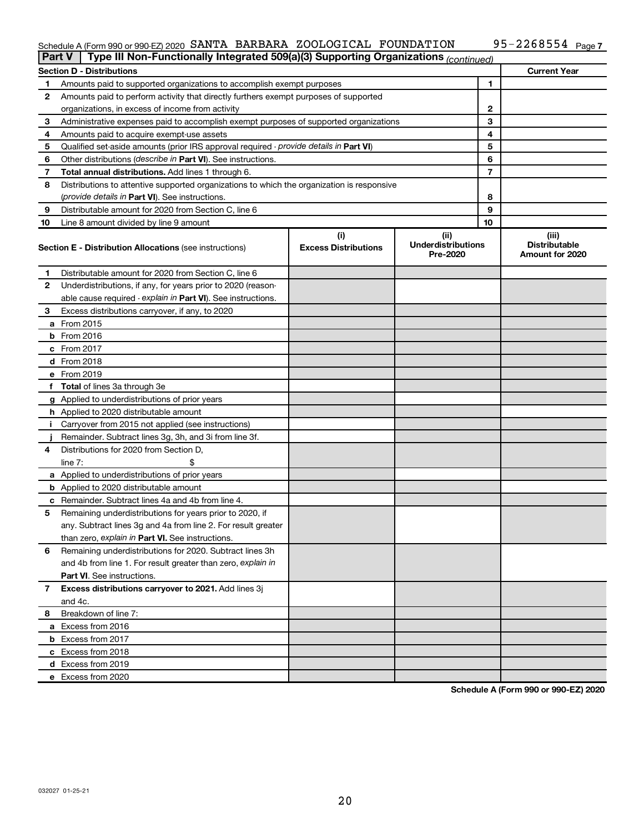#### Schedule A (Form 990 or 990-EZ) 2020 Page SANTA BARBARA ZOOLOGICAL FOUNDATION 95-2268554

| <b>Part V</b> |               | Type III Non-Functionally Integrated 509(a)(3) Supporting Organizations (continued)        |                             |                                       |    |                                         |
|---------------|---------------|--------------------------------------------------------------------------------------------|-----------------------------|---------------------------------------|----|-----------------------------------------|
|               |               | <b>Section D - Distributions</b>                                                           |                             |                                       |    | <b>Current Year</b>                     |
| 1             |               | Amounts paid to supported organizations to accomplish exempt purposes                      | 1                           |                                       |    |                                         |
| 2             |               | Amounts paid to perform activity that directly furthers exempt purposes of supported       |                             |                                       |    |                                         |
|               |               | organizations, in excess of income from activity                                           |                             | 2                                     |    |                                         |
| 3             |               | Administrative expenses paid to accomplish exempt purposes of supported organizations      |                             | 3                                     |    |                                         |
| 4             |               | Amounts paid to acquire exempt-use assets                                                  |                             |                                       | 4  |                                         |
| 5             |               | Qualified set-aside amounts (prior IRS approval required - provide details in Part VI)     |                             |                                       | 5  |                                         |
| 6             |               | Other distributions ( <i>describe in Part VI</i> ). See instructions.                      |                             |                                       | 6  |                                         |
| 7             |               | Total annual distributions. Add lines 1 through 6.                                         |                             |                                       | 7  |                                         |
| 8             |               | Distributions to attentive supported organizations to which the organization is responsive |                             |                                       |    |                                         |
|               |               | (provide details in Part VI). See instructions.                                            |                             |                                       | 8  |                                         |
| 9             |               | Distributable amount for 2020 from Section C, line 6                                       |                             |                                       | 9  |                                         |
| 10            |               | Line 8 amount divided by line 9 amount                                                     |                             |                                       | 10 |                                         |
|               |               |                                                                                            | (i)                         | (ii)                                  |    | (iii)                                   |
|               |               | <b>Section E - Distribution Allocations (see instructions)</b>                             | <b>Excess Distributions</b> | <b>Underdistributions</b><br>Pre-2020 |    | <b>Distributable</b><br>Amount for 2020 |
| 1             |               | Distributable amount for 2020 from Section C, line 6                                       |                             |                                       |    |                                         |
| 2             |               | Underdistributions, if any, for years prior to 2020 (reason-                               |                             |                                       |    |                                         |
|               |               | able cause required - explain in Part VI). See instructions.                               |                             |                                       |    |                                         |
| 3             |               | Excess distributions carryover, if any, to 2020                                            |                             |                                       |    |                                         |
|               | a From 2015   |                                                                                            |                             |                                       |    |                                         |
|               | $b$ From 2016 |                                                                                            |                             |                                       |    |                                         |
|               | c From 2017   |                                                                                            |                             |                                       |    |                                         |
|               | d From 2018   |                                                                                            |                             |                                       |    |                                         |
|               | e From 2019   |                                                                                            |                             |                                       |    |                                         |
|               |               | f Total of lines 3a through 3e                                                             |                             |                                       |    |                                         |
|               |               | g Applied to underdistributions of prior years                                             |                             |                                       |    |                                         |
|               |               | h Applied to 2020 distributable amount                                                     |                             |                                       |    |                                         |
| Ť.            |               | Carryover from 2015 not applied (see instructions)                                         |                             |                                       |    |                                         |
|               |               | Remainder. Subtract lines 3g, 3h, and 3i from line 3f.                                     |                             |                                       |    |                                         |
| 4             |               | Distributions for 2020 from Section D,                                                     |                             |                                       |    |                                         |
|               | line $7:$     |                                                                                            |                             |                                       |    |                                         |
|               |               | a Applied to underdistributions of prior years                                             |                             |                                       |    |                                         |
|               |               | <b>b</b> Applied to 2020 distributable amount                                              |                             |                                       |    |                                         |
| с             |               | Remainder. Subtract lines 4a and 4b from line 4.                                           |                             |                                       |    |                                         |
| 5             |               | Remaining underdistributions for years prior to 2020, if                                   |                             |                                       |    |                                         |
|               |               | any. Subtract lines 3g and 4a from line 2. For result greater                              |                             |                                       |    |                                         |
|               |               | than zero, explain in Part VI. See instructions.                                           |                             |                                       |    |                                         |
| 6             |               | Remaining underdistributions for 2020. Subtract lines 3h                                   |                             |                                       |    |                                         |
|               |               | and 4b from line 1. For result greater than zero, explain in                               |                             |                                       |    |                                         |
|               |               | <b>Part VI.</b> See instructions.                                                          |                             |                                       |    |                                         |
| 7             |               | Excess distributions carryover to 2021. Add lines 3j                                       |                             |                                       |    |                                         |
|               | and 4c.       |                                                                                            |                             |                                       |    |                                         |
| 8             |               | Breakdown of line 7:                                                                       |                             |                                       |    |                                         |
|               |               | a Excess from 2016                                                                         |                             |                                       |    |                                         |
|               |               | <b>b</b> Excess from 2017                                                                  |                             |                                       |    |                                         |
|               |               | c Excess from 2018                                                                         |                             |                                       |    |                                         |
|               |               | d Excess from 2019                                                                         |                             |                                       |    |                                         |
|               |               | e Excess from 2020                                                                         |                             |                                       |    |                                         |
|               |               |                                                                                            |                             |                                       |    |                                         |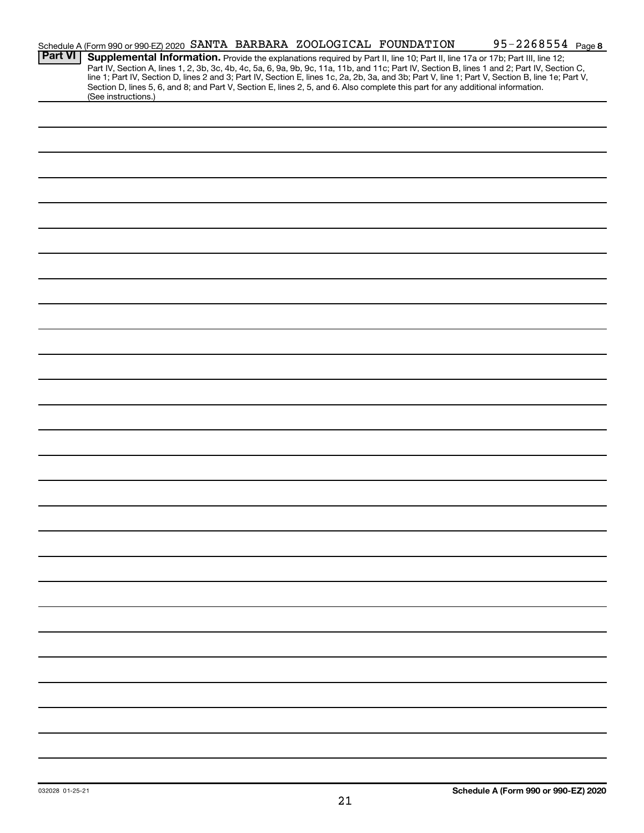|                | Schedule A (Form 990 or 990-EZ) 2020 SANTA BARBARA ZOOLOGICAL FOUNDATION                                                                               |  |  | 95-2268554 Page 8                                                                                                                                                                                                                                                                                                                                                                                                                 |
|----------------|--------------------------------------------------------------------------------------------------------------------------------------------------------|--|--|-----------------------------------------------------------------------------------------------------------------------------------------------------------------------------------------------------------------------------------------------------------------------------------------------------------------------------------------------------------------------------------------------------------------------------------|
| <b>Part VI</b> | Section D, lines 5, 6, and 8; and Part V, Section E, lines 2, 5, and 6. Also complete this part for any additional information.<br>(See instructions.) |  |  | Supplemental Information. Provide the explanations required by Part II, line 10; Part II, line 17a or 17b; Part III, line 12;<br>Part IV, Section A, lines 1, 2, 3b, 3c, 4b, 4c, 5a, 6, 9a, 9b, 9c, 11a, 11b, and 11c; Part IV, Section B, lines 1 and 2; Part IV, Section C,<br>line 1; Part IV, Section D, lines 2 and 3; Part IV, Section E, lines 1c, 2a, 2b, 3a, and 3b; Part V, line 1; Part V, Section B, line 1e; Part V, |
|                |                                                                                                                                                        |  |  |                                                                                                                                                                                                                                                                                                                                                                                                                                   |
|                |                                                                                                                                                        |  |  |                                                                                                                                                                                                                                                                                                                                                                                                                                   |
|                |                                                                                                                                                        |  |  |                                                                                                                                                                                                                                                                                                                                                                                                                                   |
|                |                                                                                                                                                        |  |  |                                                                                                                                                                                                                                                                                                                                                                                                                                   |
|                |                                                                                                                                                        |  |  |                                                                                                                                                                                                                                                                                                                                                                                                                                   |
|                |                                                                                                                                                        |  |  |                                                                                                                                                                                                                                                                                                                                                                                                                                   |
|                |                                                                                                                                                        |  |  |                                                                                                                                                                                                                                                                                                                                                                                                                                   |
|                |                                                                                                                                                        |  |  |                                                                                                                                                                                                                                                                                                                                                                                                                                   |
|                |                                                                                                                                                        |  |  |                                                                                                                                                                                                                                                                                                                                                                                                                                   |
|                |                                                                                                                                                        |  |  |                                                                                                                                                                                                                                                                                                                                                                                                                                   |
|                |                                                                                                                                                        |  |  |                                                                                                                                                                                                                                                                                                                                                                                                                                   |
|                |                                                                                                                                                        |  |  |                                                                                                                                                                                                                                                                                                                                                                                                                                   |
|                |                                                                                                                                                        |  |  |                                                                                                                                                                                                                                                                                                                                                                                                                                   |
|                |                                                                                                                                                        |  |  |                                                                                                                                                                                                                                                                                                                                                                                                                                   |
|                |                                                                                                                                                        |  |  |                                                                                                                                                                                                                                                                                                                                                                                                                                   |
|                |                                                                                                                                                        |  |  |                                                                                                                                                                                                                                                                                                                                                                                                                                   |
|                |                                                                                                                                                        |  |  |                                                                                                                                                                                                                                                                                                                                                                                                                                   |
|                |                                                                                                                                                        |  |  |                                                                                                                                                                                                                                                                                                                                                                                                                                   |
|                |                                                                                                                                                        |  |  |                                                                                                                                                                                                                                                                                                                                                                                                                                   |
|                |                                                                                                                                                        |  |  |                                                                                                                                                                                                                                                                                                                                                                                                                                   |
|                |                                                                                                                                                        |  |  |                                                                                                                                                                                                                                                                                                                                                                                                                                   |
|                |                                                                                                                                                        |  |  |                                                                                                                                                                                                                                                                                                                                                                                                                                   |
|                |                                                                                                                                                        |  |  |                                                                                                                                                                                                                                                                                                                                                                                                                                   |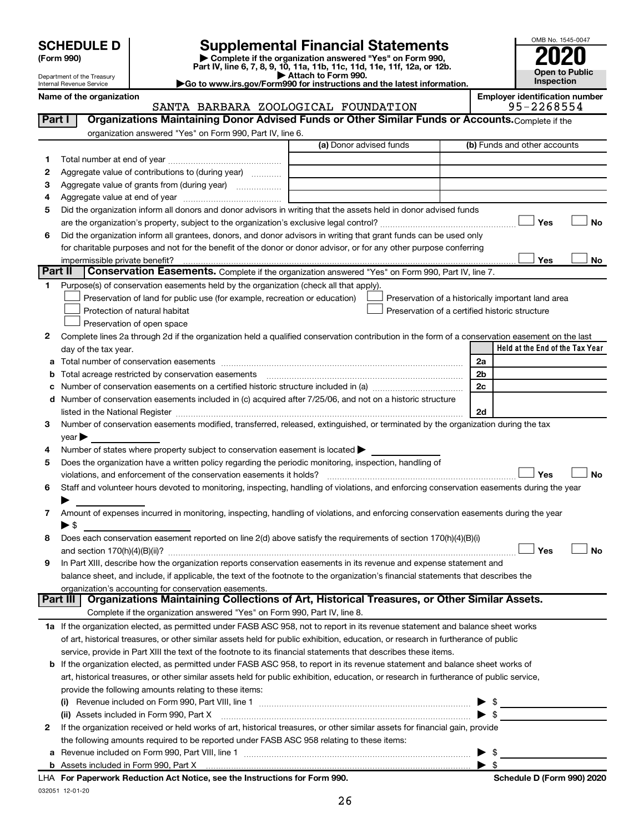| <b>SCHEDULE D</b> |  |
|-------------------|--|
|-------------------|--|

032051 12-01-20

# **SCHEDULE D Supplemental Financial Statements**<br> **Form 990 2020**<br> **Part IV** line 6.7.8.9.10, 11a, 11b, 11d, 11d, 11d, 11d, 11d, 12a, 0r, 12b

**(Form 990) | Complete if the organization answered "Yes" on Form 990, Part IV, line 6, 7, 8, 9, 10, 11a, 11b, 11c, 11d, 11e, 11f, 12a, or 12b.**

**| Attach to Form 990. |Go to www.irs.gov/Form990 for instructions and the latest information.**



Department of the Treasury Internal Revenue Service

#### Name of the organization<br>**SANTA BARBARA ZOOLOGICAL FOUNDATION** 95-2268554 SANTA BARBARA ZOOLOGICAL FOUNDATION

| Part I  | Organizations Maintaining Donor Advised Funds or Other Similar Funds or Accounts. Complete if the                                                                                                                                                                                                                                                                  |                         |                                                    |
|---------|--------------------------------------------------------------------------------------------------------------------------------------------------------------------------------------------------------------------------------------------------------------------------------------------------------------------------------------------------------------------|-------------------------|----------------------------------------------------|
|         | organization answered "Yes" on Form 990, Part IV, line 6.                                                                                                                                                                                                                                                                                                          |                         |                                                    |
|         |                                                                                                                                                                                                                                                                                                                                                                    | (a) Donor advised funds | (b) Funds and other accounts                       |
| 1       |                                                                                                                                                                                                                                                                                                                                                                    |                         |                                                    |
| 2       | Aggregate value of contributions to (during year)                                                                                                                                                                                                                                                                                                                  |                         |                                                    |
| З       |                                                                                                                                                                                                                                                                                                                                                                    |                         |                                                    |
| 4       |                                                                                                                                                                                                                                                                                                                                                                    |                         |                                                    |
| 5       | Did the organization inform all donors and donor advisors in writing that the assets held in donor advised funds                                                                                                                                                                                                                                                   |                         |                                                    |
|         |                                                                                                                                                                                                                                                                                                                                                                    |                         | Yes<br><b>No</b>                                   |
| 6       | Did the organization inform all grantees, donors, and donor advisors in writing that grant funds can be used only                                                                                                                                                                                                                                                  |                         |                                                    |
|         | for charitable purposes and not for the benefit of the donor or donor advisor, or for any other purpose conferring                                                                                                                                                                                                                                                 |                         |                                                    |
|         | impermissible private benefit?                                                                                                                                                                                                                                                                                                                                     |                         | Yes<br>No                                          |
| Part II | Conservation Easements. Complete if the organization answered "Yes" on Form 990, Part IV, line 7.                                                                                                                                                                                                                                                                  |                         |                                                    |
| 1.      | Purpose(s) of conservation easements held by the organization (check all that apply).                                                                                                                                                                                                                                                                              |                         |                                                    |
|         | Preservation of land for public use (for example, recreation or education)                                                                                                                                                                                                                                                                                         |                         | Preservation of a historically important land area |
|         | Protection of natural habitat                                                                                                                                                                                                                                                                                                                                      |                         | Preservation of a certified historic structure     |
|         | Preservation of open space                                                                                                                                                                                                                                                                                                                                         |                         |                                                    |
| 2       | Complete lines 2a through 2d if the organization held a qualified conservation contribution in the form of a conservation easement on the last                                                                                                                                                                                                                     |                         |                                                    |
|         | day of the tax year.                                                                                                                                                                                                                                                                                                                                               |                         | Held at the End of the Tax Year                    |
| а       |                                                                                                                                                                                                                                                                                                                                                                    |                         | 2a                                                 |
|         | Total acreage restricted by conservation easements                                                                                                                                                                                                                                                                                                                 |                         | 2 <sub>b</sub>                                     |
|         |                                                                                                                                                                                                                                                                                                                                                                    |                         | 2c                                                 |
| d       | Number of conservation easements included in (c) acquired after 7/25/06, and not on a historic structure                                                                                                                                                                                                                                                           |                         | 2d                                                 |
| 3       | listed in the National Register [111] in the National Register [11] in the National Register [11] in the National Register [11] in the National Register [11] in the National Register [11] in the National Register [11] in t<br>Number of conservation easements modified, transferred, released, extinguished, or terminated by the organization during the tax |                         |                                                    |
|         | $year \triangleright$                                                                                                                                                                                                                                                                                                                                              |                         |                                                    |
| 4       | Number of states where property subject to conservation easement is located >                                                                                                                                                                                                                                                                                      |                         |                                                    |
| 5       | Does the organization have a written policy regarding the periodic monitoring, inspection, handling of                                                                                                                                                                                                                                                             |                         |                                                    |
|         | violations, and enforcement of the conservation easements it holds?                                                                                                                                                                                                                                                                                                |                         | Yes<br>No                                          |
| 6       | Staff and volunteer hours devoted to monitoring, inspecting, handling of violations, and enforcing conservation easements during the year                                                                                                                                                                                                                          |                         |                                                    |
|         |                                                                                                                                                                                                                                                                                                                                                                    |                         |                                                    |
| 7       | Amount of expenses incurred in monitoring, inspecting, handling of violations, and enforcing conservation easements during the year                                                                                                                                                                                                                                |                         |                                                    |
|         | ▶ \$                                                                                                                                                                                                                                                                                                                                                               |                         |                                                    |
| 8       | Does each conservation easement reported on line 2(d) above satisfy the requirements of section 170(h)(4)(B)(i)                                                                                                                                                                                                                                                    |                         |                                                    |
|         |                                                                                                                                                                                                                                                                                                                                                                    |                         | Yes<br>Nο                                          |
| 9       | In Part XIII, describe how the organization reports conservation easements in its revenue and expense statement and                                                                                                                                                                                                                                                |                         |                                                    |
|         | balance sheet, and include, if applicable, the text of the footnote to the organization's financial statements that describes the                                                                                                                                                                                                                                  |                         |                                                    |
|         | organization's accounting for conservation easements.                                                                                                                                                                                                                                                                                                              |                         |                                                    |
|         | Organizations Maintaining Collections of Art, Historical Treasures, or Other Similar Assets.<br>Part III                                                                                                                                                                                                                                                           |                         |                                                    |
|         | Complete if the organization answered "Yes" on Form 990, Part IV, line 8.                                                                                                                                                                                                                                                                                          |                         |                                                    |
|         | 1a If the organization elected, as permitted under FASB ASC 958, not to report in its revenue statement and balance sheet works                                                                                                                                                                                                                                    |                         |                                                    |
|         | of art, historical treasures, or other similar assets held for public exhibition, education, or research in furtherance of public                                                                                                                                                                                                                                  |                         |                                                    |
|         | service, provide in Part XIII the text of the footnote to its financial statements that describes these items.                                                                                                                                                                                                                                                     |                         |                                                    |
|         | <b>b</b> If the organization elected, as permitted under FASB ASC 958, to report in its revenue statement and balance sheet works of                                                                                                                                                                                                                               |                         |                                                    |
|         | art, historical treasures, or other similar assets held for public exhibition, education, or research in furtherance of public service,                                                                                                                                                                                                                            |                         |                                                    |
|         | provide the following amounts relating to these items:                                                                                                                                                                                                                                                                                                             |                         |                                                    |
|         |                                                                                                                                                                                                                                                                                                                                                                    |                         | - \$<br>▶                                          |
|         | (ii) Assets included in Form 990, Part X                                                                                                                                                                                                                                                                                                                           |                         | $\blacktriangleright$ \$                           |
| 2       | If the organization received or held works of art, historical treasures, or other similar assets for financial gain, provide                                                                                                                                                                                                                                       |                         |                                                    |
|         | the following amounts required to be reported under FASB ASC 958 relating to these items:                                                                                                                                                                                                                                                                          |                         |                                                    |
| а       |                                                                                                                                                                                                                                                                                                                                                                    |                         | \$<br>▶                                            |
| b       | Assets included in Form 990, Part X [11, 2000] Marshall Strategy and Taylor Strategy Assets included in Form 990, Part X                                                                                                                                                                                                                                           |                         | $\blacktriangleright$ \$                           |
|         | LHA For Paperwork Reduction Act Notice, see the Instructions for Form 990.                                                                                                                                                                                                                                                                                         |                         | Schedule D (Form 990) 2020                         |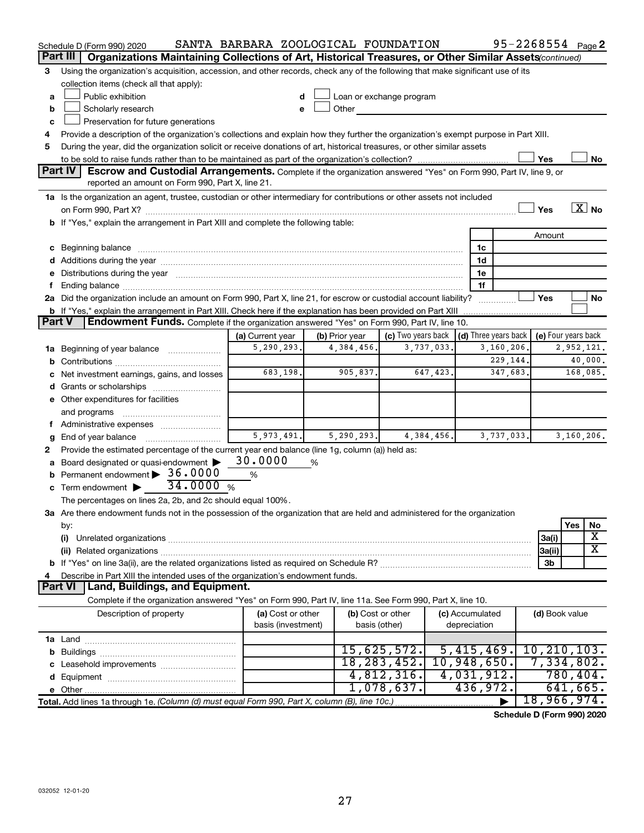| Part III<br>Organizations Maintaining Collections of Art, Historical Treasures, or Other Similar Assets(continued)<br>Using the organization's acquisition, accession, and other records, check any of the following that make significant use of its<br>3<br>collection items (check all that apply):<br>Public exhibition<br>Loan or exchange program<br>a<br>Scholarly research<br>Other the contract of the contract of the contract of the contract of the contract of the contract of the contract of the contract of the contract of the contract of the contract of the contract of the contract of the cont<br>b<br>Preservation for future generations<br>c<br>Provide a description of the organization's collections and explain how they further the organization's exempt purpose in Part XIII.<br>4<br>During the year, did the organization solicit or receive donations of art, historical treasures, or other similar assets<br>5<br>Yes<br>No<br><b>Part IV</b><br><b>Escrow and Custodial Arrangements.</b> Complete if the organization answered "Yes" on Form 990, Part IV, line 9, or<br>reported an amount on Form 990, Part X, line 21.<br>1a Is the organization an agent, trustee, custodian or other intermediary for contributions or other assets not included<br>$\overline{\text{X}}$ No<br>Yes<br>b If "Yes," explain the arrangement in Part XIII and complete the following table:<br>Amount<br>c Beginning balance measurements and the contract of the contract of the contract of the contract of the contract of the contract of the contract of the contract of the contract of the contract of the contract of the contr<br>1c<br>1d<br>e Distributions during the year manufactured and contained and contained and the vertex of Distributions during the year manufactured and contained and contained and contained and contained and contained and contained and<br>1e<br>1f<br>f.<br>2a Did the organization include an amount on Form 990, Part X, line 21, for escrow or custodial account liability?<br>Yes<br>No<br>Part V<br><b>Endowment Funds.</b> Complete if the organization answered "Yes" on Form 990, Part IV, line 10.<br>(c) Two years back $\vert$ (d) Three years back $\vert$<br>(e) Four years back<br>(a) Current year<br>(b) Prior year<br>5, 290, 293.<br>3,737,033.<br>3,160,206.<br>4,384,456.<br>2,952,121.<br>1a Beginning of year balance<br>229,144.<br>40,000.<br>b<br>683,198.<br>905,837.<br>647, 423.<br>347,683.<br>168,085.<br>c Net investment earnings, gains, and losses<br>e Other expenditures for facilities<br>and programs<br>f Administrative expenses<br>5, 973, 491.<br>5, 290, 293.<br>4,384,456.<br>3,737,033.<br>3,160,206.<br>g<br>Provide the estimated percentage of the current year end balance (line 1g, column (a)) held as:<br>2<br>30.0000<br>a Board designated or quasi-endowment ><br>%<br>Permanent endowment > 36.0000<br>%<br>b<br>34.0000%<br>c Term endowment $\blacktriangleright$<br>The percentages on lines 2a, 2b, and 2c should equal 100%.<br>3a Are there endowment funds not in the possession of the organization that are held and administered for the organization<br>Yes<br>No<br>by:<br>X<br>(i)<br>3a(i)<br>$\overline{\text{X}}$<br>(ii) Related organizations [11] Related organizations [11] Maximum material contract to the contract of the contract of the contract of the contract of the contract of the contract of the contract of the contract of the co<br>3a(ii)<br>3b<br>Describe in Part XIII the intended uses of the organization's endowment funds.<br>4<br>Land, Buildings, and Equipment.<br><b>Part VI</b><br>Complete if the organization answered "Yes" on Form 990, Part IV, line 11a. See Form 990, Part X, line 10.<br>Description of property<br>(a) Cost or other<br>(b) Cost or other<br>(c) Accumulated<br>(d) Book value<br>basis (investment)<br>depreciation<br>basis (other)<br>15,625,572.<br>10, 210, 103.<br>5,415,469.<br>18, 283, 452.<br>10,948,650.<br>7,334,802.<br>4,812,316.<br>4,031,912.<br>780,404.<br>641,665.<br>1,078,637.<br>436,972.<br>18,966,974.<br>Total. Add lines 1a through 1e. (Column (d) must equal Form 990, Part X, column (B), line 10c.) | Schedule D (Form 990) 2020 | SANTA BARBARA ZOOLOGICAL FOUNDATION |  | 95-2268554 Page 2 |  |
|--------------------------------------------------------------------------------------------------------------------------------------------------------------------------------------------------------------------------------------------------------------------------------------------------------------------------------------------------------------------------------------------------------------------------------------------------------------------------------------------------------------------------------------------------------------------------------------------------------------------------------------------------------------------------------------------------------------------------------------------------------------------------------------------------------------------------------------------------------------------------------------------------------------------------------------------------------------------------------------------------------------------------------------------------------------------------------------------------------------------------------------------------------------------------------------------------------------------------------------------------------------------------------------------------------------------------------------------------------------------------------------------------------------------------------------------------------------------------------------------------------------------------------------------------------------------------------------------------------------------------------------------------------------------------------------------------------------------------------------------------------------------------------------------------------------------------------------------------------------------------------------------------------------------------------------------------------------------------------------------------------------------------------------------------------------------------------------------------------------------------------------------------------------------------------------------------------------------------------------------------------------------------------------------------------------------------------------------------------------------------------------------------------------------------------------------------------------------------------------------------------------------------------------------------------------------------------------------------------------------------------------------------------------------------------------------------------------------------------------------------------------------------------------------------------------------------------------------------------------------------------------------------------------------------------------------------------------------------------------------------------------------------------------------------------------------------------------------------------------------------------------------------------------------------------------------------------------------------------------------------------------------------------------------------------------------------------------------------------------------------------------------------------------------------------------------------------------------------------------------------------------------------------------------------------------------------------------------------------------------------------------------------------------------------------------------------------------------------------------------------------------------------------------------------------------------------------------------------------------------------------------------------------------------------------------------------------------------------------------------------------------------------------------------------------------------------------------------------------------------------------------------------------------------------------------------------------------------------------------------|----------------------------|-------------------------------------|--|-------------------|--|
|                                                                                                                                                                                                                                                                                                                                                                                                                                                                                                                                                                                                                                                                                                                                                                                                                                                                                                                                                                                                                                                                                                                                                                                                                                                                                                                                                                                                                                                                                                                                                                                                                                                                                                                                                                                                                                                                                                                                                                                                                                                                                                                                                                                                                                                                                                                                                                                                                                                                                                                                                                                                                                                                                                                                                                                                                                                                                                                                                                                                                                                                                                                                                                                                                                                                                                                                                                                                                                                                                                                                                                                                                                                                                                                                                                                                                                                                                                                                                                                                                                                                                                                                                                                                                                            |                            |                                     |  |                   |  |
|                                                                                                                                                                                                                                                                                                                                                                                                                                                                                                                                                                                                                                                                                                                                                                                                                                                                                                                                                                                                                                                                                                                                                                                                                                                                                                                                                                                                                                                                                                                                                                                                                                                                                                                                                                                                                                                                                                                                                                                                                                                                                                                                                                                                                                                                                                                                                                                                                                                                                                                                                                                                                                                                                                                                                                                                                                                                                                                                                                                                                                                                                                                                                                                                                                                                                                                                                                                                                                                                                                                                                                                                                                                                                                                                                                                                                                                                                                                                                                                                                                                                                                                                                                                                                                            |                            |                                     |  |                   |  |
|                                                                                                                                                                                                                                                                                                                                                                                                                                                                                                                                                                                                                                                                                                                                                                                                                                                                                                                                                                                                                                                                                                                                                                                                                                                                                                                                                                                                                                                                                                                                                                                                                                                                                                                                                                                                                                                                                                                                                                                                                                                                                                                                                                                                                                                                                                                                                                                                                                                                                                                                                                                                                                                                                                                                                                                                                                                                                                                                                                                                                                                                                                                                                                                                                                                                                                                                                                                                                                                                                                                                                                                                                                                                                                                                                                                                                                                                                                                                                                                                                                                                                                                                                                                                                                            |                            |                                     |  |                   |  |
|                                                                                                                                                                                                                                                                                                                                                                                                                                                                                                                                                                                                                                                                                                                                                                                                                                                                                                                                                                                                                                                                                                                                                                                                                                                                                                                                                                                                                                                                                                                                                                                                                                                                                                                                                                                                                                                                                                                                                                                                                                                                                                                                                                                                                                                                                                                                                                                                                                                                                                                                                                                                                                                                                                                                                                                                                                                                                                                                                                                                                                                                                                                                                                                                                                                                                                                                                                                                                                                                                                                                                                                                                                                                                                                                                                                                                                                                                                                                                                                                                                                                                                                                                                                                                                            |                            |                                     |  |                   |  |
|                                                                                                                                                                                                                                                                                                                                                                                                                                                                                                                                                                                                                                                                                                                                                                                                                                                                                                                                                                                                                                                                                                                                                                                                                                                                                                                                                                                                                                                                                                                                                                                                                                                                                                                                                                                                                                                                                                                                                                                                                                                                                                                                                                                                                                                                                                                                                                                                                                                                                                                                                                                                                                                                                                                                                                                                                                                                                                                                                                                                                                                                                                                                                                                                                                                                                                                                                                                                                                                                                                                                                                                                                                                                                                                                                                                                                                                                                                                                                                                                                                                                                                                                                                                                                                            |                            |                                     |  |                   |  |
|                                                                                                                                                                                                                                                                                                                                                                                                                                                                                                                                                                                                                                                                                                                                                                                                                                                                                                                                                                                                                                                                                                                                                                                                                                                                                                                                                                                                                                                                                                                                                                                                                                                                                                                                                                                                                                                                                                                                                                                                                                                                                                                                                                                                                                                                                                                                                                                                                                                                                                                                                                                                                                                                                                                                                                                                                                                                                                                                                                                                                                                                                                                                                                                                                                                                                                                                                                                                                                                                                                                                                                                                                                                                                                                                                                                                                                                                                                                                                                                                                                                                                                                                                                                                                                            |                            |                                     |  |                   |  |
|                                                                                                                                                                                                                                                                                                                                                                                                                                                                                                                                                                                                                                                                                                                                                                                                                                                                                                                                                                                                                                                                                                                                                                                                                                                                                                                                                                                                                                                                                                                                                                                                                                                                                                                                                                                                                                                                                                                                                                                                                                                                                                                                                                                                                                                                                                                                                                                                                                                                                                                                                                                                                                                                                                                                                                                                                                                                                                                                                                                                                                                                                                                                                                                                                                                                                                                                                                                                                                                                                                                                                                                                                                                                                                                                                                                                                                                                                                                                                                                                                                                                                                                                                                                                                                            |                            |                                     |  |                   |  |
|                                                                                                                                                                                                                                                                                                                                                                                                                                                                                                                                                                                                                                                                                                                                                                                                                                                                                                                                                                                                                                                                                                                                                                                                                                                                                                                                                                                                                                                                                                                                                                                                                                                                                                                                                                                                                                                                                                                                                                                                                                                                                                                                                                                                                                                                                                                                                                                                                                                                                                                                                                                                                                                                                                                                                                                                                                                                                                                                                                                                                                                                                                                                                                                                                                                                                                                                                                                                                                                                                                                                                                                                                                                                                                                                                                                                                                                                                                                                                                                                                                                                                                                                                                                                                                            |                            |                                     |  |                   |  |
|                                                                                                                                                                                                                                                                                                                                                                                                                                                                                                                                                                                                                                                                                                                                                                                                                                                                                                                                                                                                                                                                                                                                                                                                                                                                                                                                                                                                                                                                                                                                                                                                                                                                                                                                                                                                                                                                                                                                                                                                                                                                                                                                                                                                                                                                                                                                                                                                                                                                                                                                                                                                                                                                                                                                                                                                                                                                                                                                                                                                                                                                                                                                                                                                                                                                                                                                                                                                                                                                                                                                                                                                                                                                                                                                                                                                                                                                                                                                                                                                                                                                                                                                                                                                                                            |                            |                                     |  |                   |  |
|                                                                                                                                                                                                                                                                                                                                                                                                                                                                                                                                                                                                                                                                                                                                                                                                                                                                                                                                                                                                                                                                                                                                                                                                                                                                                                                                                                                                                                                                                                                                                                                                                                                                                                                                                                                                                                                                                                                                                                                                                                                                                                                                                                                                                                                                                                                                                                                                                                                                                                                                                                                                                                                                                                                                                                                                                                                                                                                                                                                                                                                                                                                                                                                                                                                                                                                                                                                                                                                                                                                                                                                                                                                                                                                                                                                                                                                                                                                                                                                                                                                                                                                                                                                                                                            |                            |                                     |  |                   |  |
|                                                                                                                                                                                                                                                                                                                                                                                                                                                                                                                                                                                                                                                                                                                                                                                                                                                                                                                                                                                                                                                                                                                                                                                                                                                                                                                                                                                                                                                                                                                                                                                                                                                                                                                                                                                                                                                                                                                                                                                                                                                                                                                                                                                                                                                                                                                                                                                                                                                                                                                                                                                                                                                                                                                                                                                                                                                                                                                                                                                                                                                                                                                                                                                                                                                                                                                                                                                                                                                                                                                                                                                                                                                                                                                                                                                                                                                                                                                                                                                                                                                                                                                                                                                                                                            |                            |                                     |  |                   |  |
|                                                                                                                                                                                                                                                                                                                                                                                                                                                                                                                                                                                                                                                                                                                                                                                                                                                                                                                                                                                                                                                                                                                                                                                                                                                                                                                                                                                                                                                                                                                                                                                                                                                                                                                                                                                                                                                                                                                                                                                                                                                                                                                                                                                                                                                                                                                                                                                                                                                                                                                                                                                                                                                                                                                                                                                                                                                                                                                                                                                                                                                                                                                                                                                                                                                                                                                                                                                                                                                                                                                                                                                                                                                                                                                                                                                                                                                                                                                                                                                                                                                                                                                                                                                                                                            |                            |                                     |  |                   |  |
|                                                                                                                                                                                                                                                                                                                                                                                                                                                                                                                                                                                                                                                                                                                                                                                                                                                                                                                                                                                                                                                                                                                                                                                                                                                                                                                                                                                                                                                                                                                                                                                                                                                                                                                                                                                                                                                                                                                                                                                                                                                                                                                                                                                                                                                                                                                                                                                                                                                                                                                                                                                                                                                                                                                                                                                                                                                                                                                                                                                                                                                                                                                                                                                                                                                                                                                                                                                                                                                                                                                                                                                                                                                                                                                                                                                                                                                                                                                                                                                                                                                                                                                                                                                                                                            |                            |                                     |  |                   |  |
|                                                                                                                                                                                                                                                                                                                                                                                                                                                                                                                                                                                                                                                                                                                                                                                                                                                                                                                                                                                                                                                                                                                                                                                                                                                                                                                                                                                                                                                                                                                                                                                                                                                                                                                                                                                                                                                                                                                                                                                                                                                                                                                                                                                                                                                                                                                                                                                                                                                                                                                                                                                                                                                                                                                                                                                                                                                                                                                                                                                                                                                                                                                                                                                                                                                                                                                                                                                                                                                                                                                                                                                                                                                                                                                                                                                                                                                                                                                                                                                                                                                                                                                                                                                                                                            |                            |                                     |  |                   |  |
|                                                                                                                                                                                                                                                                                                                                                                                                                                                                                                                                                                                                                                                                                                                                                                                                                                                                                                                                                                                                                                                                                                                                                                                                                                                                                                                                                                                                                                                                                                                                                                                                                                                                                                                                                                                                                                                                                                                                                                                                                                                                                                                                                                                                                                                                                                                                                                                                                                                                                                                                                                                                                                                                                                                                                                                                                                                                                                                                                                                                                                                                                                                                                                                                                                                                                                                                                                                                                                                                                                                                                                                                                                                                                                                                                                                                                                                                                                                                                                                                                                                                                                                                                                                                                                            |                            |                                     |  |                   |  |
|                                                                                                                                                                                                                                                                                                                                                                                                                                                                                                                                                                                                                                                                                                                                                                                                                                                                                                                                                                                                                                                                                                                                                                                                                                                                                                                                                                                                                                                                                                                                                                                                                                                                                                                                                                                                                                                                                                                                                                                                                                                                                                                                                                                                                                                                                                                                                                                                                                                                                                                                                                                                                                                                                                                                                                                                                                                                                                                                                                                                                                                                                                                                                                                                                                                                                                                                                                                                                                                                                                                                                                                                                                                                                                                                                                                                                                                                                                                                                                                                                                                                                                                                                                                                                                            |                            |                                     |  |                   |  |
|                                                                                                                                                                                                                                                                                                                                                                                                                                                                                                                                                                                                                                                                                                                                                                                                                                                                                                                                                                                                                                                                                                                                                                                                                                                                                                                                                                                                                                                                                                                                                                                                                                                                                                                                                                                                                                                                                                                                                                                                                                                                                                                                                                                                                                                                                                                                                                                                                                                                                                                                                                                                                                                                                                                                                                                                                                                                                                                                                                                                                                                                                                                                                                                                                                                                                                                                                                                                                                                                                                                                                                                                                                                                                                                                                                                                                                                                                                                                                                                                                                                                                                                                                                                                                                            |                            |                                     |  |                   |  |
|                                                                                                                                                                                                                                                                                                                                                                                                                                                                                                                                                                                                                                                                                                                                                                                                                                                                                                                                                                                                                                                                                                                                                                                                                                                                                                                                                                                                                                                                                                                                                                                                                                                                                                                                                                                                                                                                                                                                                                                                                                                                                                                                                                                                                                                                                                                                                                                                                                                                                                                                                                                                                                                                                                                                                                                                                                                                                                                                                                                                                                                                                                                                                                                                                                                                                                                                                                                                                                                                                                                                                                                                                                                                                                                                                                                                                                                                                                                                                                                                                                                                                                                                                                                                                                            |                            |                                     |  |                   |  |
|                                                                                                                                                                                                                                                                                                                                                                                                                                                                                                                                                                                                                                                                                                                                                                                                                                                                                                                                                                                                                                                                                                                                                                                                                                                                                                                                                                                                                                                                                                                                                                                                                                                                                                                                                                                                                                                                                                                                                                                                                                                                                                                                                                                                                                                                                                                                                                                                                                                                                                                                                                                                                                                                                                                                                                                                                                                                                                                                                                                                                                                                                                                                                                                                                                                                                                                                                                                                                                                                                                                                                                                                                                                                                                                                                                                                                                                                                                                                                                                                                                                                                                                                                                                                                                            |                            |                                     |  |                   |  |
|                                                                                                                                                                                                                                                                                                                                                                                                                                                                                                                                                                                                                                                                                                                                                                                                                                                                                                                                                                                                                                                                                                                                                                                                                                                                                                                                                                                                                                                                                                                                                                                                                                                                                                                                                                                                                                                                                                                                                                                                                                                                                                                                                                                                                                                                                                                                                                                                                                                                                                                                                                                                                                                                                                                                                                                                                                                                                                                                                                                                                                                                                                                                                                                                                                                                                                                                                                                                                                                                                                                                                                                                                                                                                                                                                                                                                                                                                                                                                                                                                                                                                                                                                                                                                                            |                            |                                     |  |                   |  |
|                                                                                                                                                                                                                                                                                                                                                                                                                                                                                                                                                                                                                                                                                                                                                                                                                                                                                                                                                                                                                                                                                                                                                                                                                                                                                                                                                                                                                                                                                                                                                                                                                                                                                                                                                                                                                                                                                                                                                                                                                                                                                                                                                                                                                                                                                                                                                                                                                                                                                                                                                                                                                                                                                                                                                                                                                                                                                                                                                                                                                                                                                                                                                                                                                                                                                                                                                                                                                                                                                                                                                                                                                                                                                                                                                                                                                                                                                                                                                                                                                                                                                                                                                                                                                                            |                            |                                     |  |                   |  |
|                                                                                                                                                                                                                                                                                                                                                                                                                                                                                                                                                                                                                                                                                                                                                                                                                                                                                                                                                                                                                                                                                                                                                                                                                                                                                                                                                                                                                                                                                                                                                                                                                                                                                                                                                                                                                                                                                                                                                                                                                                                                                                                                                                                                                                                                                                                                                                                                                                                                                                                                                                                                                                                                                                                                                                                                                                                                                                                                                                                                                                                                                                                                                                                                                                                                                                                                                                                                                                                                                                                                                                                                                                                                                                                                                                                                                                                                                                                                                                                                                                                                                                                                                                                                                                            |                            |                                     |  |                   |  |
|                                                                                                                                                                                                                                                                                                                                                                                                                                                                                                                                                                                                                                                                                                                                                                                                                                                                                                                                                                                                                                                                                                                                                                                                                                                                                                                                                                                                                                                                                                                                                                                                                                                                                                                                                                                                                                                                                                                                                                                                                                                                                                                                                                                                                                                                                                                                                                                                                                                                                                                                                                                                                                                                                                                                                                                                                                                                                                                                                                                                                                                                                                                                                                                                                                                                                                                                                                                                                                                                                                                                                                                                                                                                                                                                                                                                                                                                                                                                                                                                                                                                                                                                                                                                                                            |                            |                                     |  |                   |  |
|                                                                                                                                                                                                                                                                                                                                                                                                                                                                                                                                                                                                                                                                                                                                                                                                                                                                                                                                                                                                                                                                                                                                                                                                                                                                                                                                                                                                                                                                                                                                                                                                                                                                                                                                                                                                                                                                                                                                                                                                                                                                                                                                                                                                                                                                                                                                                                                                                                                                                                                                                                                                                                                                                                                                                                                                                                                                                                                                                                                                                                                                                                                                                                                                                                                                                                                                                                                                                                                                                                                                                                                                                                                                                                                                                                                                                                                                                                                                                                                                                                                                                                                                                                                                                                            |                            |                                     |  |                   |  |
|                                                                                                                                                                                                                                                                                                                                                                                                                                                                                                                                                                                                                                                                                                                                                                                                                                                                                                                                                                                                                                                                                                                                                                                                                                                                                                                                                                                                                                                                                                                                                                                                                                                                                                                                                                                                                                                                                                                                                                                                                                                                                                                                                                                                                                                                                                                                                                                                                                                                                                                                                                                                                                                                                                                                                                                                                                                                                                                                                                                                                                                                                                                                                                                                                                                                                                                                                                                                                                                                                                                                                                                                                                                                                                                                                                                                                                                                                                                                                                                                                                                                                                                                                                                                                                            |                            |                                     |  |                   |  |
|                                                                                                                                                                                                                                                                                                                                                                                                                                                                                                                                                                                                                                                                                                                                                                                                                                                                                                                                                                                                                                                                                                                                                                                                                                                                                                                                                                                                                                                                                                                                                                                                                                                                                                                                                                                                                                                                                                                                                                                                                                                                                                                                                                                                                                                                                                                                                                                                                                                                                                                                                                                                                                                                                                                                                                                                                                                                                                                                                                                                                                                                                                                                                                                                                                                                                                                                                                                                                                                                                                                                                                                                                                                                                                                                                                                                                                                                                                                                                                                                                                                                                                                                                                                                                                            |                            |                                     |  |                   |  |
|                                                                                                                                                                                                                                                                                                                                                                                                                                                                                                                                                                                                                                                                                                                                                                                                                                                                                                                                                                                                                                                                                                                                                                                                                                                                                                                                                                                                                                                                                                                                                                                                                                                                                                                                                                                                                                                                                                                                                                                                                                                                                                                                                                                                                                                                                                                                                                                                                                                                                                                                                                                                                                                                                                                                                                                                                                                                                                                                                                                                                                                                                                                                                                                                                                                                                                                                                                                                                                                                                                                                                                                                                                                                                                                                                                                                                                                                                                                                                                                                                                                                                                                                                                                                                                            |                            |                                     |  |                   |  |
|                                                                                                                                                                                                                                                                                                                                                                                                                                                                                                                                                                                                                                                                                                                                                                                                                                                                                                                                                                                                                                                                                                                                                                                                                                                                                                                                                                                                                                                                                                                                                                                                                                                                                                                                                                                                                                                                                                                                                                                                                                                                                                                                                                                                                                                                                                                                                                                                                                                                                                                                                                                                                                                                                                                                                                                                                                                                                                                                                                                                                                                                                                                                                                                                                                                                                                                                                                                                                                                                                                                                                                                                                                                                                                                                                                                                                                                                                                                                                                                                                                                                                                                                                                                                                                            |                            |                                     |  |                   |  |
|                                                                                                                                                                                                                                                                                                                                                                                                                                                                                                                                                                                                                                                                                                                                                                                                                                                                                                                                                                                                                                                                                                                                                                                                                                                                                                                                                                                                                                                                                                                                                                                                                                                                                                                                                                                                                                                                                                                                                                                                                                                                                                                                                                                                                                                                                                                                                                                                                                                                                                                                                                                                                                                                                                                                                                                                                                                                                                                                                                                                                                                                                                                                                                                                                                                                                                                                                                                                                                                                                                                                                                                                                                                                                                                                                                                                                                                                                                                                                                                                                                                                                                                                                                                                                                            |                            |                                     |  |                   |  |
|                                                                                                                                                                                                                                                                                                                                                                                                                                                                                                                                                                                                                                                                                                                                                                                                                                                                                                                                                                                                                                                                                                                                                                                                                                                                                                                                                                                                                                                                                                                                                                                                                                                                                                                                                                                                                                                                                                                                                                                                                                                                                                                                                                                                                                                                                                                                                                                                                                                                                                                                                                                                                                                                                                                                                                                                                                                                                                                                                                                                                                                                                                                                                                                                                                                                                                                                                                                                                                                                                                                                                                                                                                                                                                                                                                                                                                                                                                                                                                                                                                                                                                                                                                                                                                            |                            |                                     |  |                   |  |
|                                                                                                                                                                                                                                                                                                                                                                                                                                                                                                                                                                                                                                                                                                                                                                                                                                                                                                                                                                                                                                                                                                                                                                                                                                                                                                                                                                                                                                                                                                                                                                                                                                                                                                                                                                                                                                                                                                                                                                                                                                                                                                                                                                                                                                                                                                                                                                                                                                                                                                                                                                                                                                                                                                                                                                                                                                                                                                                                                                                                                                                                                                                                                                                                                                                                                                                                                                                                                                                                                                                                                                                                                                                                                                                                                                                                                                                                                                                                                                                                                                                                                                                                                                                                                                            |                            |                                     |  |                   |  |
|                                                                                                                                                                                                                                                                                                                                                                                                                                                                                                                                                                                                                                                                                                                                                                                                                                                                                                                                                                                                                                                                                                                                                                                                                                                                                                                                                                                                                                                                                                                                                                                                                                                                                                                                                                                                                                                                                                                                                                                                                                                                                                                                                                                                                                                                                                                                                                                                                                                                                                                                                                                                                                                                                                                                                                                                                                                                                                                                                                                                                                                                                                                                                                                                                                                                                                                                                                                                                                                                                                                                                                                                                                                                                                                                                                                                                                                                                                                                                                                                                                                                                                                                                                                                                                            |                            |                                     |  |                   |  |
|                                                                                                                                                                                                                                                                                                                                                                                                                                                                                                                                                                                                                                                                                                                                                                                                                                                                                                                                                                                                                                                                                                                                                                                                                                                                                                                                                                                                                                                                                                                                                                                                                                                                                                                                                                                                                                                                                                                                                                                                                                                                                                                                                                                                                                                                                                                                                                                                                                                                                                                                                                                                                                                                                                                                                                                                                                                                                                                                                                                                                                                                                                                                                                                                                                                                                                                                                                                                                                                                                                                                                                                                                                                                                                                                                                                                                                                                                                                                                                                                                                                                                                                                                                                                                                            |                            |                                     |  |                   |  |
|                                                                                                                                                                                                                                                                                                                                                                                                                                                                                                                                                                                                                                                                                                                                                                                                                                                                                                                                                                                                                                                                                                                                                                                                                                                                                                                                                                                                                                                                                                                                                                                                                                                                                                                                                                                                                                                                                                                                                                                                                                                                                                                                                                                                                                                                                                                                                                                                                                                                                                                                                                                                                                                                                                                                                                                                                                                                                                                                                                                                                                                                                                                                                                                                                                                                                                                                                                                                                                                                                                                                                                                                                                                                                                                                                                                                                                                                                                                                                                                                                                                                                                                                                                                                                                            |                            |                                     |  |                   |  |
|                                                                                                                                                                                                                                                                                                                                                                                                                                                                                                                                                                                                                                                                                                                                                                                                                                                                                                                                                                                                                                                                                                                                                                                                                                                                                                                                                                                                                                                                                                                                                                                                                                                                                                                                                                                                                                                                                                                                                                                                                                                                                                                                                                                                                                                                                                                                                                                                                                                                                                                                                                                                                                                                                                                                                                                                                                                                                                                                                                                                                                                                                                                                                                                                                                                                                                                                                                                                                                                                                                                                                                                                                                                                                                                                                                                                                                                                                                                                                                                                                                                                                                                                                                                                                                            |                            |                                     |  |                   |  |
|                                                                                                                                                                                                                                                                                                                                                                                                                                                                                                                                                                                                                                                                                                                                                                                                                                                                                                                                                                                                                                                                                                                                                                                                                                                                                                                                                                                                                                                                                                                                                                                                                                                                                                                                                                                                                                                                                                                                                                                                                                                                                                                                                                                                                                                                                                                                                                                                                                                                                                                                                                                                                                                                                                                                                                                                                                                                                                                                                                                                                                                                                                                                                                                                                                                                                                                                                                                                                                                                                                                                                                                                                                                                                                                                                                                                                                                                                                                                                                                                                                                                                                                                                                                                                                            |                            |                                     |  |                   |  |
|                                                                                                                                                                                                                                                                                                                                                                                                                                                                                                                                                                                                                                                                                                                                                                                                                                                                                                                                                                                                                                                                                                                                                                                                                                                                                                                                                                                                                                                                                                                                                                                                                                                                                                                                                                                                                                                                                                                                                                                                                                                                                                                                                                                                                                                                                                                                                                                                                                                                                                                                                                                                                                                                                                                                                                                                                                                                                                                                                                                                                                                                                                                                                                                                                                                                                                                                                                                                                                                                                                                                                                                                                                                                                                                                                                                                                                                                                                                                                                                                                                                                                                                                                                                                                                            |                            |                                     |  |                   |  |
|                                                                                                                                                                                                                                                                                                                                                                                                                                                                                                                                                                                                                                                                                                                                                                                                                                                                                                                                                                                                                                                                                                                                                                                                                                                                                                                                                                                                                                                                                                                                                                                                                                                                                                                                                                                                                                                                                                                                                                                                                                                                                                                                                                                                                                                                                                                                                                                                                                                                                                                                                                                                                                                                                                                                                                                                                                                                                                                                                                                                                                                                                                                                                                                                                                                                                                                                                                                                                                                                                                                                                                                                                                                                                                                                                                                                                                                                                                                                                                                                                                                                                                                                                                                                                                            |                            |                                     |  |                   |  |
|                                                                                                                                                                                                                                                                                                                                                                                                                                                                                                                                                                                                                                                                                                                                                                                                                                                                                                                                                                                                                                                                                                                                                                                                                                                                                                                                                                                                                                                                                                                                                                                                                                                                                                                                                                                                                                                                                                                                                                                                                                                                                                                                                                                                                                                                                                                                                                                                                                                                                                                                                                                                                                                                                                                                                                                                                                                                                                                                                                                                                                                                                                                                                                                                                                                                                                                                                                                                                                                                                                                                                                                                                                                                                                                                                                                                                                                                                                                                                                                                                                                                                                                                                                                                                                            |                            |                                     |  |                   |  |
|                                                                                                                                                                                                                                                                                                                                                                                                                                                                                                                                                                                                                                                                                                                                                                                                                                                                                                                                                                                                                                                                                                                                                                                                                                                                                                                                                                                                                                                                                                                                                                                                                                                                                                                                                                                                                                                                                                                                                                                                                                                                                                                                                                                                                                                                                                                                                                                                                                                                                                                                                                                                                                                                                                                                                                                                                                                                                                                                                                                                                                                                                                                                                                                                                                                                                                                                                                                                                                                                                                                                                                                                                                                                                                                                                                                                                                                                                                                                                                                                                                                                                                                                                                                                                                            |                            |                                     |  |                   |  |
|                                                                                                                                                                                                                                                                                                                                                                                                                                                                                                                                                                                                                                                                                                                                                                                                                                                                                                                                                                                                                                                                                                                                                                                                                                                                                                                                                                                                                                                                                                                                                                                                                                                                                                                                                                                                                                                                                                                                                                                                                                                                                                                                                                                                                                                                                                                                                                                                                                                                                                                                                                                                                                                                                                                                                                                                                                                                                                                                                                                                                                                                                                                                                                                                                                                                                                                                                                                                                                                                                                                                                                                                                                                                                                                                                                                                                                                                                                                                                                                                                                                                                                                                                                                                                                            |                            |                                     |  |                   |  |
|                                                                                                                                                                                                                                                                                                                                                                                                                                                                                                                                                                                                                                                                                                                                                                                                                                                                                                                                                                                                                                                                                                                                                                                                                                                                                                                                                                                                                                                                                                                                                                                                                                                                                                                                                                                                                                                                                                                                                                                                                                                                                                                                                                                                                                                                                                                                                                                                                                                                                                                                                                                                                                                                                                                                                                                                                                                                                                                                                                                                                                                                                                                                                                                                                                                                                                                                                                                                                                                                                                                                                                                                                                                                                                                                                                                                                                                                                                                                                                                                                                                                                                                                                                                                                                            |                            |                                     |  |                   |  |
|                                                                                                                                                                                                                                                                                                                                                                                                                                                                                                                                                                                                                                                                                                                                                                                                                                                                                                                                                                                                                                                                                                                                                                                                                                                                                                                                                                                                                                                                                                                                                                                                                                                                                                                                                                                                                                                                                                                                                                                                                                                                                                                                                                                                                                                                                                                                                                                                                                                                                                                                                                                                                                                                                                                                                                                                                                                                                                                                                                                                                                                                                                                                                                                                                                                                                                                                                                                                                                                                                                                                                                                                                                                                                                                                                                                                                                                                                                                                                                                                                                                                                                                                                                                                                                            |                            |                                     |  |                   |  |
|                                                                                                                                                                                                                                                                                                                                                                                                                                                                                                                                                                                                                                                                                                                                                                                                                                                                                                                                                                                                                                                                                                                                                                                                                                                                                                                                                                                                                                                                                                                                                                                                                                                                                                                                                                                                                                                                                                                                                                                                                                                                                                                                                                                                                                                                                                                                                                                                                                                                                                                                                                                                                                                                                                                                                                                                                                                                                                                                                                                                                                                                                                                                                                                                                                                                                                                                                                                                                                                                                                                                                                                                                                                                                                                                                                                                                                                                                                                                                                                                                                                                                                                                                                                                                                            |                            |                                     |  |                   |  |
|                                                                                                                                                                                                                                                                                                                                                                                                                                                                                                                                                                                                                                                                                                                                                                                                                                                                                                                                                                                                                                                                                                                                                                                                                                                                                                                                                                                                                                                                                                                                                                                                                                                                                                                                                                                                                                                                                                                                                                                                                                                                                                                                                                                                                                                                                                                                                                                                                                                                                                                                                                                                                                                                                                                                                                                                                                                                                                                                                                                                                                                                                                                                                                                                                                                                                                                                                                                                                                                                                                                                                                                                                                                                                                                                                                                                                                                                                                                                                                                                                                                                                                                                                                                                                                            |                            |                                     |  |                   |  |
|                                                                                                                                                                                                                                                                                                                                                                                                                                                                                                                                                                                                                                                                                                                                                                                                                                                                                                                                                                                                                                                                                                                                                                                                                                                                                                                                                                                                                                                                                                                                                                                                                                                                                                                                                                                                                                                                                                                                                                                                                                                                                                                                                                                                                                                                                                                                                                                                                                                                                                                                                                                                                                                                                                                                                                                                                                                                                                                                                                                                                                                                                                                                                                                                                                                                                                                                                                                                                                                                                                                                                                                                                                                                                                                                                                                                                                                                                                                                                                                                                                                                                                                                                                                                                                            |                            |                                     |  |                   |  |
|                                                                                                                                                                                                                                                                                                                                                                                                                                                                                                                                                                                                                                                                                                                                                                                                                                                                                                                                                                                                                                                                                                                                                                                                                                                                                                                                                                                                                                                                                                                                                                                                                                                                                                                                                                                                                                                                                                                                                                                                                                                                                                                                                                                                                                                                                                                                                                                                                                                                                                                                                                                                                                                                                                                                                                                                                                                                                                                                                                                                                                                                                                                                                                                                                                                                                                                                                                                                                                                                                                                                                                                                                                                                                                                                                                                                                                                                                                                                                                                                                                                                                                                                                                                                                                            |                            |                                     |  |                   |  |
|                                                                                                                                                                                                                                                                                                                                                                                                                                                                                                                                                                                                                                                                                                                                                                                                                                                                                                                                                                                                                                                                                                                                                                                                                                                                                                                                                                                                                                                                                                                                                                                                                                                                                                                                                                                                                                                                                                                                                                                                                                                                                                                                                                                                                                                                                                                                                                                                                                                                                                                                                                                                                                                                                                                                                                                                                                                                                                                                                                                                                                                                                                                                                                                                                                                                                                                                                                                                                                                                                                                                                                                                                                                                                                                                                                                                                                                                                                                                                                                                                                                                                                                                                                                                                                            |                            |                                     |  |                   |  |
|                                                                                                                                                                                                                                                                                                                                                                                                                                                                                                                                                                                                                                                                                                                                                                                                                                                                                                                                                                                                                                                                                                                                                                                                                                                                                                                                                                                                                                                                                                                                                                                                                                                                                                                                                                                                                                                                                                                                                                                                                                                                                                                                                                                                                                                                                                                                                                                                                                                                                                                                                                                                                                                                                                                                                                                                                                                                                                                                                                                                                                                                                                                                                                                                                                                                                                                                                                                                                                                                                                                                                                                                                                                                                                                                                                                                                                                                                                                                                                                                                                                                                                                                                                                                                                            |                            |                                     |  |                   |  |
|                                                                                                                                                                                                                                                                                                                                                                                                                                                                                                                                                                                                                                                                                                                                                                                                                                                                                                                                                                                                                                                                                                                                                                                                                                                                                                                                                                                                                                                                                                                                                                                                                                                                                                                                                                                                                                                                                                                                                                                                                                                                                                                                                                                                                                                                                                                                                                                                                                                                                                                                                                                                                                                                                                                                                                                                                                                                                                                                                                                                                                                                                                                                                                                                                                                                                                                                                                                                                                                                                                                                                                                                                                                                                                                                                                                                                                                                                                                                                                                                                                                                                                                                                                                                                                            |                            |                                     |  |                   |  |
|                                                                                                                                                                                                                                                                                                                                                                                                                                                                                                                                                                                                                                                                                                                                                                                                                                                                                                                                                                                                                                                                                                                                                                                                                                                                                                                                                                                                                                                                                                                                                                                                                                                                                                                                                                                                                                                                                                                                                                                                                                                                                                                                                                                                                                                                                                                                                                                                                                                                                                                                                                                                                                                                                                                                                                                                                                                                                                                                                                                                                                                                                                                                                                                                                                                                                                                                                                                                                                                                                                                                                                                                                                                                                                                                                                                                                                                                                                                                                                                                                                                                                                                                                                                                                                            |                            |                                     |  |                   |  |

**Schedule D (Form 990) 2020**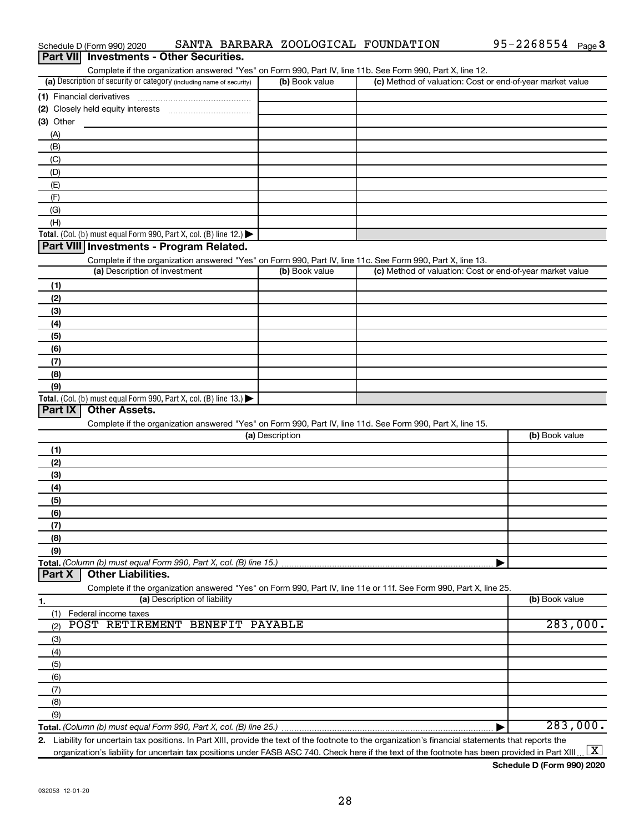| <b>Part VIII</b><br><b>Investments - Other Securities.</b><br>Complete if the organization answered "Yes" on Form 990, Part IV, line 11b. See Form 990, Part X, line 12.<br>(a) Description of security or category (including name of security)<br>(c) Method of valuation: Cost or end-of-year market value<br>(b) Book value<br>(3) Other<br>(A)<br>(B)<br>(C)<br>(D)<br>(E)<br>(F)<br>(G)<br>(H)<br>Total. (Col. (b) must equal Form 990, Part X, col. (B) line 12.) $\blacktriangleright$<br>Part VIII Investments - Program Related.<br>Complete if the organization answered "Yes" on Form 990, Part IV, line 11c. See Form 990, Part X, line 13.<br>(a) Description of investment<br>(c) Method of valuation: Cost or end-of-year market value<br>(b) Book value<br>(1)<br>(2)<br>(3)<br>(4)<br>(5)<br>(6)<br>(7)<br>(8)<br>(9)<br>Total. (Col. (b) must equal Form 990, Part X, col. (B) line 13.) $\blacktriangleright$<br>Part IX<br><b>Other Assets.</b><br>Complete if the organization answered "Yes" on Form 990, Part IV, line 11d. See Form 990, Part X, line 15.<br>(a) Description<br>(b) Book value<br>(1)<br>(2)<br>(3)<br>(4)<br>(5)<br>(6)<br>(7)<br>(8)<br>(9)<br><b>Other Liabilities.</b><br>Part X<br>Complete if the organization answered "Yes" on Form 990, Part IV, line 11e or 11f. See Form 990, Part X, line 25.<br>(a) Description of liability<br>(b) Book value<br>1.<br>Federal income taxes<br>(1)<br>283,000.<br>POST RETIREMENT BENEFIT PAYABLE<br>(2)<br>(3)<br>(4)<br>(5)<br>(6)<br>(7)<br>(8)<br>(9)<br>283,000. | Schedule D (Form 990) 2020 |  | SANTA BARBARA ZOOLOGICAL FOUNDATION | $95 - 2268554$ Page 3 |
|--------------------------------------------------------------------------------------------------------------------------------------------------------------------------------------------------------------------------------------------------------------------------------------------------------------------------------------------------------------------------------------------------------------------------------------------------------------------------------------------------------------------------------------------------------------------------------------------------------------------------------------------------------------------------------------------------------------------------------------------------------------------------------------------------------------------------------------------------------------------------------------------------------------------------------------------------------------------------------------------------------------------------------------------------------------------------------------------------------------------------------------------------------------------------------------------------------------------------------------------------------------------------------------------------------------------------------------------------------------------------------------------------------------------------------------------------------------------------------------------------------------------------------------------------------------|----------------------------|--|-------------------------------------|-----------------------|
|                                                                                                                                                                                                                                                                                                                                                                                                                                                                                                                                                                                                                                                                                                                                                                                                                                                                                                                                                                                                                                                                                                                                                                                                                                                                                                                                                                                                                                                                                                                                                              |                            |  |                                     |                       |
|                                                                                                                                                                                                                                                                                                                                                                                                                                                                                                                                                                                                                                                                                                                                                                                                                                                                                                                                                                                                                                                                                                                                                                                                                                                                                                                                                                                                                                                                                                                                                              |                            |  |                                     |                       |
|                                                                                                                                                                                                                                                                                                                                                                                                                                                                                                                                                                                                                                                                                                                                                                                                                                                                                                                                                                                                                                                                                                                                                                                                                                                                                                                                                                                                                                                                                                                                                              |                            |  |                                     |                       |
|                                                                                                                                                                                                                                                                                                                                                                                                                                                                                                                                                                                                                                                                                                                                                                                                                                                                                                                                                                                                                                                                                                                                                                                                                                                                                                                                                                                                                                                                                                                                                              |                            |  |                                     |                       |
|                                                                                                                                                                                                                                                                                                                                                                                                                                                                                                                                                                                                                                                                                                                                                                                                                                                                                                                                                                                                                                                                                                                                                                                                                                                                                                                                                                                                                                                                                                                                                              |                            |  |                                     |                       |
|                                                                                                                                                                                                                                                                                                                                                                                                                                                                                                                                                                                                                                                                                                                                                                                                                                                                                                                                                                                                                                                                                                                                                                                                                                                                                                                                                                                                                                                                                                                                                              |                            |  |                                     |                       |
|                                                                                                                                                                                                                                                                                                                                                                                                                                                                                                                                                                                                                                                                                                                                                                                                                                                                                                                                                                                                                                                                                                                                                                                                                                                                                                                                                                                                                                                                                                                                                              |                            |  |                                     |                       |
|                                                                                                                                                                                                                                                                                                                                                                                                                                                                                                                                                                                                                                                                                                                                                                                                                                                                                                                                                                                                                                                                                                                                                                                                                                                                                                                                                                                                                                                                                                                                                              |                            |  |                                     |                       |
|                                                                                                                                                                                                                                                                                                                                                                                                                                                                                                                                                                                                                                                                                                                                                                                                                                                                                                                                                                                                                                                                                                                                                                                                                                                                                                                                                                                                                                                                                                                                                              |                            |  |                                     |                       |
|                                                                                                                                                                                                                                                                                                                                                                                                                                                                                                                                                                                                                                                                                                                                                                                                                                                                                                                                                                                                                                                                                                                                                                                                                                                                                                                                                                                                                                                                                                                                                              |                            |  |                                     |                       |
|                                                                                                                                                                                                                                                                                                                                                                                                                                                                                                                                                                                                                                                                                                                                                                                                                                                                                                                                                                                                                                                                                                                                                                                                                                                                                                                                                                                                                                                                                                                                                              |                            |  |                                     |                       |
|                                                                                                                                                                                                                                                                                                                                                                                                                                                                                                                                                                                                                                                                                                                                                                                                                                                                                                                                                                                                                                                                                                                                                                                                                                                                                                                                                                                                                                                                                                                                                              |                            |  |                                     |                       |
|                                                                                                                                                                                                                                                                                                                                                                                                                                                                                                                                                                                                                                                                                                                                                                                                                                                                                                                                                                                                                                                                                                                                                                                                                                                                                                                                                                                                                                                                                                                                                              |                            |  |                                     |                       |
|                                                                                                                                                                                                                                                                                                                                                                                                                                                                                                                                                                                                                                                                                                                                                                                                                                                                                                                                                                                                                                                                                                                                                                                                                                                                                                                                                                                                                                                                                                                                                              |                            |  |                                     |                       |
|                                                                                                                                                                                                                                                                                                                                                                                                                                                                                                                                                                                                                                                                                                                                                                                                                                                                                                                                                                                                                                                                                                                                                                                                                                                                                                                                                                                                                                                                                                                                                              |                            |  |                                     |                       |
|                                                                                                                                                                                                                                                                                                                                                                                                                                                                                                                                                                                                                                                                                                                                                                                                                                                                                                                                                                                                                                                                                                                                                                                                                                                                                                                                                                                                                                                                                                                                                              |                            |  |                                     |                       |
|                                                                                                                                                                                                                                                                                                                                                                                                                                                                                                                                                                                                                                                                                                                                                                                                                                                                                                                                                                                                                                                                                                                                                                                                                                                                                                                                                                                                                                                                                                                                                              |                            |  |                                     |                       |
|                                                                                                                                                                                                                                                                                                                                                                                                                                                                                                                                                                                                                                                                                                                                                                                                                                                                                                                                                                                                                                                                                                                                                                                                                                                                                                                                                                                                                                                                                                                                                              |                            |  |                                     |                       |
|                                                                                                                                                                                                                                                                                                                                                                                                                                                                                                                                                                                                                                                                                                                                                                                                                                                                                                                                                                                                                                                                                                                                                                                                                                                                                                                                                                                                                                                                                                                                                              |                            |  |                                     |                       |
|                                                                                                                                                                                                                                                                                                                                                                                                                                                                                                                                                                                                                                                                                                                                                                                                                                                                                                                                                                                                                                                                                                                                                                                                                                                                                                                                                                                                                                                                                                                                                              |                            |  |                                     |                       |
|                                                                                                                                                                                                                                                                                                                                                                                                                                                                                                                                                                                                                                                                                                                                                                                                                                                                                                                                                                                                                                                                                                                                                                                                                                                                                                                                                                                                                                                                                                                                                              |                            |  |                                     |                       |
|                                                                                                                                                                                                                                                                                                                                                                                                                                                                                                                                                                                                                                                                                                                                                                                                                                                                                                                                                                                                                                                                                                                                                                                                                                                                                                                                                                                                                                                                                                                                                              |                            |  |                                     |                       |
|                                                                                                                                                                                                                                                                                                                                                                                                                                                                                                                                                                                                                                                                                                                                                                                                                                                                                                                                                                                                                                                                                                                                                                                                                                                                                                                                                                                                                                                                                                                                                              |                            |  |                                     |                       |
|                                                                                                                                                                                                                                                                                                                                                                                                                                                                                                                                                                                                                                                                                                                                                                                                                                                                                                                                                                                                                                                                                                                                                                                                                                                                                                                                                                                                                                                                                                                                                              |                            |  |                                     |                       |
|                                                                                                                                                                                                                                                                                                                                                                                                                                                                                                                                                                                                                                                                                                                                                                                                                                                                                                                                                                                                                                                                                                                                                                                                                                                                                                                                                                                                                                                                                                                                                              |                            |  |                                     |                       |
|                                                                                                                                                                                                                                                                                                                                                                                                                                                                                                                                                                                                                                                                                                                                                                                                                                                                                                                                                                                                                                                                                                                                                                                                                                                                                                                                                                                                                                                                                                                                                              |                            |  |                                     |                       |
|                                                                                                                                                                                                                                                                                                                                                                                                                                                                                                                                                                                                                                                                                                                                                                                                                                                                                                                                                                                                                                                                                                                                                                                                                                                                                                                                                                                                                                                                                                                                                              |                            |  |                                     |                       |
|                                                                                                                                                                                                                                                                                                                                                                                                                                                                                                                                                                                                                                                                                                                                                                                                                                                                                                                                                                                                                                                                                                                                                                                                                                                                                                                                                                                                                                                                                                                                                              |                            |  |                                     |                       |
|                                                                                                                                                                                                                                                                                                                                                                                                                                                                                                                                                                                                                                                                                                                                                                                                                                                                                                                                                                                                                                                                                                                                                                                                                                                                                                                                                                                                                                                                                                                                                              |                            |  |                                     |                       |
|                                                                                                                                                                                                                                                                                                                                                                                                                                                                                                                                                                                                                                                                                                                                                                                                                                                                                                                                                                                                                                                                                                                                                                                                                                                                                                                                                                                                                                                                                                                                                              |                            |  |                                     |                       |
|                                                                                                                                                                                                                                                                                                                                                                                                                                                                                                                                                                                                                                                                                                                                                                                                                                                                                                                                                                                                                                                                                                                                                                                                                                                                                                                                                                                                                                                                                                                                                              |                            |  |                                     |                       |
|                                                                                                                                                                                                                                                                                                                                                                                                                                                                                                                                                                                                                                                                                                                                                                                                                                                                                                                                                                                                                                                                                                                                                                                                                                                                                                                                                                                                                                                                                                                                                              |                            |  |                                     |                       |
|                                                                                                                                                                                                                                                                                                                                                                                                                                                                                                                                                                                                                                                                                                                                                                                                                                                                                                                                                                                                                                                                                                                                                                                                                                                                                                                                                                                                                                                                                                                                                              |                            |  |                                     |                       |
|                                                                                                                                                                                                                                                                                                                                                                                                                                                                                                                                                                                                                                                                                                                                                                                                                                                                                                                                                                                                                                                                                                                                                                                                                                                                                                                                                                                                                                                                                                                                                              |                            |  |                                     |                       |
|                                                                                                                                                                                                                                                                                                                                                                                                                                                                                                                                                                                                                                                                                                                                                                                                                                                                                                                                                                                                                                                                                                                                                                                                                                                                                                                                                                                                                                                                                                                                                              |                            |  |                                     |                       |
|                                                                                                                                                                                                                                                                                                                                                                                                                                                                                                                                                                                                                                                                                                                                                                                                                                                                                                                                                                                                                                                                                                                                                                                                                                                                                                                                                                                                                                                                                                                                                              |                            |  |                                     |                       |
|                                                                                                                                                                                                                                                                                                                                                                                                                                                                                                                                                                                                                                                                                                                                                                                                                                                                                                                                                                                                                                                                                                                                                                                                                                                                                                                                                                                                                                                                                                                                                              |                            |  |                                     |                       |
|                                                                                                                                                                                                                                                                                                                                                                                                                                                                                                                                                                                                                                                                                                                                                                                                                                                                                                                                                                                                                                                                                                                                                                                                                                                                                                                                                                                                                                                                                                                                                              |                            |  |                                     |                       |
|                                                                                                                                                                                                                                                                                                                                                                                                                                                                                                                                                                                                                                                                                                                                                                                                                                                                                                                                                                                                                                                                                                                                                                                                                                                                                                                                                                                                                                                                                                                                                              |                            |  |                                     |                       |
|                                                                                                                                                                                                                                                                                                                                                                                                                                                                                                                                                                                                                                                                                                                                                                                                                                                                                                                                                                                                                                                                                                                                                                                                                                                                                                                                                                                                                                                                                                                                                              |                            |  |                                     |                       |
|                                                                                                                                                                                                                                                                                                                                                                                                                                                                                                                                                                                                                                                                                                                                                                                                                                                                                                                                                                                                                                                                                                                                                                                                                                                                                                                                                                                                                                                                                                                                                              |                            |  |                                     |                       |
|                                                                                                                                                                                                                                                                                                                                                                                                                                                                                                                                                                                                                                                                                                                                                                                                                                                                                                                                                                                                                                                                                                                                                                                                                                                                                                                                                                                                                                                                                                                                                              |                            |  |                                     |                       |
|                                                                                                                                                                                                                                                                                                                                                                                                                                                                                                                                                                                                                                                                                                                                                                                                                                                                                                                                                                                                                                                                                                                                                                                                                                                                                                                                                                                                                                                                                                                                                              |                            |  |                                     |                       |
|                                                                                                                                                                                                                                                                                                                                                                                                                                                                                                                                                                                                                                                                                                                                                                                                                                                                                                                                                                                                                                                                                                                                                                                                                                                                                                                                                                                                                                                                                                                                                              |                            |  |                                     |                       |
|                                                                                                                                                                                                                                                                                                                                                                                                                                                                                                                                                                                                                                                                                                                                                                                                                                                                                                                                                                                                                                                                                                                                                                                                                                                                                                                                                                                                                                                                                                                                                              |                            |  |                                     |                       |
|                                                                                                                                                                                                                                                                                                                                                                                                                                                                                                                                                                                                                                                                                                                                                                                                                                                                                                                                                                                                                                                                                                                                                                                                                                                                                                                                                                                                                                                                                                                                                              |                            |  |                                     |                       |
|                                                                                                                                                                                                                                                                                                                                                                                                                                                                                                                                                                                                                                                                                                                                                                                                                                                                                                                                                                                                                                                                                                                                                                                                                                                                                                                                                                                                                                                                                                                                                              |                            |  |                                     |                       |
|                                                                                                                                                                                                                                                                                                                                                                                                                                                                                                                                                                                                                                                                                                                                                                                                                                                                                                                                                                                                                                                                                                                                                                                                                                                                                                                                                                                                                                                                                                                                                              |                            |  |                                     |                       |
|                                                                                                                                                                                                                                                                                                                                                                                                                                                                                                                                                                                                                                                                                                                                                                                                                                                                                                                                                                                                                                                                                                                                                                                                                                                                                                                                                                                                                                                                                                                                                              |                            |  |                                     |                       |
|                                                                                                                                                                                                                                                                                                                                                                                                                                                                                                                                                                                                                                                                                                                                                                                                                                                                                                                                                                                                                                                                                                                                                                                                                                                                                                                                                                                                                                                                                                                                                              |                            |  |                                     |                       |
|                                                                                                                                                                                                                                                                                                                                                                                                                                                                                                                                                                                                                                                                                                                                                                                                                                                                                                                                                                                                                                                                                                                                                                                                                                                                                                                                                                                                                                                                                                                                                              |                            |  |                                     |                       |
|                                                                                                                                                                                                                                                                                                                                                                                                                                                                                                                                                                                                                                                                                                                                                                                                                                                                                                                                                                                                                                                                                                                                                                                                                                                                                                                                                                                                                                                                                                                                                              |                            |  |                                     |                       |
|                                                                                                                                                                                                                                                                                                                                                                                                                                                                                                                                                                                                                                                                                                                                                                                                                                                                                                                                                                                                                                                                                                                                                                                                                                                                                                                                                                                                                                                                                                                                                              |                            |  |                                     |                       |
|                                                                                                                                                                                                                                                                                                                                                                                                                                                                                                                                                                                                                                                                                                                                                                                                                                                                                                                                                                                                                                                                                                                                                                                                                                                                                                                                                                                                                                                                                                                                                              |                            |  |                                     |                       |
| 2. Liability for uncertain tax positions. In Part XIII, provide the text of the footnote to the organization's financial statements that reports the                                                                                                                                                                                                                                                                                                                                                                                                                                                                                                                                                                                                                                                                                                                                                                                                                                                                                                                                                                                                                                                                                                                                                                                                                                                                                                                                                                                                         |                            |  |                                     |                       |

**2.** Liability for uncertain tax positions. In Part XIII, provide the text of the footnote to the organization's financial statements that reports the organization's liability for uncertain tax positions under FASB ASC 740. Check here if the text of the footnote has been provided in Part XIII ...  $\fbox{\bf X}$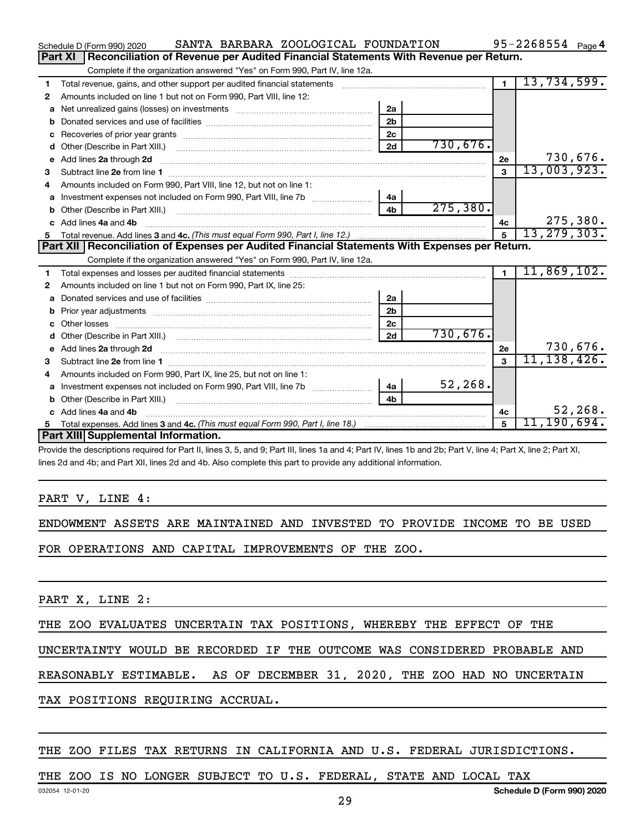|    | SANTA BARBARA ZOOLOGICAL FOUNDATION<br>Schedule D (Form 990) 2020                                                                                                                                                                   |                |           |                | 95-2268554 $_{Page 4}$ |
|----|-------------------------------------------------------------------------------------------------------------------------------------------------------------------------------------------------------------------------------------|----------------|-----------|----------------|------------------------|
|    | Reconciliation of Revenue per Audited Financial Statements With Revenue per Return.<br>Part XI                                                                                                                                      |                |           |                |                        |
|    | Complete if the organization answered "Yes" on Form 990, Part IV, line 12a.                                                                                                                                                         |                |           |                |                        |
| 1  | Total revenue, gains, and other support per audited financial statements                                                                                                                                                            |                |           | $\blacksquare$ | 13,734,599.            |
| 2  | Amounts included on line 1 but not on Form 990, Part VIII, line 12:                                                                                                                                                                 |                |           |                |                        |
| a  |                                                                                                                                                                                                                                     | 2a             |           |                |                        |
|    |                                                                                                                                                                                                                                     | 2 <sub>b</sub> |           |                |                        |
|    |                                                                                                                                                                                                                                     | 2 <sub>c</sub> |           |                |                        |
| d  |                                                                                                                                                                                                                                     | 2d             | 730,676.  |                |                        |
| e  | Add lines 2a through 2d                                                                                                                                                                                                             |                |           | 2e             | 730,676.               |
| 3  |                                                                                                                                                                                                                                     |                |           | $\mathbf{3}$   | 13,003,923.            |
| 4  | Amounts included on Form 990. Part VIII. line 12, but not on line 1:                                                                                                                                                                |                |           |                |                        |
|    |                                                                                                                                                                                                                                     | 4a             |           |                |                        |
|    |                                                                                                                                                                                                                                     | 4 <sub>b</sub> | 275, 380. |                |                        |
| c. | Add lines 4a and 4b                                                                                                                                                                                                                 |                |           | 4c             | 275,380.               |
|    |                                                                                                                                                                                                                                     |                |           | $\overline{5}$ | 13, 279, 303.          |
|    |                                                                                                                                                                                                                                     |                |           |                |                        |
|    | Part XII Reconciliation of Expenses per Audited Financial Statements With Expenses per Return.                                                                                                                                      |                |           |                |                        |
|    | Complete if the organization answered "Yes" on Form 990, Part IV, line 12a.                                                                                                                                                         |                |           |                |                        |
| 1  |                                                                                                                                                                                                                                     |                |           | $\blacksquare$ | 11,869,102.            |
| 2  | Amounts included on line 1 but not on Form 990, Part IX, line 25:                                                                                                                                                                   |                |           |                |                        |
| a  |                                                                                                                                                                                                                                     | 2a             |           |                |                        |
| b  |                                                                                                                                                                                                                                     | 2 <sub>b</sub> |           |                |                        |
|    |                                                                                                                                                                                                                                     | 2 <sub>c</sub> |           |                |                        |
| d  |                                                                                                                                                                                                                                     | 2d             | 730,676.  |                |                        |
|    | e Add lines 2a through 2d <b>contract and a contract and a contract a</b> contract a contract and a contract a contract a contract a contract a contract a contract a contract a contract a contract a contract a contract a contra |                |           | 2e             | 730,676.               |
| з  |                                                                                                                                                                                                                                     |                |           | $\mathbf{a}$   | 11, 138, 426.          |
| 4  | Amounts included on Form 990, Part IX, line 25, but not on line 1:                                                                                                                                                                  |                |           |                |                        |
| a  |                                                                                                                                                                                                                                     | 4a             | 52,268.   |                |                        |
|    |                                                                                                                                                                                                                                     | 4 <sub>b</sub> |           |                |                        |
|    | c Add lines 4a and 4b                                                                                                                                                                                                               |                |           | 4c             | 52, 268.               |
|    | Part XIII Supplemental Information.                                                                                                                                                                                                 |                |           | 5              | 11,190,694 <b>.</b>    |

Provide the descriptions required for Part II, lines 3, 5, and 9; Part III, lines 1a and 4; Part IV, lines 1b and 2b; Part V, line 4; Part X, line 2; Part XI, lines 2d and 4b; and Part XII, lines 2d and 4b. Also complete this part to provide any additional information.

#### PART V, LINE 4:

ENDOWMENT ASSETS ARE MAINTAINED AND INVESTED TO PROVIDE INCOME TO BE USED

FOR OPERATIONS AND CAPITAL IMPROVEMENTS OF THE ZOO.

PART X, LINE 2:

THE ZOO EVALUATES UNCERTAIN TAX POSITIONS, WHEREBY THE EFFECT OF THE

UNCERTAINTY WOULD BE RECORDED IF THE OUTCOME WAS CONSIDERED PROBABLE AND

REASONABLY ESTIMABLE. AS OF DECEMBER 31, 2020, THE ZOO HAD NO UNCERTAIN

TAX POSITIONS REQUIRING ACCRUAL.

#### THE ZOO FILES TAX RETURNS IN CALIFORNIA AND U.S. FEDERAL JURISDICTIONS.

#### THE ZOO IS NO LONGER SUBJECT TO U.S. FEDERAL, STATE AND LOCAL TAX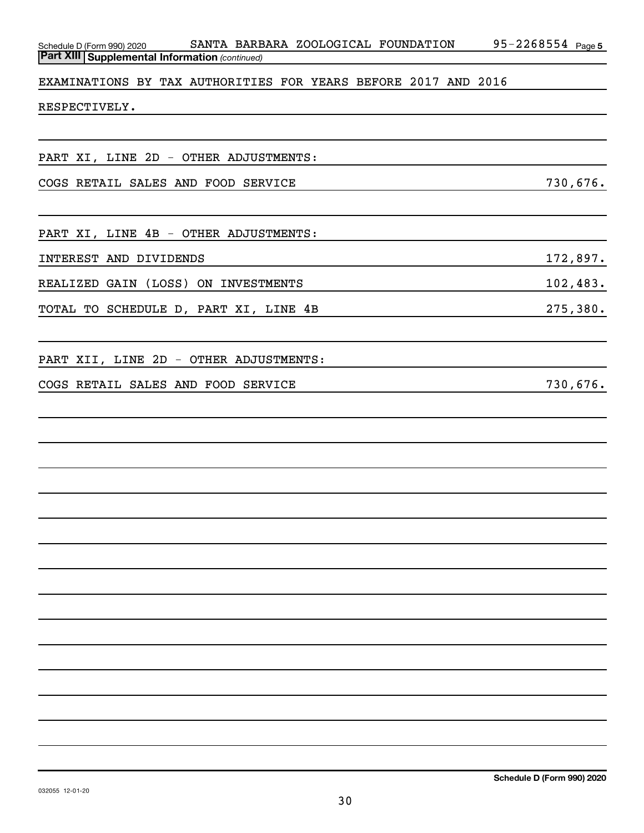*(continued)* **Part XIII Supplemental Information**  EXAMINATIONS BY TAX AUTHORITIES FOR YEARS BEFORE 2017 AND 2016 RESPECTIVELY. PART XI, LINE 2D - OTHER ADJUSTMENTS: COGS RETAIL SALES AND FOOD SERVICE 730,676.

Schedule D (Form 990) 2020 SANTA BARBARA ZOOLOGICAL FOUNDATION 95-2268554 Page

PART XI, LINE 4B - OTHER ADJUSTMENTS:

INTEREST AND DIVIDENDS 172,897.

REALIZED GAIN (LOSS) ON INVESTMENTS 102,483.

TOTAL TO SCHEDULE D, PART XI, LINE 4B 275,380.

PART XII, LINE 2D - OTHER ADJUSTMENTS:

COGS RETAIL SALES AND FOOD SERVICE **12000** 12000 130,676.

95-2268554 Page 5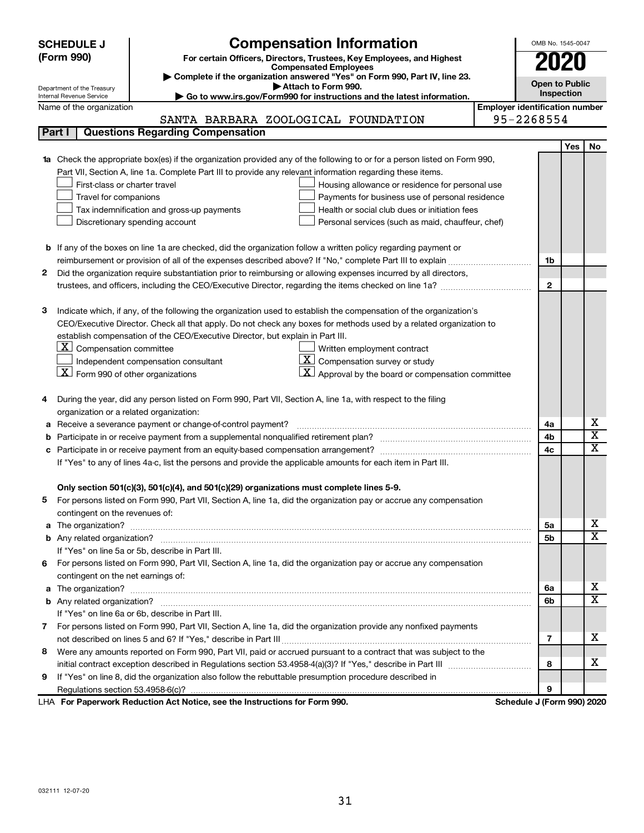|        | <b>SCHEDULE J</b>                                                                                                                                       | <b>Compensation Information</b>                                                                                        |  | OMB No. 1545-0047 |      |                         |  |  |  |
|--------|---------------------------------------------------------------------------------------------------------------------------------------------------------|------------------------------------------------------------------------------------------------------------------------|--|-------------------|------|-------------------------|--|--|--|
|        | (Form 990)<br>For certain Officers, Directors, Trustees, Key Employees, and Highest                                                                     |                                                                                                                        |  |                   | 2020 |                         |  |  |  |
|        | <b>Compensated Employees</b>                                                                                                                            |                                                                                                                        |  |                   |      |                         |  |  |  |
|        | Complete if the organization answered "Yes" on Form 990, Part IV, line 23.                                                                              |                                                                                                                        |  |                   |      |                         |  |  |  |
|        | Attach to Form 990.<br>Department of the Treasury<br>Go to www.irs.gov/Form990 for instructions and the latest information.<br>Internal Revenue Service |                                                                                                                        |  |                   |      |                         |  |  |  |
|        | <b>Employer identification number</b><br>Name of the organization                                                                                       |                                                                                                                        |  |                   |      |                         |  |  |  |
|        |                                                                                                                                                         | SANTA BARBARA ZOOLOGICAL FOUNDATION                                                                                    |  | 95-2268554        |      |                         |  |  |  |
| Part I |                                                                                                                                                         | <b>Questions Regarding Compensation</b>                                                                                |  |                   |      |                         |  |  |  |
|        |                                                                                                                                                         |                                                                                                                        |  |                   | Yes  | No                      |  |  |  |
| 1a     |                                                                                                                                                         | Check the appropriate box(es) if the organization provided any of the following to or for a person listed on Form 990, |  |                   |      |                         |  |  |  |
|        |                                                                                                                                                         | Part VII, Section A, line 1a. Complete Part III to provide any relevant information regarding these items.             |  |                   |      |                         |  |  |  |
|        | First-class or charter travel                                                                                                                           | Housing allowance or residence for personal use                                                                        |  |                   |      |                         |  |  |  |
|        | Travel for companions                                                                                                                                   | Payments for business use of personal residence                                                                        |  |                   |      |                         |  |  |  |
|        |                                                                                                                                                         | Health or social club dues or initiation fees<br>Tax indemnification and gross-up payments                             |  |                   |      |                         |  |  |  |
|        |                                                                                                                                                         | Discretionary spending account<br>Personal services (such as maid, chauffeur, chef)                                    |  |                   |      |                         |  |  |  |
|        |                                                                                                                                                         |                                                                                                                        |  |                   |      |                         |  |  |  |
|        |                                                                                                                                                         | <b>b</b> If any of the boxes on line 1a are checked, did the organization follow a written policy regarding payment or |  |                   |      |                         |  |  |  |
|        |                                                                                                                                                         |                                                                                                                        |  | 1b                |      |                         |  |  |  |
| 2      |                                                                                                                                                         | Did the organization require substantiation prior to reimbursing or allowing expenses incurred by all directors,       |  |                   |      |                         |  |  |  |
|        |                                                                                                                                                         |                                                                                                                        |  | $\mathbf{2}$      |      |                         |  |  |  |
|        |                                                                                                                                                         |                                                                                                                        |  |                   |      |                         |  |  |  |
| з      |                                                                                                                                                         | Indicate which, if any, of the following the organization used to establish the compensation of the organization's     |  |                   |      |                         |  |  |  |
|        |                                                                                                                                                         | CEO/Executive Director. Check all that apply. Do not check any boxes for methods used by a related organization to     |  |                   |      |                         |  |  |  |
|        |                                                                                                                                                         | establish compensation of the CEO/Executive Director, but explain in Part III.                                         |  |                   |      |                         |  |  |  |
|        | $\lfloor \underline{x} \rfloor$ Compensation committee                                                                                                  | Written employment contract                                                                                            |  |                   |      |                         |  |  |  |
|        |                                                                                                                                                         | $ \mathbf{X} $ Compensation survey or study<br>Independent compensation consultant                                     |  |                   |      |                         |  |  |  |
|        | $\lfloor x \rfloor$ Form 990 of other organizations                                                                                                     | $\lfloor \underline{X} \rfloor$ Approval by the board or compensation committee                                        |  |                   |      |                         |  |  |  |
|        |                                                                                                                                                         |                                                                                                                        |  |                   |      |                         |  |  |  |
| 4      |                                                                                                                                                         | During the year, did any person listed on Form 990, Part VII, Section A, line 1a, with respect to the filing           |  |                   |      |                         |  |  |  |
|        | organization or a related organization:                                                                                                                 |                                                                                                                        |  |                   |      |                         |  |  |  |
| а      |                                                                                                                                                         | Receive a severance payment or change-of-control payment?                                                              |  | 4a                |      | х                       |  |  |  |
| b      |                                                                                                                                                         |                                                                                                                        |  |                   |      | $\overline{\textbf{x}}$ |  |  |  |
| c      |                                                                                                                                                         |                                                                                                                        |  |                   |      | $\overline{\textbf{x}}$ |  |  |  |
|        |                                                                                                                                                         | If "Yes" to any of lines 4a-c, list the persons and provide the applicable amounts for each item in Part III.          |  |                   |      |                         |  |  |  |
|        |                                                                                                                                                         |                                                                                                                        |  |                   |      |                         |  |  |  |
|        |                                                                                                                                                         | Only section 501(c)(3), 501(c)(4), and 501(c)(29) organizations must complete lines 5-9.                               |  |                   |      |                         |  |  |  |
|        |                                                                                                                                                         | For persons listed on Form 990, Part VII, Section A, line 1a, did the organization pay or accrue any compensation      |  |                   |      |                         |  |  |  |
|        | contingent on the revenues of:                                                                                                                          |                                                                                                                        |  |                   |      |                         |  |  |  |
|        |                                                                                                                                                         |                                                                                                                        |  | 5а                |      | х                       |  |  |  |
|        |                                                                                                                                                         |                                                                                                                        |  | 5b                |      | х                       |  |  |  |
|        |                                                                                                                                                         | If "Yes" on line 5a or 5b, describe in Part III.                                                                       |  |                   |      |                         |  |  |  |
| 6.     |                                                                                                                                                         | For persons listed on Form 990, Part VII, Section A, line 1a, did the organization pay or accrue any compensation      |  |                   |      |                         |  |  |  |
|        | contingent on the net earnings of:                                                                                                                      |                                                                                                                        |  |                   |      |                         |  |  |  |
|        |                                                                                                                                                         |                                                                                                                        |  |                   |      | х                       |  |  |  |
|        |                                                                                                                                                         |                                                                                                                        |  | 6b                |      | х                       |  |  |  |
|        |                                                                                                                                                         | If "Yes" on line 6a or 6b, describe in Part III.                                                                       |  |                   |      |                         |  |  |  |
|        |                                                                                                                                                         | 7 For persons listed on Form 990, Part VII, Section A, line 1a, did the organization provide any nonfixed payments     |  |                   |      |                         |  |  |  |
|        |                                                                                                                                                         |                                                                                                                        |  | 7                 |      | х                       |  |  |  |
| 8      |                                                                                                                                                         | Were any amounts reported on Form 990, Part VII, paid or accrued pursuant to a contract that was subject to the        |  |                   |      |                         |  |  |  |
|        |                                                                                                                                                         |                                                                                                                        |  | 8                 |      | х                       |  |  |  |
| 9      |                                                                                                                                                         | If "Yes" on line 8, did the organization also follow the rebuttable presumption procedure described in                 |  |                   |      |                         |  |  |  |
|        |                                                                                                                                                         |                                                                                                                        |  | 9                 |      |                         |  |  |  |
|        |                                                                                                                                                         | duction Act Notice and the Instructions for Form 000                                                                   |  | Calcadola, 175an  |      |                         |  |  |  |

**For Paperwork Reduction Act Notice, see the Instructions for Form 990. Schedule J (Form 990) 2020** LHA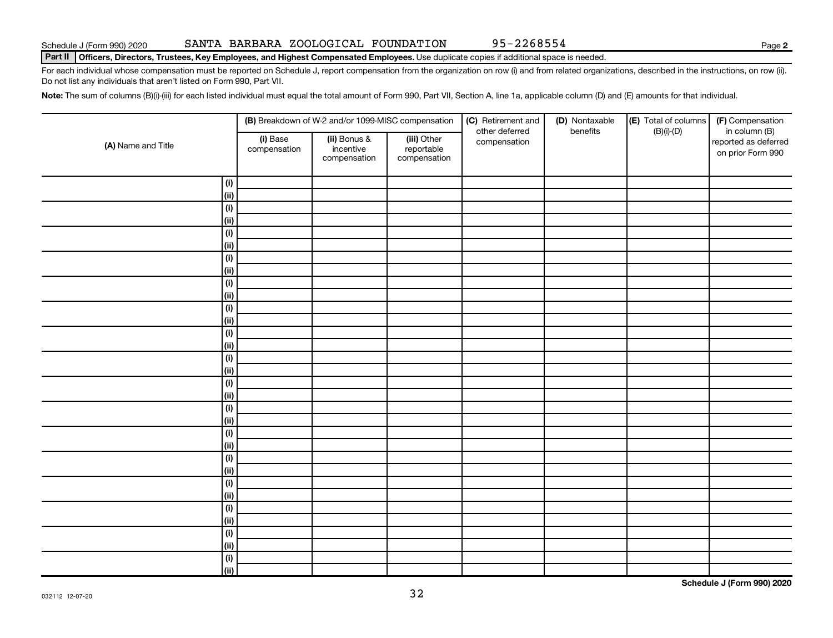#### Part II | Officers, Directors, Trustees, Key Employees, and Highest Compensated Employees. Use duplicate copies if additional space is needed.

For each individual whose compensation must be reported on Schedule J, report compensation from the organization on row (i) and from related organizations, described in the instructions, on row (ii). Do not list any individuals that aren't listed on Form 990, Part VII.

Note: The sum of columns (B)(i)-(iii) for each listed individual must equal the total amount of Form 990, Part VII, Section A, line 1a, applicable column (D) and (E) amounts for that individual.

|                            |                          | (B) Breakdown of W-2 and/or 1099-MISC compensation                                     |  | (C) Retirement and<br>other deferred | (D) Nontaxable<br>benefits | (E) Total of columns | (F) Compensation<br>in column (B)         |  |
|----------------------------|--------------------------|----------------------------------------------------------------------------------------|--|--------------------------------------|----------------------------|----------------------|-------------------------------------------|--|
| (A) Name and Title         | (i) Base<br>compensation | (ii) Bonus &<br>(iii) Other<br>incentive<br>reportable<br>compensation<br>compensation |  | compensation                         |                            | $(B)(i)-(D)$         | reported as deferred<br>on prior Form 990 |  |
| (i)                        |                          |                                                                                        |  |                                      |                            |                      |                                           |  |
| $\overline{(\mathsf{ii})}$ |                          |                                                                                        |  |                                      |                            |                      |                                           |  |
| (i)                        |                          |                                                                                        |  |                                      |                            |                      |                                           |  |
| (ii)                       |                          |                                                                                        |  |                                      |                            |                      |                                           |  |
| (i)                        |                          |                                                                                        |  |                                      |                            |                      |                                           |  |
| (ii)                       |                          |                                                                                        |  |                                      |                            |                      |                                           |  |
| (i)                        |                          |                                                                                        |  |                                      |                            |                      |                                           |  |
| (ii)                       |                          |                                                                                        |  |                                      |                            |                      |                                           |  |
| (i)                        |                          |                                                                                        |  |                                      |                            |                      |                                           |  |
| (ii)                       |                          |                                                                                        |  |                                      |                            |                      |                                           |  |
| (i)                        |                          |                                                                                        |  |                                      |                            |                      |                                           |  |
| (ii)                       |                          |                                                                                        |  |                                      |                            |                      |                                           |  |
| (i)                        |                          |                                                                                        |  |                                      |                            |                      |                                           |  |
| (ii)                       |                          |                                                                                        |  |                                      |                            |                      |                                           |  |
| (i)                        |                          |                                                                                        |  |                                      |                            |                      |                                           |  |
| (ii)                       |                          |                                                                                        |  |                                      |                            |                      |                                           |  |
| (i)                        |                          |                                                                                        |  |                                      |                            |                      |                                           |  |
| (ii)                       |                          |                                                                                        |  |                                      |                            |                      |                                           |  |
| (i)                        |                          |                                                                                        |  |                                      |                            |                      |                                           |  |
| (ii)                       |                          |                                                                                        |  |                                      |                            |                      |                                           |  |
| (i)                        |                          |                                                                                        |  |                                      |                            |                      |                                           |  |
| (ii)                       |                          |                                                                                        |  |                                      |                            |                      |                                           |  |
| (i)                        |                          |                                                                                        |  |                                      |                            |                      |                                           |  |
| (ii)                       |                          |                                                                                        |  |                                      |                            |                      |                                           |  |
| (i)                        |                          |                                                                                        |  |                                      |                            |                      |                                           |  |
| (ii)                       |                          |                                                                                        |  |                                      |                            |                      |                                           |  |
| (i)                        |                          |                                                                                        |  |                                      |                            |                      |                                           |  |
| (ii)                       |                          |                                                                                        |  |                                      |                            |                      |                                           |  |
| $(\sf{i})$                 |                          |                                                                                        |  |                                      |                            |                      |                                           |  |
| (ii)                       |                          |                                                                                        |  |                                      |                            |                      |                                           |  |
| (i)                        |                          |                                                                                        |  |                                      |                            |                      |                                           |  |
| $\overline{(\mathsf{ii})}$ |                          |                                                                                        |  |                                      |                            |                      |                                           |  |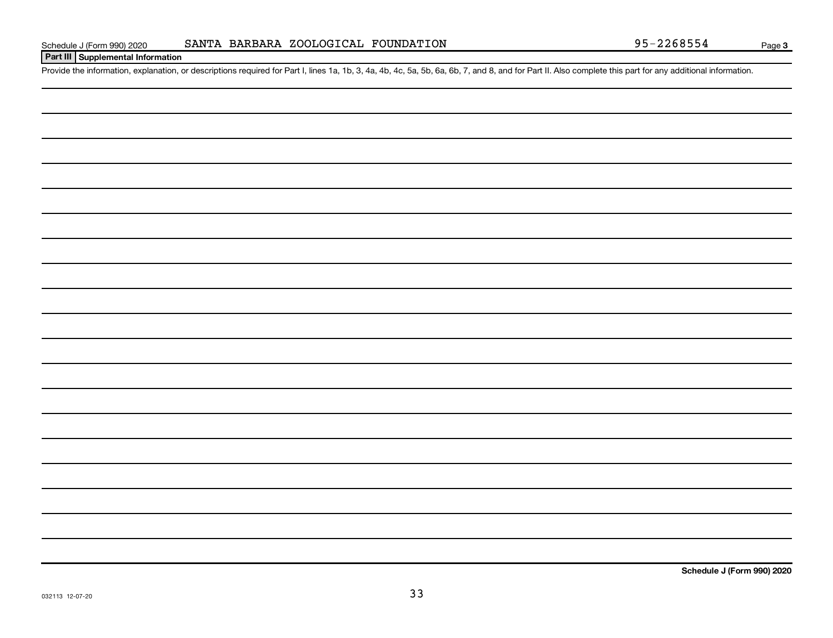#### **Part III Supplemental Information**

Provide the information, explanation, or descriptions required for Part I, lines 1a, 1b, 3, 4a, 4b, 4c, 5a, 5b, 6a, 6b, 7, and 8, and for Part II. Also complete this part for any additional information.

**Schedule J (Form 990) 2020**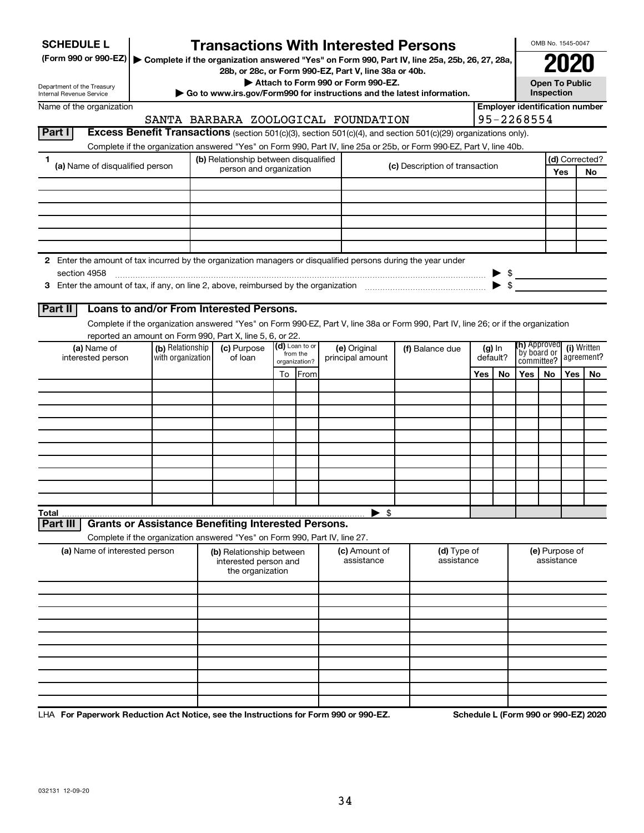| <b>SCHEDULE L</b>                                                                                                    |                                                                                                                                                               |  |                                                                                                    |    |                           |                                       | <b>Transactions With Interested Persons</b>              |  |                                                                        |     |                              |                            |            | OMB No. 1545-0047    |     |
|----------------------------------------------------------------------------------------------------------------------|---------------------------------------------------------------------------------------------------------------------------------------------------------------|--|----------------------------------------------------------------------------------------------------|----|---------------------------|---------------------------------------|----------------------------------------------------------|--|------------------------------------------------------------------------|-----|------------------------------|----------------------------|------------|----------------------|-----|
| (Form 990 or 990-EZ)   Complete if the organization answered "Yes" on Form 990, Part IV, line 25a, 25b, 26, 27, 28a, |                                                                                                                                                               |  |                                                                                                    |    |                           |                                       |                                                          |  |                                                                        |     |                              |                            |            |                      |     |
| 28b, or 28c, or Form 990-EZ, Part V, line 38a or 40b.<br>Attach to Form 990 or Form 990-EZ.                          |                                                                                                                                                               |  |                                                                                                    |    |                           |                                       |                                                          |  | <b>Open To Public</b>                                                  |     |                              |                            |            |                      |     |
| Department of the Treasury<br>Internal Revenue Service                                                               |                                                                                                                                                               |  |                                                                                                    |    |                           |                                       |                                                          |  | Go to www.irs.gov/Form990 for instructions and the latest information. |     |                              |                            | Inspection |                      |     |
| Name of the organization                                                                                             |                                                                                                                                                               |  |                                                                                                    |    |                           | <b>Employer identification number</b> |                                                          |  |                                                                        |     |                              |                            |            |                      |     |
|                                                                                                                      | 95-2268554<br>SANTA BARBARA ZOOLOGICAL FOUNDATION                                                                                                             |  |                                                                                                    |    |                           |                                       |                                                          |  |                                                                        |     |                              |                            |            |                      |     |
| Part I                                                                                                               | Excess Benefit Transactions (section 501(c)(3), section 501(c)(4), and section 501(c)(29) organizations only).                                                |  |                                                                                                    |    |                           |                                       |                                                          |  |                                                                        |     |                              |                            |            |                      |     |
|                                                                                                                      | Complete if the organization answered "Yes" on Form 990, Part IV, line 25a or 25b, or Form 990-EZ, Part V, line 40b.                                          |  |                                                                                                    |    |                           |                                       |                                                          |  |                                                                        |     |                              |                            |            |                      |     |
| 1<br>(a) Name of disqualified person                                                                                 |                                                                                                                                                               |  | (b) Relationship between disqualified<br>(c) Description of transaction<br>person and organization |    |                           |                                       |                                                          |  |                                                                        |     |                              |                            | Yes        | (d) Corrected?<br>No |     |
|                                                                                                                      |                                                                                                                                                               |  |                                                                                                    |    |                           |                                       |                                                          |  |                                                                        |     |                              |                            |            |                      |     |
|                                                                                                                      |                                                                                                                                                               |  |                                                                                                    |    |                           |                                       |                                                          |  |                                                                        |     |                              |                            |            |                      |     |
|                                                                                                                      |                                                                                                                                                               |  |                                                                                                    |    |                           |                                       |                                                          |  |                                                                        |     |                              |                            |            |                      |     |
|                                                                                                                      |                                                                                                                                                               |  |                                                                                                    |    |                           |                                       |                                                          |  |                                                                        |     |                              |                            |            |                      |     |
|                                                                                                                      |                                                                                                                                                               |  |                                                                                                    |    |                           |                                       |                                                          |  |                                                                        |     |                              |                            |            |                      |     |
| 2 Enter the amount of tax incurred by the organization managers or disqualified persons during the year under        |                                                                                                                                                               |  |                                                                                                    |    |                           |                                       |                                                          |  |                                                                        |     |                              |                            |            |                      |     |
| section 4958                                                                                                         |                                                                                                                                                               |  |                                                                                                    |    |                           |                                       |                                                          |  |                                                                        |     | - \$                         |                            |            |                      |     |
|                                                                                                                      |                                                                                                                                                               |  |                                                                                                    |    |                           |                                       |                                                          |  |                                                                        |     |                              |                            |            |                      |     |
|                                                                                                                      |                                                                                                                                                               |  |                                                                                                    |    |                           |                                       |                                                          |  |                                                                        |     |                              |                            |            |                      |     |
| Part II                                                                                                              | Loans to and/or From Interested Persons.                                                                                                                      |  |                                                                                                    |    |                           |                                       |                                                          |  |                                                                        |     |                              |                            |            |                      |     |
|                                                                                                                      | Complete if the organization answered "Yes" on Form 990-EZ, Part V, line 38a or Form 990, Part IV, line 26; or if the organization                            |  |                                                                                                    |    |                           |                                       |                                                          |  |                                                                        |     |                              |                            |            |                      |     |
| (a) Name of                                                                                                          | reported an amount on Form 990, Part X, line 5, 6, or 22.<br>(d) Loan to or<br>(b) Relationship<br>(c) Purpose<br>(e) Original<br>(f) Balance due<br>$(g)$ In |  |                                                                                                    |    |                           |                                       | <b>(h)</b> Approved<br>(i) Written                       |  |                                                                        |     |                              |                            |            |                      |     |
| interested person                                                                                                    | with organization                                                                                                                                             |  | of loan                                                                                            |    | from the<br>organization? |                                       | principal amount                                         |  |                                                                        |     | default?                     | `by board or<br>committee? |            | agreement?           |     |
|                                                                                                                      |                                                                                                                                                               |  |                                                                                                    | To | <b>IFrom</b>              |                                       |                                                          |  |                                                                        | Yes | No                           | Yes                        | No         | Yes                  | No. |
|                                                                                                                      |                                                                                                                                                               |  |                                                                                                    |    |                           |                                       |                                                          |  |                                                                        |     |                              |                            |            |                      |     |
|                                                                                                                      |                                                                                                                                                               |  |                                                                                                    |    |                           |                                       |                                                          |  |                                                                        |     |                              |                            |            |                      |     |
|                                                                                                                      |                                                                                                                                                               |  |                                                                                                    |    |                           |                                       |                                                          |  |                                                                        |     |                              |                            |            |                      |     |
|                                                                                                                      |                                                                                                                                                               |  |                                                                                                    |    |                           |                                       |                                                          |  |                                                                        |     |                              |                            |            |                      |     |
|                                                                                                                      |                                                                                                                                                               |  |                                                                                                    |    |                           |                                       |                                                          |  |                                                                        |     |                              |                            |            |                      |     |
|                                                                                                                      |                                                                                                                                                               |  |                                                                                                    |    |                           |                                       |                                                          |  |                                                                        |     |                              |                            |            |                      |     |
|                                                                                                                      |                                                                                                                                                               |  |                                                                                                    |    |                           |                                       |                                                          |  |                                                                        |     |                              |                            |            |                      |     |
|                                                                                                                      |                                                                                                                                                               |  |                                                                                                    |    |                           |                                       |                                                          |  |                                                                        |     |                              |                            |            |                      |     |
| Total                                                                                                                |                                                                                                                                                               |  |                                                                                                    |    |                           |                                       | $\blacktriangleright$ \$                                 |  |                                                                        |     |                              |                            |            |                      |     |
| Part III                                                                                                             | <b>Grants or Assistance Benefiting Interested Persons.</b>                                                                                                    |  |                                                                                                    |    |                           |                                       |                                                          |  |                                                                        |     |                              |                            |            |                      |     |
|                                                                                                                      | Complete if the organization answered "Yes" on Form 990, Part IV, line 27.                                                                                    |  |                                                                                                    |    |                           |                                       |                                                          |  |                                                                        |     |                              |                            |            |                      |     |
| (a) Name of interested person                                                                                        |                                                                                                                                                               |  | (b) Relationship between<br>interested person and<br>the organization                              |    |                           |                                       | (c) Amount of<br>(d) Type of<br>assistance<br>assistance |  |                                                                        |     | (e) Purpose of<br>assistance |                            |            |                      |     |
|                                                                                                                      |                                                                                                                                                               |  |                                                                                                    |    |                           |                                       |                                                          |  |                                                                        |     |                              |                            |            |                      |     |
|                                                                                                                      |                                                                                                                                                               |  |                                                                                                    |    |                           |                                       |                                                          |  |                                                                        |     |                              |                            |            |                      |     |
|                                                                                                                      |                                                                                                                                                               |  |                                                                                                    |    |                           |                                       |                                                          |  |                                                                        |     |                              |                            |            |                      |     |
|                                                                                                                      |                                                                                                                                                               |  |                                                                                                    |    |                           |                                       |                                                          |  |                                                                        |     |                              |                            |            |                      |     |
|                                                                                                                      |                                                                                                                                                               |  |                                                                                                    |    |                           |                                       |                                                          |  |                                                                        |     |                              |                            |            |                      |     |
|                                                                                                                      |                                                                                                                                                               |  |                                                                                                    |    |                           |                                       |                                                          |  |                                                                        |     |                              |                            |            |                      |     |
|                                                                                                                      |                                                                                                                                                               |  |                                                                                                    |    |                           |                                       |                                                          |  |                                                                        |     |                              |                            |            |                      |     |
|                                                                                                                      |                                                                                                                                                               |  |                                                                                                    |    |                           |                                       |                                                          |  |                                                                        |     |                              |                            |            |                      |     |
|                                                                                                                      |                                                                                                                                                               |  |                                                                                                    |    |                           |                                       |                                                          |  |                                                                        |     |                              |                            |            |                      |     |

LHA For Paperwork Reduction Act Notice, see the Instructions for Form 990 or 990-EZ. Schedule L (Form 990 or 990-EZ) 2020 ו-D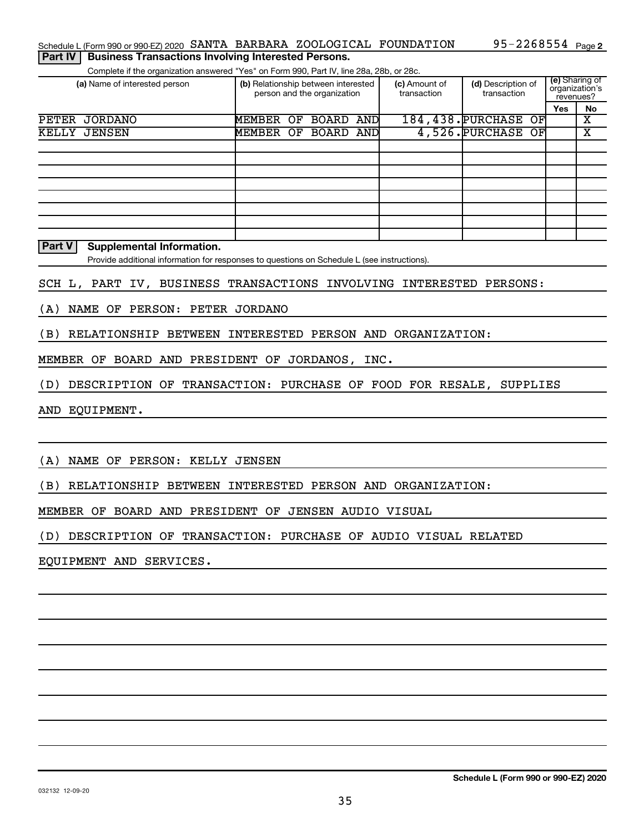#### **Part IV** | Business Transactions Involving Interested Persons.

Complete if the organization answered "Yes" on Form 990, Part IV, line 28a, 28b, or 28c.

| (a) Name of interested person |           |    | (b) Relationship between interested<br>person and the organization |      | (c) Amount of<br>transaction | (d) Description of<br>transaction | (e) Sharing of<br>organization's<br>revenues? |    |
|-------------------------------|-----------|----|--------------------------------------------------------------------|------|------------------------------|-----------------------------------|-----------------------------------------------|----|
|                               |           |    |                                                                    |      |                              |                                   | Yes                                           | No |
| PETER<br>JORDANO              | MEMBER    | OF | BOARD                                                              | ANDI |                              | 184, 438. PURCHASE<br>OFI         |                                               | х  |
| KELLY JENSEN                  | MEMBER OF |    | BOARD AND                                                          |      |                              | 4,526. PURCHASE OF                |                                               | х  |
|                               |           |    |                                                                    |      |                              |                                   |                                               |    |
|                               |           |    |                                                                    |      |                              |                                   |                                               |    |
|                               |           |    |                                                                    |      |                              |                                   |                                               |    |
|                               |           |    |                                                                    |      |                              |                                   |                                               |    |
|                               |           |    |                                                                    |      |                              |                                   |                                               |    |
|                               |           |    |                                                                    |      |                              |                                   |                                               |    |
|                               |           |    |                                                                    |      |                              |                                   |                                               |    |
|                               |           |    |                                                                    |      |                              |                                   |                                               |    |

#### **Part V Supplemental Information.**

Provide additional information for responses to questions on Schedule L (see instructions).

#### SCH L, PART IV, BUSINESS TRANSACTIONS INVOLVING INTERESTED PERSONS:

(A) NAME OF PERSON: PETER JORDANO

(B) RELATIONSHIP BETWEEN INTERESTED PERSON AND ORGANIZATION:

MEMBER OF BOARD AND PRESIDENT OF JORDANOS, INC.

(D) DESCRIPTION OF TRANSACTION: PURCHASE OF FOOD FOR RESALE, SUPPLIES

AND EQUIPMENT.

(A) NAME OF PERSON: KELLY JENSEN

(B) RELATIONSHIP BETWEEN INTERESTED PERSON AND ORGANIZATION:

MEMBER OF BOARD AND PRESIDENT OF JENSEN AUDIO VISUAL

(D) DESCRIPTION OF TRANSACTION: PURCHASE OF AUDIO VISUAL RELATED

EQUIPMENT AND SERVICES.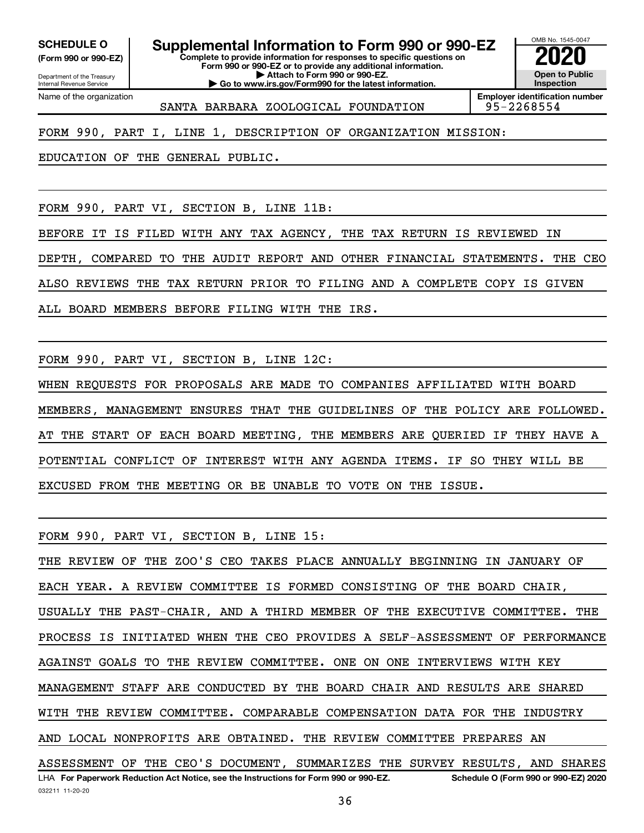**(Form 990 or 990-EZ)**

**SCHEDULE O Supplemental Information to Form 990 or 990-EZ 2020**<br>(Form 990 or 990-EZ) Complete to provide information for responses to specific questions on

Department of the Treasury Internal Revenue Service Name of the organization

032211 11-20-20

**Complete to provide information for responses to specific questions on Form 990 or 990-EZ or to provide any additional information. | Attach to Form 990 or 990-EZ.**

**| Go to www.irs.gov/Form990 for the latest information.**

OMB No. 1545-0047 **Open to Public Inspection**

**Employer identification number** SANTA BARBARA ZOOLOGICAL FOUNDATION 95-2268554

FORM 990, PART I, LINE 1, DESCRIPTION OF ORGANIZATION MISSION:

EDUCATION OF THE GENERAL PUBLIC.

FORM 990, PART VI, SECTION B, LINE 11B:

BEFORE IT IS FILED WITH ANY TAX AGENCY, THE TAX RETURN IS REVIEWED IN DEPTH, COMPARED TO THE AUDIT REPORT AND OTHER FINANCIAL STATEMENTS. THE CEO ALSO REVIEWS THE TAX RETURN PRIOR TO FILING AND A COMPLETE COPY IS GIVEN

ALL BOARD MEMBERS BEFORE FILING WITH THE IRS.

FORM 990, PART VI, SECTION B, LINE 12C:

WHEN REQUESTS FOR PROPOSALS ARE MADE TO COMPANIES AFFILIATED WITH BOARD MEMBERS, MANAGEMENT ENSURES THAT THE GUIDELINES OF THE POLICY ARE FOLLOWED. AT THE START OF EACH BOARD MEETING, THE MEMBERS ARE QUERIED IF THEY HAVE A POTENTIAL CONFLICT OF INTEREST WITH ANY AGENDA ITEMS. IF SO THEY WILL BE EXCUSED FROM THE MEETING OR BE UNABLE TO VOTE ON THE ISSUE.

FORM 990, PART VI, SECTION B, LINE 15:

**For Paperwork Reduction Act Notice, see the Instructions for Form 990 or 990-EZ. Schedule O (Form 990 or 990-EZ) 2020** LHA THE REVIEW OF THE ZOO'S CEO TAKES PLACE ANNUALLY BEGINNING IN JANUARY OF EACH YEAR. A REVIEW COMMITTEE IS FORMED CONSISTING OF THE BOARD CHAIR, USUALLY THE PAST-CHAIR, AND A THIRD MEMBER OF THE EXECUTIVE COMMITTEE. THE PROCESS IS INITIATED WHEN THE CEO PROVIDES A SELF-ASSESSMENT OF PERFORMANCE AGAINST GOALS TO THE REVIEW COMMITTEE. ONE ON ONE INTERVIEWS WITH KEY MANAGEMENT STAFF ARE CONDUCTED BY THE BOARD CHAIR AND RESULTS ARE SHARED WITH THE REVIEW COMMITTEE. COMPARABLE COMPENSATION DATA FOR THE INDUSTRY AND LOCAL NONPROFITS ARE OBTAINED. THE REVIEW COMMITTEE PREPARES AN ASSESSMENT OF THE CEO'S DOCUMENT, SUMMARIZES THE SURVEY RESULTS, AND SHARES